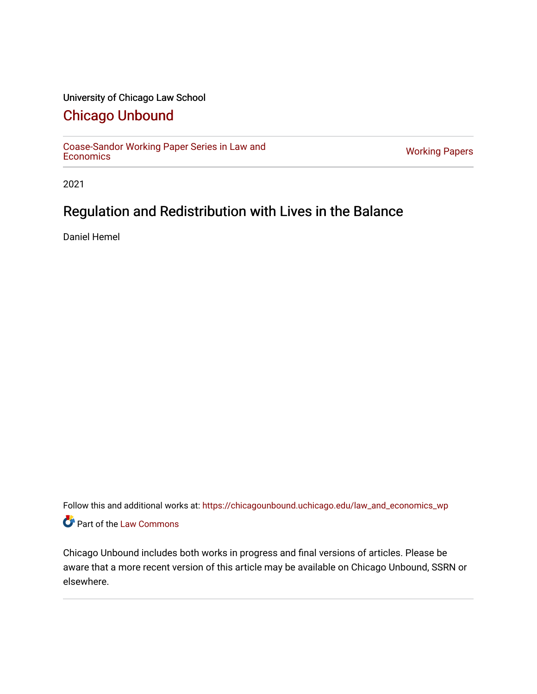# University of Chicago Law School

# [Chicago Unbound](https://chicagounbound.uchicago.edu/)

[Coase-Sandor Working Paper Series in Law and](https://chicagounbound.uchicago.edu/law_and_economics_wp) [Economics](https://chicagounbound.uchicago.edu/law_and_economics_wp) [Working Papers](https://chicagounbound.uchicago.edu/working_papers) 

2021

# Regulation and Redistribution with Lives in the Balance

Daniel Hemel

Follow this and additional works at: [https://chicagounbound.uchicago.edu/law\\_and\\_economics\\_wp](https://chicagounbound.uchicago.edu/law_and_economics_wp?utm_source=chicagounbound.uchicago.edu%2Flaw_and_economics_wp%2F18&utm_medium=PDF&utm_campaign=PDFCoverPages)  Part of the [Law Commons](http://network.bepress.com/hgg/discipline/578?utm_source=chicagounbound.uchicago.edu%2Flaw_and_economics_wp%2F18&utm_medium=PDF&utm_campaign=PDFCoverPages)

Chicago Unbound includes both works in progress and final versions of articles. Please be aware that a more recent version of this article may be available on Chicago Unbound, SSRN or elsewhere.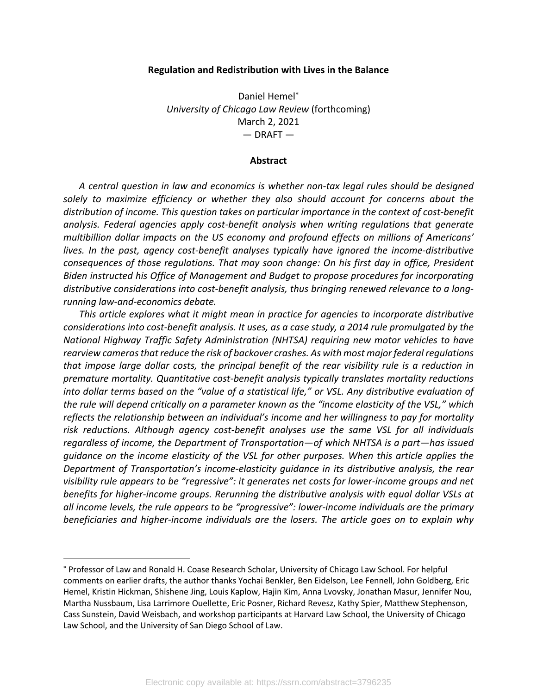#### **Regulation and Redistribution with Lives in the Balance**

Daniel Hemel\* *University of Chicago Law Review* (forthcoming) March 2, 2021  $-$  DRAFT  $-$ 

#### **Abstract**

*A central question in law and economics is whether non-tax legal rules should be designed solely to maximize efficiency or whether they also should account for concerns about the distribution of income. This question takes on particular importance in the context of cost-benefit analysis. Federal agencies apply cost-benefit analysis when writing regulations that generate multibillion dollar impacts on the US economy and profound effects on millions of Americans' lives. In the past, agency cost-benefit analyses typically have ignored the income-distributive consequences of those regulations. That may soon change: On his first day in office, President Biden instructed his Office of Management and Budget to propose procedures for incorporating distributive considerations into cost-benefit analysis, thus bringing renewed relevance to a longrunning law-and-economics debate.* 

*This article explores what it might mean in practice for agencies to incorporate distributive considerations into cost-benefit analysis. It uses, as a case study, a 2014 rule promulgated by the National Highway Traffic Safety Administration (NHTSA) requiring new motor vehicles to have rearview camerasthat reduce the risk of backover crashes. As with most major federal regulations that impose large dollar costs, the principal benefit of the rear visibility rule is a reduction in premature mortality. Quantitative cost-benefit analysis typically translates mortality reductions into dollar terms based on the "value of a statistical life," or VSL. Any distributive evaluation of the rule will depend critically on a parameter known as the "income elasticity of the VSL," which reflects the relationship between an individual's income and her willingness to pay for mortality risk reductions. Although agency cost-benefit analyses use the same VSL for all individuals regardless of income, the Department of Transportation—of which NHTSA is a part—has issued guidance on the income elasticity of the VSL for other purposes. When this article applies the Department of Transportation's income-elasticity guidance in its distributive analysis, the rear visibility rule appears to be "regressive": it generates net costs for lower-income groups and net benefits for higher-income groups. Rerunning the distributive analysis with equal dollar VSLs at all income levels, the rule appears to be "progressive": lower-income individuals are the primary beneficiaries and higher-income individuals are the losers. The article goes on to explain why* 

<sup>\*</sup> Professor of Law and Ronald H. Coase Research Scholar, University of Chicago Law School. For helpful comments on earlier drafts, the author thanks Yochai Benkler, Ben Eidelson, Lee Fennell, John Goldberg, Eric Hemel, Kristin Hickman, Shishene Jing, Louis Kaplow, Hajin Kim, Anna Lvovsky, Jonathan Masur, Jennifer Nou, Martha Nussbaum, Lisa Larrimore Ouellette, Eric Posner, Richard Revesz, Kathy Spier, Matthew Stephenson, Cass Sunstein, David Weisbach, and workshop participants at Harvard Law School, the University of Chicago Law School, and the University of San Diego School of Law.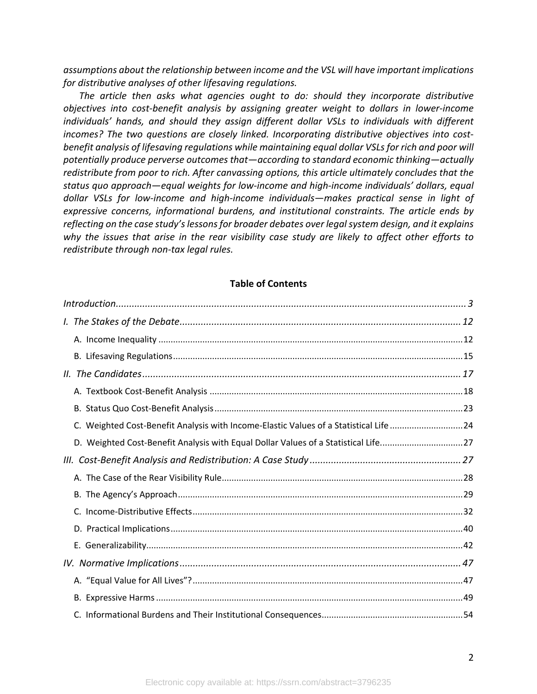*assumptions about the relationship between income and the VSL will have important implications for distributive analyses of other lifesaving regulations.*

*The article then asks what agencies ought to do: should they incorporate distributive objectives into cost-benefit analysis by assigning greater weight to dollars in lower-income individuals' hands, and should they assign different dollar VSLs to individuals with different incomes? The two questions are closely linked. Incorporating distributive objectives into costbenefit analysis of lifesaving regulations while maintaining equal dollar VSLsfor rich and poor will potentially produce perverse outcomes that—according to standard economic thinking—actually redistribute from poor to rich. After canvassing options, this article ultimately concludes that the status quo approach—equal weights for low-income and high-income individuals' dollars, equal dollar VSLs for low-income and high-income individuals—makes practical sense in light of expressive concerns, informational burdens, and institutional constraints. The article ends by reflecting on the case study's lessons for broader debates over legal system design, and it explains why the issues that arise in the rear visibility case study are likely to affect other efforts to redistribute through non-tax legal rules.*

## **Table of Contents**

| C. Weighted Cost-Benefit Analysis with Income-Elastic Values of a Statistical Life 24 |  |  |  |
|---------------------------------------------------------------------------------------|--|--|--|
| D. Weighted Cost-Benefit Analysis with Equal Dollar Values of a Statistical Life27    |  |  |  |
|                                                                                       |  |  |  |
|                                                                                       |  |  |  |
|                                                                                       |  |  |  |
|                                                                                       |  |  |  |
|                                                                                       |  |  |  |
|                                                                                       |  |  |  |
|                                                                                       |  |  |  |
|                                                                                       |  |  |  |
|                                                                                       |  |  |  |
|                                                                                       |  |  |  |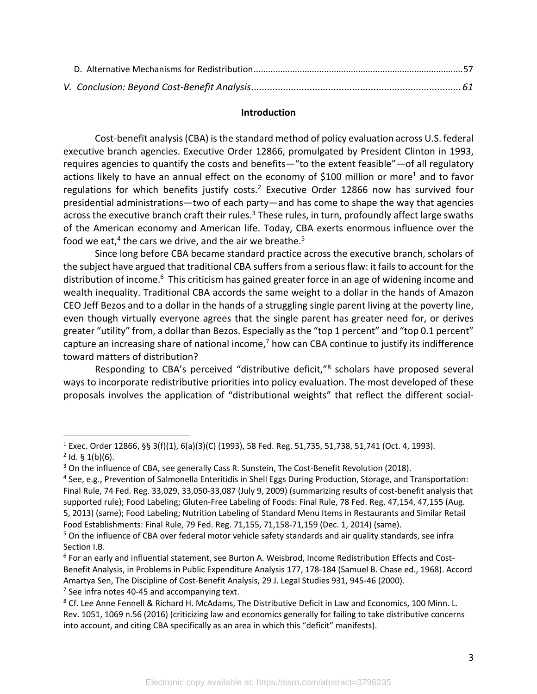#### **Introduction**

Cost-benefit analysis (CBA) is the standard method of policy evaluation across U.S. federal executive branch agencies. Executive Order 12866, promulgated by President Clinton in 1993, requires agencies to quantify the costs and benefits—"to the extent feasible"—of all regulatory actions likely to have an annual effect on the economy of \$100 million or more<sup>1</sup> and to favor regulations for which benefits justify costs.<sup>2</sup> Executive Order 12866 now has survived four presidential administrations—two of each party—and has come to shape the way that agencies across the executive branch craft their rules.<sup>3</sup> These rules, in turn, profoundly affect large swaths of the American economy and American life. Today, CBA exerts enormous influence over the food we eat,<sup>4</sup> the cars we drive, and the air we breathe.<sup>5</sup>

Since long before CBA became standard practice across the executive branch, scholars of the subject have argued that traditional CBA suffers from a serious flaw: it fails to account for the distribution of income.<sup>6</sup> This criticism has gained greater force in an age of widening income and wealth inequality. Traditional CBA accords the same weight to a dollar in the hands of Amazon CEO Jeff Bezos and to a dollar in the hands of a struggling single parent living at the poverty line, even though virtually everyone agrees that the single parent has greater need for, or derives greater "utility" from, a dollar than Bezos. Especially as the "top 1 percent" and "top 0.1 percent" capture an increasing share of national income, $<sup>7</sup>$  how can CBA continue to justify its indifference</sup> toward matters of distribution?

Responding to CBA's perceived "distributive deficit,"8 scholars have proposed several ways to incorporate redistributive priorities into policy evaluation. The most developed of these proposals involves the application of "distributional weights" that reflect the different social-

<sup>1</sup> Exec. Order 12866, §§ 3(f)(1), 6(a)(3)(C) (1993), 58 Fed. Reg. 51,735, 51,738, 51,741 (Oct. 4, 1993).  $2$  Id. § 1(b)(6).

<sup>&</sup>lt;sup>3</sup> On the influence of CBA, see generally Cass R. Sunstein, The Cost-Benefit Revolution (2018).

<sup>4</sup> See, e.g., Prevention of Salmonella Enteritidis in Shell Eggs During Production, Storage, and Transportation: Final Rule, 74 Fed. Reg. 33,029, 33,050-33,087 (July 9, 2009) (summarizing results of cost-benefit analysis that supported rule); Food Labeling; Gluten-Free Labeling of Foods: Final Rule, 78 Fed. Reg. 47,154, 47,155 (Aug. 5, 2013) (same); Food Labeling; Nutrition Labeling of Standard Menu Items in Restaurants and Similar Retail Food Establishments: Final Rule, 79 Fed. Reg. 71,155, 71,158-71,159 (Dec. 1, 2014) (same).

<sup>&</sup>lt;sup>5</sup> On the influence of CBA over federal motor vehicle safety standards and air quality standards, see infra Section I.B.

<sup>6</sup> For an early and influential statement, see Burton A. Weisbrod, Income Redistribution Effects and Cost-Benefit Analysis, in Problems in Public Expenditure Analysis 177, 178-184 (Samuel B. Chase ed., 1968). Accord Amartya Sen, The Discipline of Cost-Benefit Analysis, 29 J. Legal Studies 931, 945-46 (2000).  $7$  See infra notes 40-45 and accompanying text.

<sup>&</sup>lt;sup>8</sup> Cf. Lee Anne Fennell & Richard H. McAdams, The Distributive Deficit in Law and Economics, 100 Minn. L. Rev. 1051, 1069 n.56 (2016) (criticizing law and economics generally for failing to take distributive concerns into account, and citing CBA specifically as an area in which this "deficit" manifests).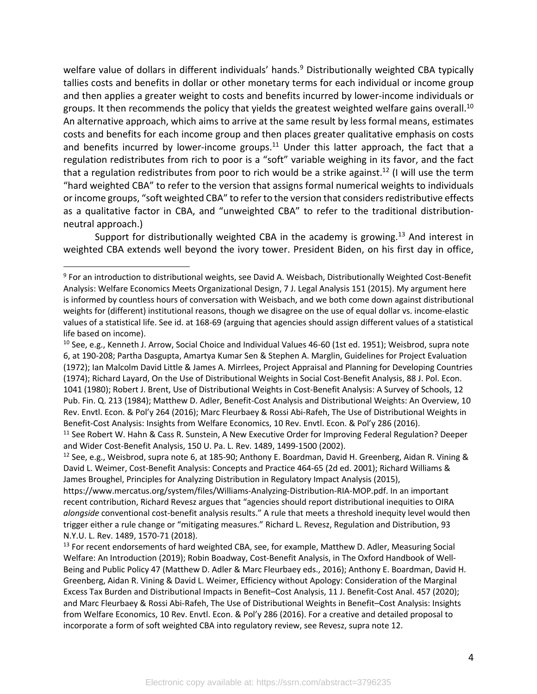welfare value of dollars in different individuals' hands.<sup>9</sup> Distributionally weighted CBA typically tallies costs and benefits in dollar or other monetary terms for each individual or income group and then applies a greater weight to costs and benefits incurred by lower-income individuals or groups. It then recommends the policy that yields the greatest weighted welfare gains overall.<sup>10</sup> An alternative approach, which aims to arrive at the same result by less formal means, estimates costs and benefits for each income group and then places greater qualitative emphasis on costs and benefits incurred by lower-income groups.<sup>11</sup> Under this latter approach, the fact that a regulation redistributes from rich to poor is a "soft" variable weighing in its favor, and the fact that a regulation redistributes from poor to rich would be a strike against.<sup>12</sup> (I will use the term "hard weighted CBA" to refer to the version that assigns formal numerical weights to individuals or income groups, "soft weighted CBA" to refer to the version that considers redistributive effects as a qualitative factor in CBA, and "unweighted CBA" to refer to the traditional distributionneutral approach.)

Support for distributionally weighted CBA in the academy is growing.<sup>13</sup> And interest in weighted CBA extends well beyond the ivory tower. President Biden, on his first day in office,

and Wider Cost-Benefit Analysis, 150 U. Pa. L. Rev. 1489, 1499-1500 (2002).

<sup>9</sup> For an introduction to distributional weights, see David A. Weisbach, Distributionally Weighted Cost-Benefit Analysis: Welfare Economics Meets Organizational Design, 7 J. Legal Analysis 151 (2015). My argument here is informed by countless hours of conversation with Weisbach, and we both come down against distributional weights for (different) institutional reasons, though we disagree on the use of equal dollar vs. income-elastic values of a statistical life. See id. at 168-69 (arguing that agencies should assign different values of a statistical life based on income).

<sup>&</sup>lt;sup>10</sup> See, e.g., Kenneth J. Arrow, Social Choice and Individual Values 46-60 (1st ed. 1951); Weisbrod, supra note 6, at 190-208; Partha Dasgupta, Amartya Kumar Sen & Stephen A. Marglin, Guidelines for Project Evaluation (1972); Ian Malcolm David Little & James A. Mirrlees, Project Appraisal and Planning for Developing Countries (1974); Richard Layard, On the Use of Distributional Weights in Social Cost-Benefit Analysis, 88 J. Pol. Econ. 1041 (1980); Robert J. Brent, Use of Distributional Weights in Cost-Benefit Analysis: A Survey of Schools, 12 Pub. Fin. Q. 213 (1984); Matthew D. Adler, Benefit-Cost Analysis and Distributional Weights: An Overview, 10 Rev. Envtl. Econ. & Pol'y 264 (2016); Marc Fleurbaey & Rossi Abi-Rafeh, The Use of Distributional Weights in Benefit-Cost Analysis: Insights from Welfare Economics, 10 Rev. Envtl. Econ. & Pol'y 286 (2016).<br><sup>11</sup> See Robert W. Hahn & Cass R. Sunstein, A New Executive Order for Improving Federal Regulation? Deeper

<sup>&</sup>lt;sup>12</sup> See, e.g., Weisbrod, supra note 6, at 185-90; Anthony E. Boardman, David H. Greenberg, Aidan R. Vining & David L. Weimer, Cost-Benefit Analysis: Concepts and Practice 464-65 (2d ed. 2001); Richard Williams & James Broughel, Principles for Analyzing Distribution in Regulatory Impact Analysis (2015),

https://www.mercatus.org/system/files/Williams-Analyzing-Distribution-RIA-MOP.pdf. In an important recent contribution, Richard Revesz argues that "agencies should report distributional inequities to OIRA *alongside* conventional cost-benefit analysis results." A rule that meets a threshold inequity level would then trigger either a rule change or "mitigating measures." Richard L. Revesz, Regulation and Distribution, 93 N.Y.U. L. Rev. 1489, 1570-71 (2018).

<sup>&</sup>lt;sup>13</sup> For recent endorsements of hard weighted CBA, see, for example, Matthew D. Adler, Measuring Social Welfare: An Introduction (2019); Robin Boadway, Cost-Benefit Analysis, in The Oxford Handbook of Well-Being and Public Policy 47 (Matthew D. Adler & Marc Fleurbaey eds., 2016); Anthony E. Boardman, David H. Greenberg, Aidan R. Vining & David L. Weimer, Efficiency without Apology: Consideration of the Marginal Excess Tax Burden and Distributional Impacts in Benefit–Cost Analysis, 11 J. Benefit-Cost Anal. 457 (2020); and Marc Fleurbaey & Rossi Abi-Rafeh, The Use of Distributional Weights in Benefit–Cost Analysis: Insights from Welfare Economics, 10 Rev. Envtl. Econ. & Pol'y 286 (2016). For a creative and detailed proposal to incorporate a form of soft weighted CBA into regulatory review, see Revesz, supra note 12.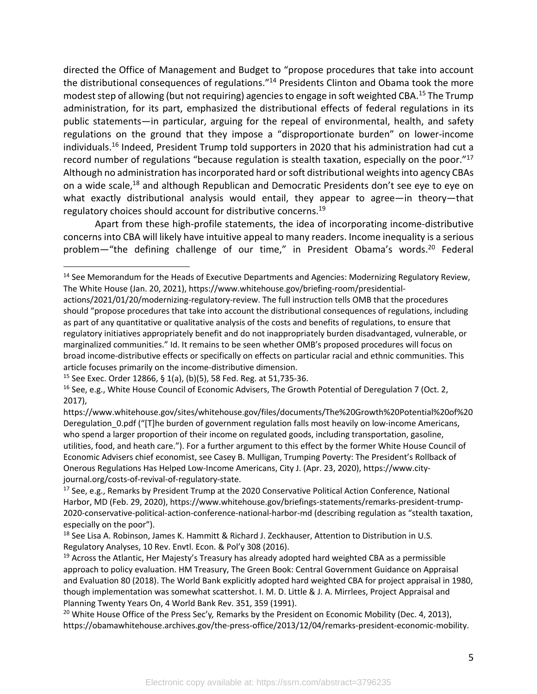directed the Office of Management and Budget to "propose procedures that take into account the distributional consequences of regulations."<sup>14</sup> Presidents Clinton and Obama took the more modest step of allowing (but not requiring) agencies to engage in soft weighted CBA.<sup>15</sup> The Trump administration, for its part, emphasized the distributional effects of federal regulations in its public statements—in particular, arguing for the repeal of environmental, health, and safety regulations on the ground that they impose a "disproportionate burden" on lower-income individuals.<sup>16</sup> Indeed, President Trump told supporters in 2020 that his administration had cut a record number of regulations "because regulation is stealth taxation, especially on the poor."17 Although no administration has incorporated hard or soft distributional weights into agency CBAs on a wide scale,<sup>18</sup> and although Republican and Democratic Presidents don't see eye to eye on what exactly distributional analysis would entail, they appear to agree-in theory-that regulatory choices should account for distributive concerns.<sup>19</sup>

Apart from these high-profile statements, the idea of incorporating income-distributive concerns into CBA will likely have intuitive appeal to many readers. Income inequality is a serious problem—"the defining challenge of our time," in President Obama's words.<sup>20</sup> Federal

<sup>&</sup>lt;sup>14</sup> See Memorandum for the Heads of Executive Departments and Agencies: Modernizing Regulatory Review, The White House (Jan. 20, 2021), https://www.whitehouse.gov/briefing-room/presidential-

actions/2021/01/20/modernizing-regulatory-review. The full instruction tells OMB that the procedures should "propose procedures that take into account the distributional consequences of regulations, including as part of any quantitative or qualitative analysis of the costs and benefits of regulations, to ensure that regulatory initiatives appropriately benefit and do not inappropriately burden disadvantaged, vulnerable, or marginalized communities." Id. It remains to be seen whether OMB's proposed procedures will focus on broad income-distributive effects or specifically on effects on particular racial and ethnic communities. This article focuses primarily on the income-distributive dimension.<br><sup>15</sup> See Exec. Order 12866, § 1(a), (b)(5), 58 Fed. Reg. at 51,735-36.

<sup>&</sup>lt;sup>16</sup> See, e.g., White House Council of Economic Advisers, The Growth Potential of Deregulation 7 (Oct. 2, 2017),

https://www.whitehouse.gov/sites/whitehouse.gov/files/documents/The%20Growth%20Potential%20of%20 Deregulation\_0.pdf ("[T]he burden of government regulation falls most heavily on low-income Americans, who spend a larger proportion of their income on regulated goods, including transportation, gasoline, utilities, food, and heath care."). For a further argument to this effect by the former White House Council of Economic Advisers chief economist, see Casey B. Mulligan, Trumping Poverty: The President's Rollback of Onerous Regulations Has Helped Low-Income Americans, City J. (Apr. 23, 2020), https://www.cityjournal.org/costs-of-revival-of-regulatory-state.

<sup>17</sup> See, e.g., Remarks by President Trump at the 2020 Conservative Political Action Conference, National Harbor, MD (Feb. 29, 2020), https://www.whitehouse.gov/briefings-statements/remarks-president-trump-2020-conservative-political-action-conference-national-harbor-md (describing regulation as "stealth taxation, especially on the poor").

<sup>&</sup>lt;sup>18</sup> See Lisa A. Robinson, James K. Hammitt & Richard J. Zeckhauser, Attention to Distribution in U.S. Regulatory Analyses, 10 Rev. Envtl. Econ. & Pol'y 308 (2016).

 $19$  Across the Atlantic, Her Majesty's Treasury has already adopted hard weighted CBA as a permissible approach to policy evaluation. HM Treasury, The Green Book: Central Government Guidance on Appraisal and Evaluation 80 (2018). The World Bank explicitly adopted hard weighted CBA for project appraisal in 1980, though implementation was somewhat scattershot. I. M. D. Little & J. A. Mirrlees, Project Appraisal and Planning Twenty Years On, 4 World Bank Rev. 351, 359 (1991).

<sup>20</sup> White House Office of the Press Sec'y*,* Remarks by the President on Economic Mobility (Dec. 4, 2013), https://obamawhitehouse.archives.gov/the-press-office/2013/12/04/remarks-president-economic-mobility.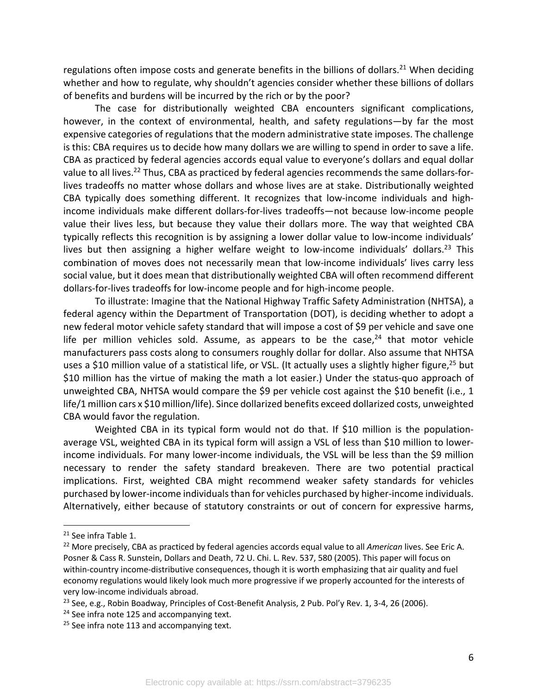regulations often impose costs and generate benefits in the billions of dollars.<sup>21</sup> When deciding whether and how to regulate, why shouldn't agencies consider whether these billions of dollars of benefits and burdens will be incurred by the rich or by the poor?

The case for distributionally weighted CBA encounters significant complications, however, in the context of environmental, health, and safety regulations—by far the most expensive categories of regulations that the modern administrative state imposes. The challenge is this: CBA requires us to decide how many dollars we are willing to spend in order to save a life. CBA as practiced by federal agencies accords equal value to everyone's dollars and equal dollar value to all lives.<sup>22</sup> Thus, CBA as practiced by federal agencies recommends the same dollars-forlives tradeoffs no matter whose dollars and whose lives are at stake. Distributionally weighted CBA typically does something different. It recognizes that low-income individuals and highincome individuals make different dollars-for-lives tradeoffs—not because low-income people value their lives less, but because they value their dollars more. The way that weighted CBA typically reflects this recognition is by assigning a lower dollar value to low-income individuals' lives but then assigning a higher welfare weight to low-income individuals' dollars.<sup>23</sup> This combination of moves does not necessarily mean that low-income individuals' lives carry less social value, but it does mean that distributionally weighted CBA will often recommend different dollars-for-lives tradeoffs for low-income people and for high-income people.

To illustrate: Imagine that the National Highway Traffic Safety Administration (NHTSA), a federal agency within the Department of Transportation (DOT), is deciding whether to adopt a new federal motor vehicle safety standard that will impose a cost of \$9 per vehicle and save one life per million vehicles sold. Assume, as appears to be the case, $24$  that motor vehicle manufacturers pass costs along to consumers roughly dollar for dollar. Also assume that NHTSA uses a \$10 million value of a statistical life, or VSL. (It actually uses a slightly higher figure,<sup>25</sup> but \$10 million has the virtue of making the math a lot easier.) Under the status-quo approach of unweighted CBA, NHTSA would compare the \$9 per vehicle cost against the \$10 benefit (i.e., 1 life/1 million cars x \$10 million/life). Since dollarized benefits exceed dollarized costs, unweighted CBA would favor the regulation.

Weighted CBA in its typical form would not do that. If \$10 million is the populationaverage VSL, weighted CBA in its typical form will assign a VSL of less than \$10 million to lowerincome individuals. For many lower-income individuals, the VSL will be less than the \$9 million necessary to render the safety standard breakeven. There are two potential practical implications. First, weighted CBA might recommend weaker safety standards for vehicles purchased by lower-income individuals than for vehicles purchased by higher-income individuals. Alternatively, either because of statutory constraints or out of concern for expressive harms,

<sup>21</sup> See infra Table 1.

<sup>22</sup> More precisely, CBA as practiced by federal agencies accords equal value to all *American* lives. See Eric A. Posner & Cass R. Sunstein, Dollars and Death, 72 U. Chi. L. Rev. 537, 580 (2005). This paper will focus on within-country income-distributive consequences, though it is worth emphasizing that air quality and fuel economy regulations would likely look much more progressive if we properly accounted for the interests of very low-income individuals abroad.

<sup>&</sup>lt;sup>23</sup> See, e.g., Robin Boadway, Principles of Cost-Benefit Analysis, 2 Pub. Pol'y Rev. 1, 3-4, 26 (2006).

<sup>&</sup>lt;sup>24</sup> See infra note 125 and accompanying text.

 $25$  See infra note 113 and accompanying text.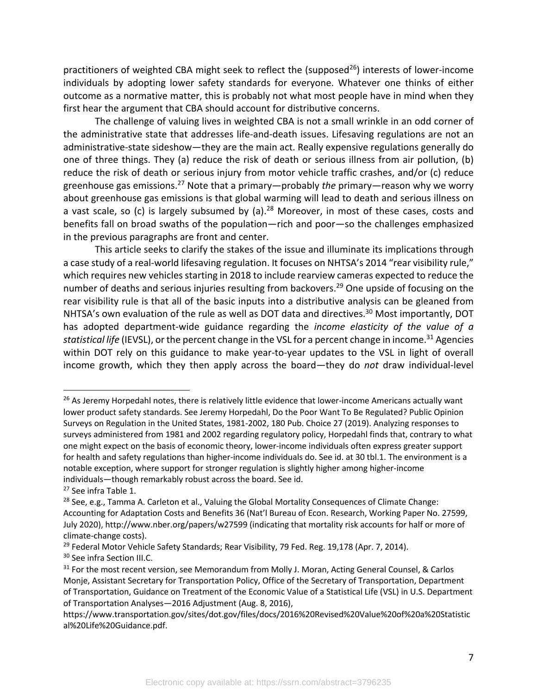practitioners of weighted CBA might seek to reflect the (supposed<sup>26</sup>) interests of lower-income individuals by adopting lower safety standards for everyone. Whatever one thinks of either outcome as a normative matter, this is probably not what most people have in mind when they first hear the argument that CBA should account for distributive concerns.

The challenge of valuing lives in weighted CBA is not a small wrinkle in an odd corner of the administrative state that addresses life-and-death issues. Lifesaving regulations are not an administrative-state sideshow—they are the main act. Really expensive regulations generally do one of three things. They (a) reduce the risk of death or serious illness from air pollution, (b) reduce the risk of death or serious injury from motor vehicle traffic crashes, and/or (c) reduce greenhouse gas emissions.27 Note that a primary—probably *the* primary—reason why we worry about greenhouse gas emissions is that global warming will lead to death and serious illness on a vast scale, so (c) is largely subsumed by (a).<sup>28</sup> Moreover, in most of these cases, costs and benefits fall on broad swaths of the population—rich and poor—so the challenges emphasized in the previous paragraphs are front and center.

This article seeks to clarify the stakes of the issue and illuminate its implications through a case study of a real-world lifesaving regulation. It focuses on NHTSA's 2014 "rear visibility rule," which requires new vehicles starting in 2018 to include rearview cameras expected to reduce the number of deaths and serious injuries resulting from backovers.<sup>29</sup> One upside of focusing on the rear visibility rule is that all of the basic inputs into a distributive analysis can be gleaned from NHTSA's own evaluation of the rule as well as DOT data and directives.<sup>30</sup> Most importantly, DOT has adopted department-wide guidance regarding the *income elasticity of the value of a statistical life* (IEVSL), or the percent change in the VSL for a percent change in income.<sup>31</sup> Agencies within DOT rely on this guidance to make year-to-year updates to the VSL in light of overall income growth, which they then apply across the board—they do *not* draw individual-level

<sup>&</sup>lt;sup>26</sup> As Jeremy Horpedahl notes, there is relatively little evidence that lower-income Americans actually want lower product safety standards. See Jeremy Horpedahl, Do the Poor Want To Be Regulated? Public Opinion Surveys on Regulation in the United States, 1981-2002, 180 Pub. Choice 27 (2019). Analyzing responses to surveys administered from 1981 and 2002 regarding regulatory policy, Horpedahl finds that, contrary to what one might expect on the basis of economic theory, lower-income individuals often express greater support for health and safety regulations than higher-income individuals do. See id. at 30 tbl.1. The environment is a notable exception, where support for stronger regulation is slightly higher among higher-income individuals—though remarkably robust across the board. See id.

<sup>&</sup>lt;sup>27</sup> See infra Table 1.

<sup>&</sup>lt;sup>28</sup> See, e.g., Tamma A. Carleton et al., Valuing the Global Mortality Consequences of Climate Change: Accounting for Adaptation Costs and Benefits 36 (Nat'l Bureau of Econ. Research, Working Paper No. 27599, July 2020), http://www.nber.org/papers/w27599 (indicating that mortality risk accounts for half or more of climate-change costs).

<sup>&</sup>lt;sup>29</sup> Federal Motor Vehicle Safety Standards; Rear Visibility, 79 Fed. Reg. 19,178 (Apr. 7, 2014).

<sup>&</sup>lt;sup>30</sup> See infra Section III.C.

<sup>&</sup>lt;sup>31</sup> For the most recent version, see Memorandum from Molly J. Moran, Acting General Counsel, & Carlos Monje, Assistant Secretary for Transportation Policy, Office of the Secretary of Transportation, Department of Transportation, Guidance on Treatment of the Economic Value of a Statistical Life (VSL) in U.S. Department of Transportation Analyses—2016 Adjustment (Aug. 8, 2016),

https://www.transportation.gov/sites/dot.gov/files/docs/2016%20Revised%20Value%20of%20a%20Statistic al%20Life%20Guidance.pdf.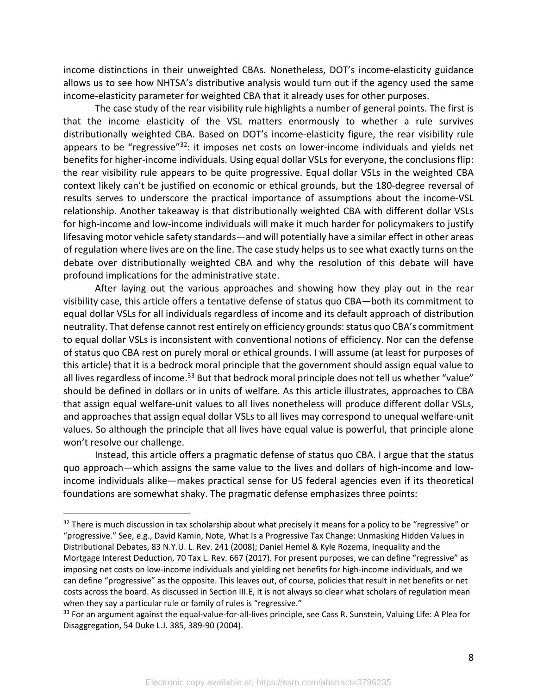income distinctions in their unweighted CBAs. Nonetheless, DOT's income-elasticity guidance allows us to see how NHTSA's distributive analysis would turn out if the agency used the same income-elasticity parameter for weighted CBA that it already uses for other purposes.

The case study of the rear visibility rule highlights a number of general points. The first is that the income elasticity of the VSL matters enormously to whether a rule survives distributionally weighted CBA. Based on DOT's income-elasticity figure, the rear visibility rule appears to be "regressive"<sup>32</sup>: it imposes net costs on lower-income individuals and yields net benefits for higher-income individuals. Using equal dollar VSLs for everyone, the conclusions flip: the rear visibility rule appears to be quite progressive. Equal dollar VSLs in the weighted CBA context likely can't be justified on economic or ethical grounds, but the 180-degree reversal of results serves to underscore the practical importance of assumptions about the income-VSL relationship. Another takeaway is that distributionally weighted CBA with different dollar VSLs for high-income and low-income individuals will make it much harder for policymakers to justify lifesaving motor vehicle safety standards—and will potentially have a similar effect in other areas of regulation where lives are on the line. The case study helps us to see what exactly turns on the debate over distributionally weighted CBA and why the resolution of this debate will have profound implications for the administrative state.

After laying out the various approaches and showing how they play out in the rear visibility case, this article offers a tentative defense of status quo CBA—both its commitment to equal dollar VSLs for all individuals regardless of income and its default approach of distribution neutrality. That defense cannot rest entirely on efficiency grounds: status quo CBA's commitment to equal dollar VSLs is inconsistent with conventional notions of efficiency. Nor can the defense of status quo CBA rest on purely moral or ethical grounds. I will assume (at least for purposes of this article) that it is a bedrock moral principle that the government should assign equal value to all lives regardless of income.<sup>33</sup> But that bedrock moral principle does not tell us whether "value" should be defined in dollars or in units of welfare. As this article illustrates, approaches to CBA that assign equal welfare-unit values to all lives nonetheless will produce different dollar VSLs, and approaches that assign equal dollar VSLs to all lives may correspond to unequal welfare-unit values. So although the principle that all lives have equal value is powerful, that principle alone won't resolve our challenge.

Instead, this article offers a pragmatic defense of status quo CBA. I argue that the status quo approach—which assigns the same value to the lives and dollars of high-income and lowincome individuals alike—makes practical sense for US federal agencies even if its theoretical foundations are somewhat shaky. The pragmatic defense emphasizes three points:

<sup>&</sup>lt;sup>32</sup> There is much discussion in tax scholarship about what precisely it means for a policy to be "regressive" or "progressive." See, e.g., David Kamin, Note, What Is a Progressive Tax Change: Unmasking Hidden Values in Distributional Debates, 83 N.Y.U. L. Rev. 241 (2008); Daniel Hemel & Kyle Rozema, Inequality and the Mortgage Interest Deduction, 70 Tax L. Rev. 667 (2017). For present purposes, we can define "regressive" as imposing net costs on low-income individuals and yielding net benefits for high-income individuals, and we can define "progressive" as the opposite. This leaves out, of course, policies that result in net benefits or net costs across the board. As discussed in Section III.E, it is not always so clear what scholars of regulation mean when they say a particular rule or family of rules is "regressive."

<sup>&</sup>lt;sup>33</sup> For an argument against the equal-value-for-all-lives principle, see Cass R. Sunstein, Valuing Life: A Plea for Disaggregation, 54 Duke L.J. 385, 389-90 (2004).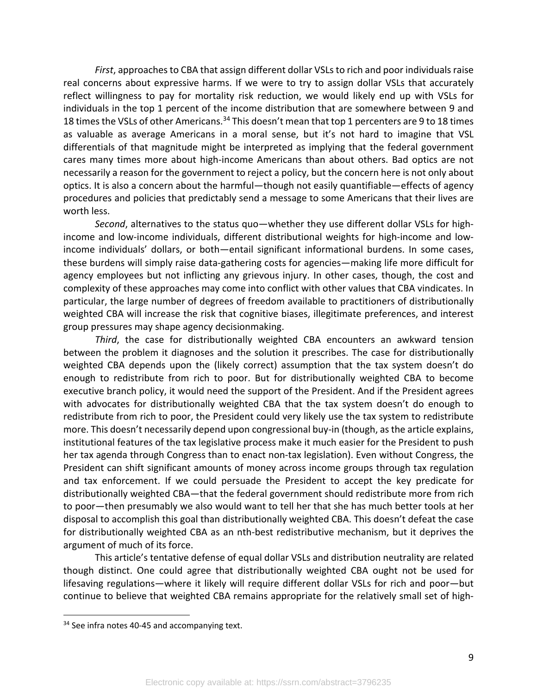*First*, approaches to CBA that assign different dollar VSLs to rich and poor individuals raise real concerns about expressive harms. If we were to try to assign dollar VSLs that accurately reflect willingness to pay for mortality risk reduction, we would likely end up with VSLs for individuals in the top 1 percent of the income distribution that are somewhere between 9 and 18 times the VSLs of other Americans.<sup>34</sup> This doesn't mean that top 1 percenters are 9 to 18 times as valuable as average Americans in a moral sense, but it's not hard to imagine that VSL differentials of that magnitude might be interpreted as implying that the federal government cares many times more about high-income Americans than about others. Bad optics are not necessarily a reason for the government to reject a policy, but the concern here is not only about optics. It is also a concern about the harmful—though not easily quantifiable—effects of agency procedures and policies that predictably send a message to some Americans that their lives are worth less.

*Second*, alternatives to the status quo—whether they use different dollar VSLs for highincome and low-income individuals, different distributional weights for high-income and lowincome individuals' dollars, or both—entail significant informational burdens. In some cases, these burdens will simply raise data-gathering costs for agencies—making life more difficult for agency employees but not inflicting any grievous injury. In other cases, though, the cost and complexity of these approaches may come into conflict with other values that CBA vindicates. In particular, the large number of degrees of freedom available to practitioners of distributionally weighted CBA will increase the risk that cognitive biases, illegitimate preferences, and interest group pressures may shape agency decisionmaking.

*Third*, the case for distributionally weighted CBA encounters an awkward tension between the problem it diagnoses and the solution it prescribes. The case for distributionally weighted CBA depends upon the (likely correct) assumption that the tax system doesn't do enough to redistribute from rich to poor. But for distributionally weighted CBA to become executive branch policy, it would need the support of the President. And if the President agrees with advocates for distributionally weighted CBA that the tax system doesn't do enough to redistribute from rich to poor, the President could very likely use the tax system to redistribute more. This doesn't necessarily depend upon congressional buy-in (though, as the article explains, institutional features of the tax legislative process make it much easier for the President to push her tax agenda through Congress than to enact non-tax legislation). Even without Congress, the President can shift significant amounts of money across income groups through tax regulation and tax enforcement. If we could persuade the President to accept the key predicate for distributionally weighted CBA—that the federal government should redistribute more from rich to poor—then presumably we also would want to tell her that she has much better tools at her disposal to accomplish this goal than distributionally weighted CBA. This doesn't defeat the case for distributionally weighted CBA as an nth-best redistributive mechanism, but it deprives the argument of much of its force.

This article's tentative defense of equal dollar VSLs and distribution neutrality are related though distinct. One could agree that distributionally weighted CBA ought not be used for lifesaving regulations—where it likely will require different dollar VSLs for rich and poor—but continue to believe that weighted CBA remains appropriate for the relatively small set of high-

<sup>&</sup>lt;sup>34</sup> See infra notes 40-45 and accompanying text.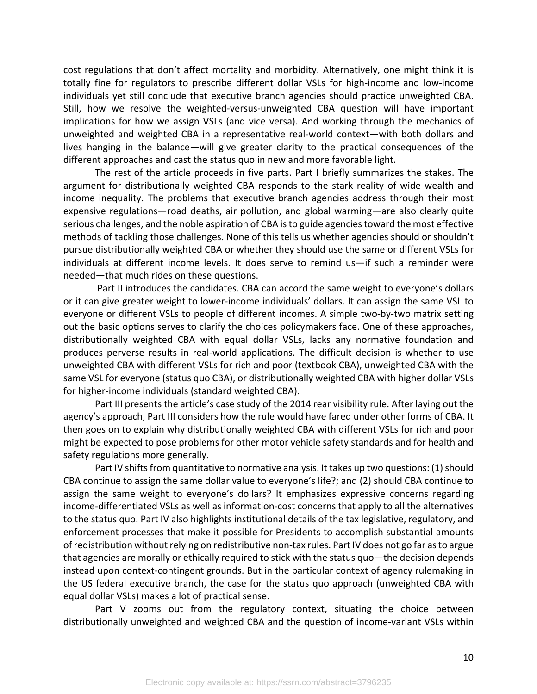cost regulations that don't affect mortality and morbidity. Alternatively, one might think it is totally fine for regulators to prescribe different dollar VSLs for high-income and low-income individuals yet still conclude that executive branch agencies should practice unweighted CBA. Still, how we resolve the weighted-versus-unweighted CBA question will have important implications for how we assign VSLs (and vice versa). And working through the mechanics of unweighted and weighted CBA in a representative real-world context—with both dollars and lives hanging in the balance—will give greater clarity to the practical consequences of the different approaches and cast the status quo in new and more favorable light.

The rest of the article proceeds in five parts. Part I briefly summarizes the stakes. The argument for distributionally weighted CBA responds to the stark reality of wide wealth and income inequality. The problems that executive branch agencies address through their most expensive regulations—road deaths, air pollution, and global warming—are also clearly quite serious challenges, and the noble aspiration of CBA is to guide agencies toward the most effective methods of tackling those challenges. None of this tells us whether agencies should or shouldn't pursue distributionally weighted CBA or whether they should use the same or different VSLs for individuals at different income levels. It does serve to remind us—if such a reminder were needed—that much rides on these questions.

Part II introduces the candidates. CBA can accord the same weight to everyone's dollars or it can give greater weight to lower-income individuals' dollars. It can assign the same VSL to everyone or different VSLs to people of different incomes. A simple two-by-two matrix setting out the basic options serves to clarify the choices policymakers face. One of these approaches, distributionally weighted CBA with equal dollar VSLs, lacks any normative foundation and produces perverse results in real-world applications. The difficult decision is whether to use unweighted CBA with different VSLs for rich and poor (textbook CBA), unweighted CBA with the same VSL for everyone (status quo CBA), or distributionally weighted CBA with higher dollar VSLs for higher-income individuals (standard weighted CBA).

Part III presents the article's case study of the 2014 rear visibility rule. After laying out the agency's approach, Part III considers how the rule would have fared under other forms of CBA. It then goes on to explain why distributionally weighted CBA with different VSLs for rich and poor might be expected to pose problems for other motor vehicle safety standards and for health and safety regulations more generally.

Part IV shifts from quantitative to normative analysis. It takes up two questions: (1) should CBA continue to assign the same dollar value to everyone's life?; and (2) should CBA continue to assign the same weight to everyone's dollars? It emphasizes expressive concerns regarding income-differentiated VSLs as well as information-cost concerns that apply to all the alternatives to the status quo. Part IV also highlights institutional details of the tax legislative, regulatory, and enforcement processes that make it possible for Presidents to accomplish substantial amounts of redistribution without relying on redistributive non-tax rules. Part IV does not go far as to argue that agencies are morally or ethically required to stick with the status quo—the decision depends instead upon context-contingent grounds. But in the particular context of agency rulemaking in the US federal executive branch, the case for the status quo approach (unweighted CBA with equal dollar VSLs) makes a lot of practical sense.

Part V zooms out from the regulatory context, situating the choice between distributionally unweighted and weighted CBA and the question of income-variant VSLs within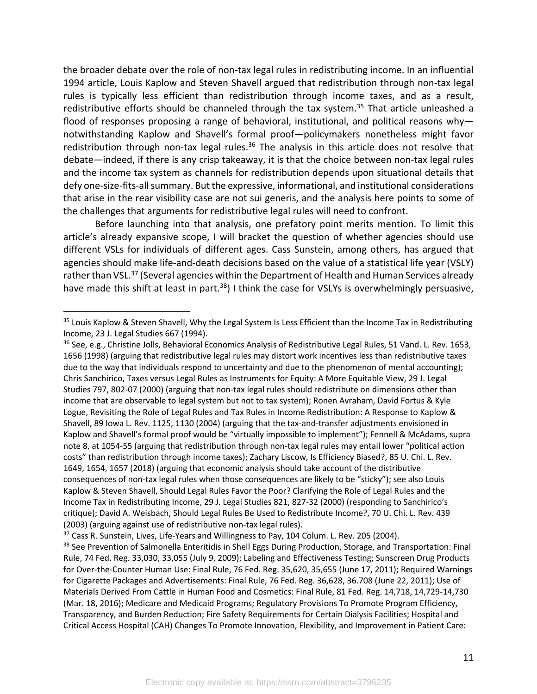the broader debate over the role of non-tax legal rules in redistributing income. In an influential 1994 article, Louis Kaplow and Steven Shavell argued that redistribution through non-tax legal rules is typically less efficient than redistribution through income taxes, and as a result, redistributive efforts should be channeled through the tax system.<sup>35</sup> That article unleashed a flood of responses proposing a range of behavioral, institutional, and political reasons why notwithstanding Kaplow and Shavell's formal proof—policymakers nonetheless might favor redistribution through non-tax legal rules.<sup>36</sup> The analysis in this article does not resolve that debate—indeed, if there is any crisp takeaway, it is that the choice between non-tax legal rules and the income tax system as channels for redistribution depends upon situational details that defy one-size-fits-all summary. But the expressive, informational, and institutional considerations that arise in the rear visibility case are not sui generis, and the analysis here points to some of the challenges that arguments for redistributive legal rules will need to confront.

Before launching into that analysis, one prefatory point merits mention. To limit this article's already expansive scope, I will bracket the question of whether agencies should use different VSLs for individuals of different ages. Cass Sunstein, among others, has argued that agencies should make life-and-death decisions based on the value of a statistical life year (VSLY) rather than VSL.<sup>37</sup> (Several agencies within the Department of Health and Human Services already have made this shift at least in part.<sup>38</sup>) I think the case for VSLYs is overwhelmingly persuasive,

<sup>&</sup>lt;sup>35</sup> Louis Kaplow & Steven Shavell, Why the Legal System Is Less Efficient than the Income Tax in Redistributing Income, 23 J. Legal Studies 667 (1994).

<sup>36</sup> See, e.g., Christine Jolls, Behavioral Economics Analysis of Redistributive Legal Rules, 51 Vand. L. Rev. 1653, 1656 (1998) (arguing that redistributive legal rules may distort work incentives less than redistributive taxes due to the way that individuals respond to uncertainty and due to the phenomenon of mental accounting); Chris Sanchirico, Taxes versus Legal Rules as Instruments for Equity: A More Equitable View, 29 J. Legal Studies 797, 802-07 (2000) (arguing that non-tax legal rules should redistribute on dimensions other than income that are observable to legal system but not to tax system); Ronen Avraham, David Fortus & Kyle Logue, Revisiting the Role of Legal Rules and Tax Rules in Income Redistribution: A Response to Kaplow & Shavell, 89 Iowa L. Rev. 1125, 1130 (2004) (arguing that the tax-and-transfer adjustments envisioned in Kaplow and Shavell's formal proof would be "virtually impossible to implement"); Fennell & McAdams, supra note 8, at 1054-55 (arguing that redistribution through non-tax legal rules may entail lower "political action costs" than redistribution through income taxes); Zachary Liscow, Is Efficiency Biased?, 85 U. Chi. L. Rev. 1649, 1654, 1657 (2018) (arguing that economic analysis should take account of the distributive consequences of non-tax legal rules when those consequences are likely to be "sticky"); see also Louis Kaplow & Steven Shavell, Should Legal Rules Favor the Poor? Clarifying the Role of Legal Rules and the Income Tax in Redistributing Income, 29 J. Legal Studies 821, 827-32 (2000) (responding to Sanchirico's critique); David A. Weisbach, Should Legal Rules Be Used to Redistribute Income?, 70 U. Chi. L. Rev. 439 (2003) (arguing against use of redistributive non-tax legal rules).

 $37$  Cass R. Sunstein, Lives, Life-Years and Willingness to Pay, 104 Colum. L. Rev. 205 (2004).

<sup>&</sup>lt;sup>38</sup> See Prevention of Salmonella Enteritidis in Shell Eggs During Production, Storage, and Transportation: Final Rule, 74 Fed. Reg. 33,030, 33,055 (July 9, 2009); Labeling and Effectiveness Testing; Sunscreen Drug Products for Over-the-Counter Human Use: Final Rule, 76 Fed. Reg. 35,620, 35,655 (June 17, 2011); Required Warnings for Cigarette Packages and Advertisements: Final Rule, 76 Fed. Reg. 36,628, 36.708 (June 22, 2011); Use of Materials Derived From Cattle in Human Food and Cosmetics: Final Rule, 81 Fed. Reg. 14,718, 14,729-14,730 (Mar. 18, 2016); Medicare and Medicaid Programs; Regulatory Provisions To Promote Program Efficiency, Transparency, and Burden Reduction; Fire Safety Requirements for Certain Dialysis Facilities; Hospital and Critical Access Hospital (CAH) Changes To Promote Innovation, Flexibility, and Improvement in Patient Care: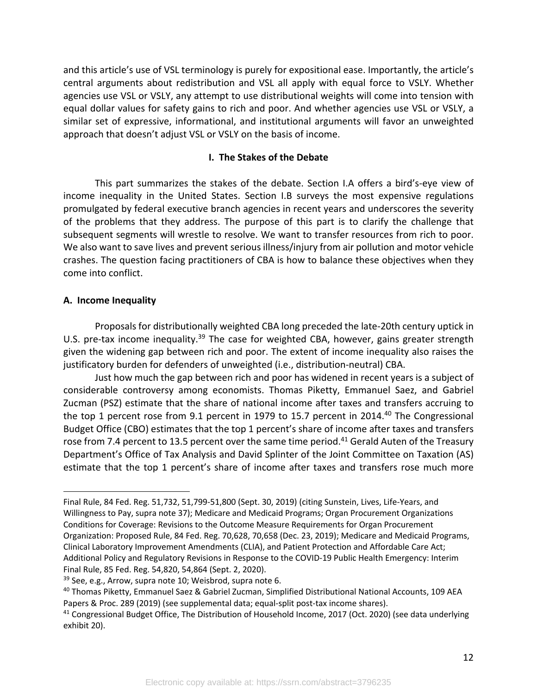and this article's use of VSL terminology is purely for expositional ease. Importantly, the article's central arguments about redistribution and VSL all apply with equal force to VSLY. Whether agencies use VSL or VSLY, any attempt to use distributional weights will come into tension with equal dollar values for safety gains to rich and poor. And whether agencies use VSL or VSLY, a similar set of expressive, informational, and institutional arguments will favor an unweighted approach that doesn't adjust VSL or VSLY on the basis of income.

## **I. The Stakes of the Debate**

This part summarizes the stakes of the debate. Section I.A offers a bird's-eye view of income inequality in the United States. Section I.B surveys the most expensive regulations promulgated by federal executive branch agencies in recent years and underscores the severity of the problems that they address. The purpose of this part is to clarify the challenge that subsequent segments will wrestle to resolve. We want to transfer resources from rich to poor. We also want to save lives and prevent serious illness/injury from air pollution and motor vehicle crashes. The question facing practitioners of CBA is how to balance these objectives when they come into conflict.

## **A. Income Inequality**

Proposals for distributionally weighted CBA long preceded the late-20th century uptick in U.S. pre-tax income inequality.<sup>39</sup> The case for weighted CBA, however, gains greater strength given the widening gap between rich and poor. The extent of income inequality also raises the justificatory burden for defenders of unweighted (i.e., distribution-neutral) CBA.

Just how much the gap between rich and poor has widened in recent years is a subject of considerable controversy among economists. Thomas Piketty, Emmanuel Saez, and Gabriel Zucman (PSZ) estimate that the share of national income after taxes and transfers accruing to the top 1 percent rose from 9.1 percent in 1979 to 15.7 percent in 2014.<sup>40</sup> The Congressional Budget Office (CBO) estimates that the top 1 percent's share of income after taxes and transfers rose from 7.4 percent to 13.5 percent over the same time period.<sup>41</sup> Gerald Auten of the Treasury Department's Office of Tax Analysis and David Splinter of the Joint Committee on Taxation (AS) estimate that the top 1 percent's share of income after taxes and transfers rose much more

Final Rule, 84 Fed. Reg. 51,732, 51,799-51,800 (Sept. 30, 2019) (citing Sunstein, Lives, Life-Years, and Willingness to Pay, supra note 37); Medicare and Medicaid Programs; Organ Procurement Organizations Conditions for Coverage: Revisions to the Outcome Measure Requirements for Organ Procurement Organization: Proposed Rule, 84 Fed. Reg. 70,628, 70,658 (Dec. 23, 2019); Medicare and Medicaid Programs, Clinical Laboratory Improvement Amendments (CLIA), and Patient Protection and Affordable Care Act; Additional Policy and Regulatory Revisions in Response to the COVID-19 Public Health Emergency: Interim Final Rule, 85 Fed. Reg. 54,820, 54,864 (Sept. 2, 2020).

 $39$  See, e.g., Arrow, supra note 10; Weisbrod, supra note 6.

<sup>40</sup> Thomas Piketty, Emmanuel Saez & Gabriel Zucman, Simplified Distributional National Accounts, 109 AEA Papers & Proc. 289 (2019) (see supplemental data; equal-split post-tax income shares).

<sup>&</sup>lt;sup>41</sup> Congressional Budget Office, The Distribution of Household Income, 2017 (Oct. 2020) (see data underlying exhibit 20).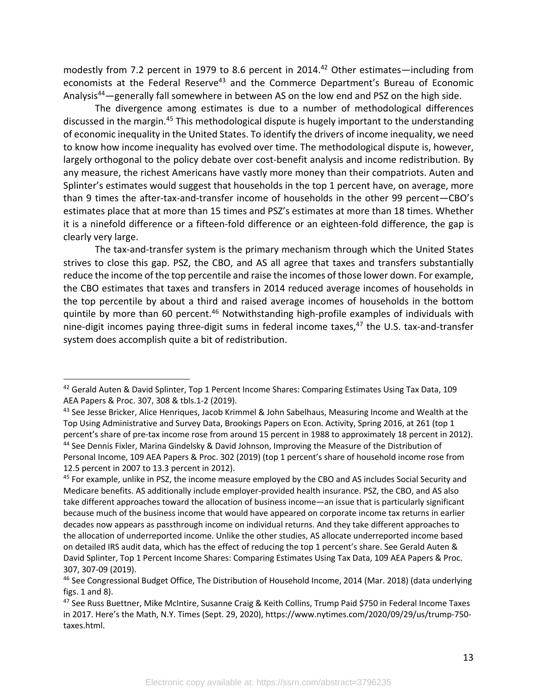modestly from 7.2 percent in 1979 to 8.6 percent in 2014.<sup>42</sup> Other estimates—including from economists at the Federal Reserve<sup>43</sup> and the Commerce Department's Bureau of Economic Analysis44—generally fall somewhere in between AS on the low end and PSZ on the high side.

The divergence among estimates is due to a number of methodological differences discussed in the margin.<sup>45</sup> This methodological dispute is hugely important to the understanding of economic inequality in the United States. To identify the drivers of income inequality, we need to know how income inequality has evolved over time. The methodological dispute is, however, largely orthogonal to the policy debate over cost-benefit analysis and income redistribution. By any measure, the richest Americans have vastly more money than their compatriots. Auten and Splinter's estimates would suggest that households in the top 1 percent have, on average, more than 9 times the after-tax-and-transfer income of households in the other 99 percent—CBO's estimates place that at more than 15 times and PSZ's estimates at more than 18 times. Whether it is a ninefold difference or a fifteen-fold difference or an eighteen-fold difference, the gap is clearly very large.

The tax-and-transfer system is the primary mechanism through which the United States strives to close this gap. PSZ, the CBO, and AS all agree that taxes and transfers substantially reduce the income of the top percentile and raise the incomes of those lower down. For example, the CBO estimates that taxes and transfers in 2014 reduced average incomes of households in the top percentile by about a third and raised average incomes of households in the bottom quintile by more than 60 percent.<sup>46</sup> Notwithstanding high-profile examples of individuals with nine-digit incomes paying three-digit sums in federal income taxes, $47$  the U.S. tax-and-transfer system does accomplish quite a bit of redistribution.

<sup>&</sup>lt;sup>42</sup> Gerald Auten & David Splinter, Top 1 Percent Income Shares: Comparing Estimates Using Tax Data, 109 AEA Papers & Proc. 307, 308 & tbls.1-2 (2019).

<sup>&</sup>lt;sup>43</sup> See Jesse Bricker, Alice Henriques, Jacob Krimmel & John Sabelhaus, Measuring Income and Wealth at the Top Using Administrative and Survey Data, Brookings Papers on Econ. Activity, Spring 2016, at 261 (top 1 percent's share of pre-tax income rose from around 15 percent in 1988 to approximately 18 percent in 2012). <sup>44</sup> See Dennis Fixler, Marina Gindelsky & David Johnson, Improving the Measure of the Distribution of Personal Income, 109 AEA Papers & Proc. 302 (2019) (top 1 percent's share of household income rose from 12.5 percent in 2007 to 13.3 percent in 2012).

<sup>&</sup>lt;sup>45</sup> For example, unlike in PSZ, the income measure employed by the CBO and AS includes Social Security and Medicare benefits. AS additionally include employer-provided health insurance. PSZ, the CBO, and AS also take different approaches toward the allocation of business income—an issue that is particularly significant because much of the business income that would have appeared on corporate income tax returns in earlier decades now appears as passthrough income on individual returns. And they take different approaches to the allocation of underreported income. Unlike the other studies, AS allocate underreported income based on detailed IRS audit data, which has the effect of reducing the top 1 percent's share. See Gerald Auten & David Splinter, Top 1 Percent Income Shares: Comparing Estimates Using Tax Data, 109 AEA Papers & Proc. 307, 307-09 (2019).

<sup>&</sup>lt;sup>46</sup> See Congressional Budget Office, The Distribution of Household Income, 2014 (Mar. 2018) (data underlying figs. 1 and 8).

<sup>47</sup> See Russ Buettner, Mike McIntire, Susanne Craig & Keith Collins, Trump Paid \$750 in Federal Income Taxes in 2017. Here's the Math, N.Y. Times (Sept. 29, 2020), https://www.nytimes.com/2020/09/29/us/trump-750 taxes.html.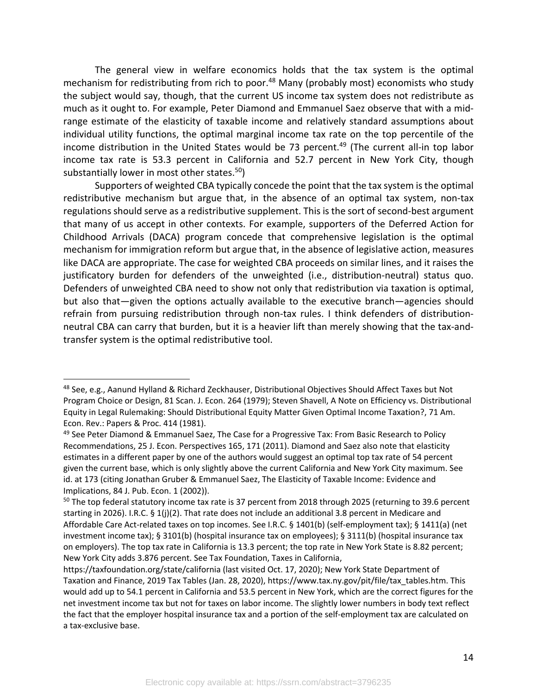The general view in welfare economics holds that the tax system is the optimal mechanism for redistributing from rich to poor.<sup>48</sup> Many (probably most) economists who study the subject would say, though, that the current US income tax system does not redistribute as much as it ought to. For example, Peter Diamond and Emmanuel Saez observe that with a midrange estimate of the elasticity of taxable income and relatively standard assumptions about individual utility functions, the optimal marginal income tax rate on the top percentile of the income distribution in the United States would be 73 percent.<sup>49</sup> (The current all-in top labor income tax rate is 53.3 percent in California and 52.7 percent in New York City, though substantially lower in most other states. $50$ )

Supporters of weighted CBA typically concede the point that the tax system is the optimal redistributive mechanism but argue that, in the absence of an optimal tax system, non-tax regulations should serve as a redistributive supplement. This is the sort of second-best argument that many of us accept in other contexts. For example, supporters of the Deferred Action for Childhood Arrivals (DACA) program concede that comprehensive legislation is the optimal mechanism for immigration reform but argue that, in the absence of legislative action, measures like DACA are appropriate. The case for weighted CBA proceeds on similar lines, and it raises the justificatory burden for defenders of the unweighted (i.e., distribution-neutral) status quo. Defenders of unweighted CBA need to show not only that redistribution via taxation is optimal, but also that—given the options actually available to the executive branch—agencies should refrain from pursuing redistribution through non-tax rules. I think defenders of distributionneutral CBA can carry that burden, but it is a heavier lift than merely showing that the tax-andtransfer system is the optimal redistributive tool.

<sup>48</sup> See, e.g., Aanund Hylland & Richard Zeckhauser, Distributional Objectives Should Affect Taxes but Not Program Choice or Design, 81 Scan. J. Econ. 264 (1979); Steven Shavell, A Note on Efficiency vs. Distributional Equity in Legal Rulemaking: Should Distributional Equity Matter Given Optimal Income Taxation?, 71 Am. Econ. Rev.: Papers & Proc. 414 (1981).

<sup>49</sup> See Peter Diamond & Emmanuel Saez, The Case for a Progressive Tax: From Basic Research to Policy Recommendations, 25 J. Econ. Perspectives 165, 171 (2011). Diamond and Saez also note that elasticity estimates in a different paper by one of the authors would suggest an optimal top tax rate of 54 percent given the current base, which is only slightly above the current California and New York City maximum. See id. at 173 (citing Jonathan Gruber & Emmanuel Saez, The Elasticity of Taxable Income: Evidence and Implications, 84 J. Pub. Econ. 1 (2002)).

<sup>&</sup>lt;sup>50</sup> The top federal statutory income tax rate is 37 percent from 2018 through 2025 (returning to 39.6 percent starting in 2026). I.R.C. § 1(j)(2). That rate does not include an additional 3.8 percent in Medicare and Affordable Care Act-related taxes on top incomes. See I.R.C. § 1401(b) (self-employment tax); § 1411(a) (net investment income tax); § 3101(b) (hospital insurance tax on employees); § 3111(b) (hospital insurance tax on employers). The top tax rate in California is 13.3 percent; the top rate in New York State is 8.82 percent; New York City adds 3.876 percent. See Tax Foundation, Taxes in California,

https://taxfoundation.org/state/california (last visited Oct. 17, 2020); New York State Department of Taxation and Finance, 2019 Tax Tables (Jan. 28, 2020), https://www.tax.ny.gov/pit/file/tax\_tables.htm. This would add up to 54.1 percent in California and 53.5 percent in New York, which are the correct figures for the net investment income tax but not for taxes on labor income. The slightly lower numbers in body text reflect the fact that the employer hospital insurance tax and a portion of the self-employment tax are calculated on a tax-exclusive base.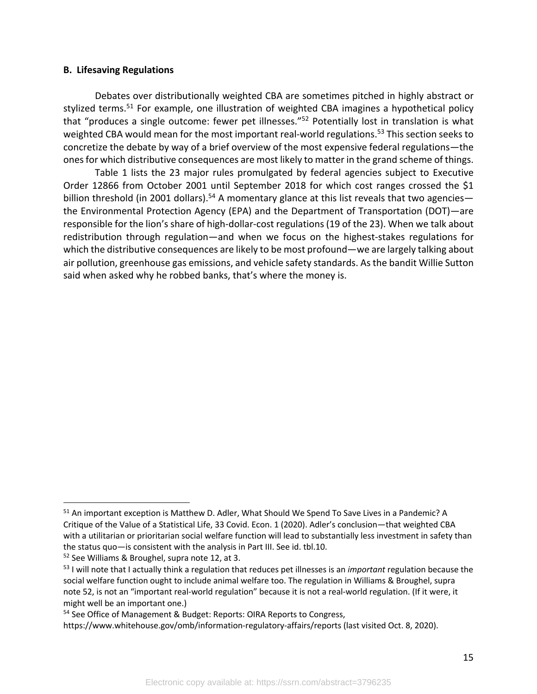## **B. Lifesaving Regulations**

Debates over distributionally weighted CBA are sometimes pitched in highly abstract or stylized terms.<sup>51</sup> For example, one illustration of weighted CBA imagines a hypothetical policy that "produces a single outcome: fewer pet illnesses."52 Potentially lost in translation is what weighted CBA would mean for the most important real-world regulations.<sup>53</sup> This section seeks to concretize the debate by way of a brief overview of the most expensive federal regulations—the ones for which distributive consequences are most likely to matter in the grand scheme of things.

Table 1 lists the 23 major rules promulgated by federal agencies subject to Executive Order 12866 from October 2001 until September 2018 for which cost ranges crossed the \$1 billion threshold (in 2001 dollars).<sup>54</sup> A momentary glance at this list reveals that two agencies the Environmental Protection Agency (EPA) and the Department of Transportation (DOT)—are responsible for the lion's share of high-dollar-cost regulations (19 of the 23). When we talk about redistribution through regulation—and when we focus on the highest-stakes regulations for which the distributive consequences are likely to be most profound—we are largely talking about air pollution, greenhouse gas emissions, and vehicle safety standards. As the bandit Willie Sutton said when asked why he robbed banks, that's where the money is.

<sup>51</sup> An important exception is Matthew D. Adler, What Should We Spend To Save Lives in a Pandemic? A Critique of the Value of a Statistical Life, 33 Covid. Econ. 1 (2020). Adler's conclusion—that weighted CBA with a utilitarian or prioritarian social welfare function will lead to substantially less investment in safety than the status quo—is consistent with the analysis in Part III. See id. tbl.10.

<sup>52</sup> See Williams & Broughel, supra note 12, at 3.

<sup>53</sup> I will note that I actually think a regulation that reduces pet illnesses is an *important* regulation because the social welfare function ought to include animal welfare too. The regulation in Williams & Broughel, supra note 52, is not an "important real-world regulation" because it is not a real-world regulation. (If it were, it might well be an important one.)

<sup>54</sup> See Office of Management & Budget: Reports: OIRA Reports to Congress,

https://www.whitehouse.gov/omb/information-regulatory-affairs/reports (last visited Oct. 8, 2020).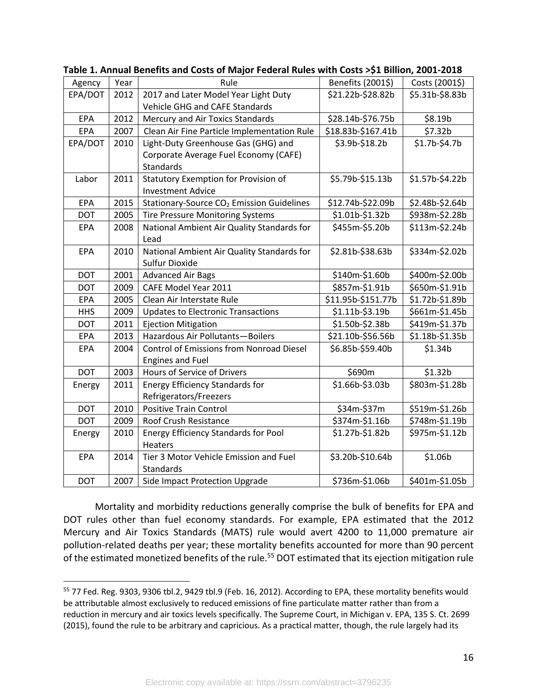| Agency     | Year | Rule                                                  | Benefits (2001\$)  | Costs (2001\$)      |
|------------|------|-------------------------------------------------------|--------------------|---------------------|
| EPA/DOT    | 2012 | 2017 and Later Model Year Light Duty                  | \$21.22b-\$28.82b  | \$5.31b-\$8.83b     |
|            |      | Vehicle GHG and CAFE Standards                        |                    |                     |
| EPA        | 2012 | Mercury and Air Toxics Standards                      | \$28.14b-\$76.75b  | \$8.19b             |
| EPA        | 2007 | Clean Air Fine Particle Implementation Rule           | \$18.83b-\$167.41b | \$7.32b             |
| EPA/DOT    | 2010 | Light-Duty Greenhouse Gas (GHG) and                   | \$3.9b-\$18.2b     | \$1.7b-\$4.7b       |
|            |      | Corporate Average Fuel Economy (CAFE)                 |                    |                     |
|            |      | Standards                                             |                    |                     |
| Labor      | 2011 | <b>Statutory Exemption for Provision of</b>           | \$5.79b-\$15.13b   | \$1.57b-\$4.22b     |
|            |      | <b>Investment Advice</b>                              |                    |                     |
| <b>EPA</b> | 2015 | Stationary-Source CO <sub>2</sub> Emission Guidelines | \$12.74b-\$22.09b  | \$2.48b-\$2.64b     |
| <b>DOT</b> | 2005 | <b>Tire Pressure Monitoring Systems</b>               | \$1.01b-\$1.32b    | \$938m-\$2.28b      |
| <b>EPA</b> | 2008 | National Ambient Air Quality Standards for            | \$455m-\$5.20b     | \$113m-\$2.24b      |
|            |      | Lead                                                  |                    |                     |
| <b>EPA</b> | 2010 | National Ambient Air Quality Standards for            | \$2.81b-\$38.63b   | \$334m-\$2.02b      |
|            |      | Sulfur Dioxide                                        |                    |                     |
| <b>DOT</b> | 2001 | <b>Advanced Air Bags</b>                              | \$140m-\$1.60b     | \$400m-\$2.00b      |
| <b>DOT</b> | 2009 | CAFE Model Year 2011                                  | \$857m-\$1.91b     | \$650m-\$1.91b      |
| EPA        | 2005 | Clean Air Interstate Rule                             | \$11.95b-\$151.77b | \$1.72b-\$1.89b     |
| <b>HHS</b> | 2009 | <b>Updates to Electronic Transactions</b>             | \$1.11b-\$3.19b    | \$661m-\$1.45b      |
| <b>DOT</b> | 2011 | <b>Ejection Mitigation</b>                            | \$1.50b-\$2.38b    | \$419m-\$1.37b      |
| EPA        | 2013 | Hazardous Air Pollutants-Boilers                      | \$21.10b-\$56.56b  | \$1.18b-\$1.35b     |
| EPA        | 2004 | Control of Emissions from Nonroad Diesel              | \$6.85b-\$59.40b   | \$1.34b             |
|            |      | <b>Engines and Fuel</b>                               |                    |                     |
| <b>DOT</b> | 2003 | Hours of Service of Drivers                           | \$690m             | \$1.32 <sub>b</sub> |
| Energy     | 2011 | <b>Energy Efficiency Standards for</b>                | \$1.66b-\$3.03b    | \$803m-\$1.28b      |
|            |      | Refrigerators/Freezers                                |                    |                     |
| <b>DOT</b> | 2010 | <b>Positive Train Control</b>                         | \$34m-\$37m        | \$519m-\$1.26b      |
| <b>DOT</b> | 2009 | Roof Crush Resistance                                 | \$374m-\$1.16b     | \$748m-\$1.19b      |
| Energy     | 2010 | <b>Energy Efficiency Standards for Pool</b>           | \$1.27b-\$1.82b    | \$975m-\$1.12b      |
|            |      | <b>Heaters</b>                                        |                    |                     |
| EPA        | 2014 | Tier 3 Motor Vehicle Emission and Fuel                | \$3.20b-\$10.64b   | \$1.06b             |
|            |      | Standards                                             |                    |                     |
| <b>DOT</b> | 2007 | Side Impact Protection Upgrade                        | \$736m-\$1.06b     | \$401m-\$1.05b      |

**Table 1. Annual Benefits and Costs of Major Federal Rules with Costs >\$1 Billion, 2001-2018**

Mortality and morbidity reductions generally comprise the bulk of benefits for EPA and DOT rules other than fuel economy standards. For example, EPA estimated that the 2012 Mercury and Air Toxics Standards (MATS) rule would avert 4200 to 11,000 premature air pollution-related deaths per year; these mortality benefits accounted for more than 90 percent of the estimated monetized benefits of the rule.<sup>55</sup> DOT estimated that its ejection mitigation rule

<sup>55</sup> 77 Fed. Reg. 9303, 9306 tbl.2, 9429 tbl.9 (Feb. 16, 2012). According to EPA, these mortality benefits would be attributable almost exclusively to reduced emissions of fine particulate matter rather than from a reduction in mercury and air toxics levels specifically. The Supreme Court, in Michigan v. EPA, 135 S. Ct. 2699 (2015), found the rule to be arbitrary and capricious. As a practical matter, though, the rule largely had its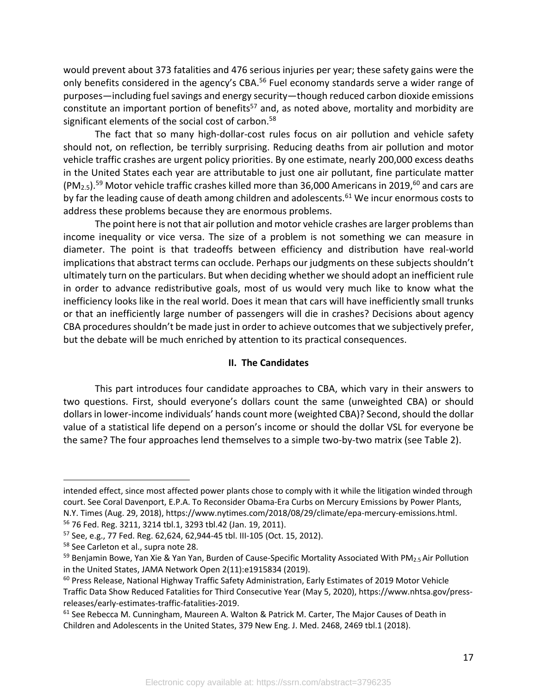would prevent about 373 fatalities and 476 serious injuries per year; these safety gains were the only benefits considered in the agency's CBA.<sup>56</sup> Fuel economy standards serve a wider range of purposes—including fuel savings and energy security—though reduced carbon dioxide emissions constitute an important portion of benefits<sup>57</sup> and, as noted above, mortality and morbidity are significant elements of the social cost of carbon.<sup>58</sup>

The fact that so many high-dollar-cost rules focus on air pollution and vehicle safety should not, on reflection, be terribly surprising. Reducing deaths from air pollution and motor vehicle traffic crashes are urgent policy priorities. By one estimate, nearly 200,000 excess deaths in the United States each year are attributable to just one air pollutant, fine particulate matter  $(PM<sub>2.5</sub>)$ .<sup>59</sup> Motor vehicle traffic crashes killed more than 36,000 Americans in 2019,<sup>60</sup> and cars are by far the leading cause of death among children and adolescents.<sup>61</sup> We incur enormous costs to address these problems because they are enormous problems.

The point here is not that air pollution and motor vehicle crashes are larger problems than income inequality or vice versa. The size of a problem is not something we can measure in diameter. The point is that tradeoffs between efficiency and distribution have real-world implications that abstract terms can occlude. Perhaps our judgments on these subjects shouldn't ultimately turn on the particulars. But when deciding whether we should adopt an inefficient rule in order to advance redistributive goals, most of us would very much like to know what the inefficiency looks like in the real world. Does it mean that cars will have inefficiently small trunks or that an inefficiently large number of passengers will die in crashes? Decisions about agency CBA procedures shouldn't be made just in order to achieve outcomes that we subjectively prefer, but the debate will be much enriched by attention to its practical consequences.

## **II. The Candidates**

This part introduces four candidate approaches to CBA, which vary in their answers to two questions. First, should everyone's dollars count the same (unweighted CBA) or should dollars in lower-income individuals' hands count more (weighted CBA)? Second, should the dollar value of a statistical life depend on a person's income or should the dollar VSL for everyone be the same? The four approaches lend themselves to a simple two-by-two matrix (see Table 2).

intended effect, since most affected power plants chose to comply with it while the litigation winded through court. See Coral Davenport, E.P.A. To Reconsider Obama-Era Curbs on Mercury Emissions by Power Plants, N.Y. Times (Aug. 29, 2018), https://www.nytimes.com/2018/08/29/climate/epa-mercury-emissions.html.

<sup>&</sup>lt;sup>56</sup> 76 Fed. Reg. 3211, 3214 tbl.1, 3293 tbl.42 (Jan. 19, 2011).<br><sup>57</sup> See, e.g., 77 Fed. Reg. 62,624, 62,944-45 tbl. III-105 (Oct. 15, 2012).

<sup>58</sup> See Carleton et al., supra note 28.

<sup>&</sup>lt;sup>59</sup> Benjamin Bowe, Yan Xie & Yan Yan, Burden of Cause-Specific Mortality Associated With PM<sub>2.5</sub> Air Pollution in the United States, JAMA Network Open 2(11):e1915834 (2019).

<sup>&</sup>lt;sup>60</sup> Press Release, National Highway Traffic Safety Administration, Early Estimates of 2019 Motor Vehicle Traffic Data Show Reduced Fatalities for Third Consecutive Year (May 5, 2020), https://www.nhtsa.gov/pressreleases/early-estimates-traffic-fatalities-2019.

<sup>61</sup> See Rebecca M. Cunningham, Maureen A. Walton & Patrick M. Carter, The Major Causes of Death in Children and Adolescents in the United States, 379 New Eng. J. Med. 2468, 2469 tbl.1 (2018).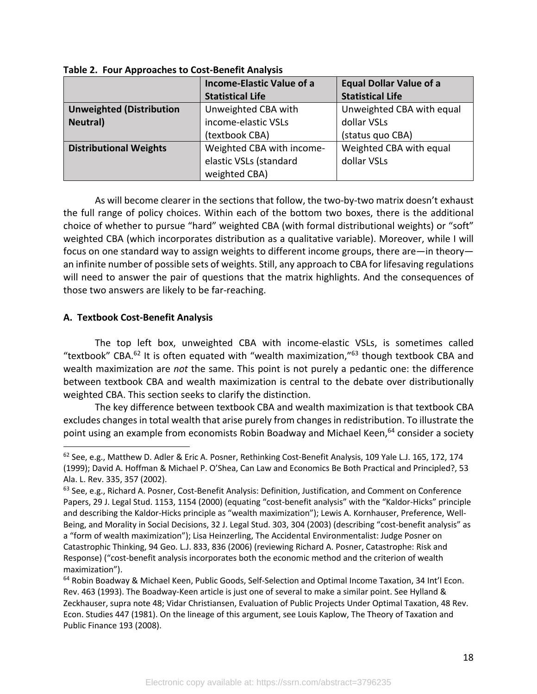|                                 | <b>Income-Elastic Value of a</b> | <b>Equal Dollar Value of a</b> |  |
|---------------------------------|----------------------------------|--------------------------------|--|
|                                 | <b>Statistical Life</b>          | <b>Statistical Life</b>        |  |
| <b>Unweighted (Distribution</b> | Unweighted CBA with              | Unweighted CBA with equal      |  |
| <b>Neutral</b> )                | income-elastic VSLs              | dollar VSLs                    |  |
|                                 | (textbook CBA)                   | (status quo CBA)               |  |
| <b>Distributional Weights</b>   | Weighted CBA with income-        | Weighted CBA with equal        |  |
|                                 | elastic VSLs (standard           | dollar VSLs                    |  |
|                                 | weighted CBA)                    |                                |  |

**Table 2. Four Approaches to Cost-Benefit Analysis**

As will become clearer in the sections that follow, the two-by-two matrix doesn't exhaust the full range of policy choices. Within each of the bottom two boxes, there is the additional choice of whether to pursue "hard" weighted CBA (with formal distributional weights) or "soft" weighted CBA (which incorporates distribution as a qualitative variable). Moreover, while I will focus on one standard way to assign weights to different income groups, there are—in theory an infinite number of possible sets of weights. Still, any approach to CBA for lifesaving regulations will need to answer the pair of questions that the matrix highlights. And the consequences of those two answers are likely to be far-reaching.

## **A. Textbook Cost-Benefit Analysis**

The top left box, unweighted CBA with income-elastic VSLs, is sometimes called "textbook" CBA. $^{62}$  It is often equated with "wealth maximization," $^{63}$  though textbook CBA and wealth maximization are *not* the same. This point is not purely a pedantic one: the difference between textbook CBA and wealth maximization is central to the debate over distributionally weighted CBA. This section seeks to clarify the distinction.

The key difference between textbook CBA and wealth maximization is that textbook CBA excludes changes in total wealth that arise purely from changes in redistribution. To illustrate the point using an example from economists Robin Boadway and Michael Keen,<sup>64</sup> consider a society

<sup>&</sup>lt;sup>62</sup> See, e.g., Matthew D. Adler & Eric A. Posner, Rethinking Cost-Benefit Analysis, 109 Yale L.J. 165, 172, 174 (1999); David A. Hoffman & Michael P. O'Shea, Can Law and Economics Be Both Practical and Principled?, 53 Ala. L. Rev. 335, 357 (2002).

<sup>63</sup> See, e.g., Richard A. Posner, Cost-Benefit Analysis: Definition, Justification, and Comment on Conference Papers, 29 J. Legal Stud. 1153, 1154 (2000) (equating "cost-benefit analysis" with the "Kaldor-Hicks" principle and describing the Kaldor-Hicks principle as "wealth maximization"); Lewis A. Kornhauser, Preference, Well-Being, and Morality in Social Decisions, 32 J. Legal Stud. 303, 304 (2003) (describing "cost-benefit analysis" as a "form of wealth maximization"); Lisa Heinzerling, The Accidental Environmentalist: Judge Posner on Catastrophic Thinking, 94 Geo. L.J. 833, 836 (2006) (reviewing Richard A. Posner, Catastrophe: Risk and Response) ("cost-benefit analysis incorporates both the economic method and the criterion of wealth maximization").

<sup>&</sup>lt;sup>64</sup> Robin Boadway & Michael Keen, Public Goods, Self-Selection and Optimal Income Taxation, 34 Int'l Econ. Rev. 463 (1993). The Boadway-Keen article is just one of several to make a similar point. See Hylland & Zeckhauser, supra note 48; Vidar Christiansen, Evaluation of Public Projects Under Optimal Taxation, 48 Rev. Econ. Studies 447 (1981). On the lineage of this argument, see Louis Kaplow, The Theory of Taxation and Public Finance 193 (2008).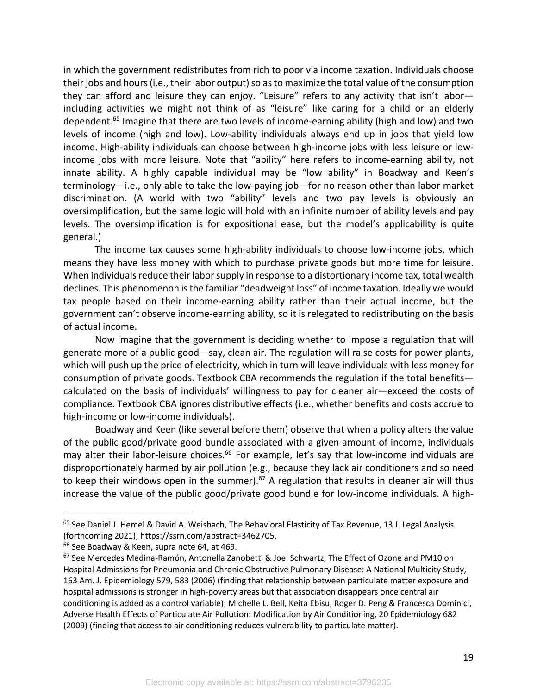in which the government redistributes from rich to poor via income taxation. Individuals choose their jobs and hours (i.e., their labor output) so as to maximize the total value of the consumption they can afford and leisure they can enjoy. "Leisure" refers to any activity that isn't labor including activities we might not think of as "leisure" like caring for a child or an elderly dependent.<sup>65</sup> Imagine that there are two levels of income-earning ability (high and low) and two levels of income (high and low). Low-ability individuals always end up in jobs that yield low income. High-ability individuals can choose between high-income jobs with less leisure or lowincome jobs with more leisure. Note that "ability" here refers to income-earning ability, not innate ability. A highly capable individual may be "low ability" in Boadway and Keen's terminology—i.e., only able to take the low-paying job—for no reason other than labor market discrimination. (A world with two "ability" levels and two pay levels is obviously an oversimplification, but the same logic will hold with an infinite number of ability levels and pay levels. The oversimplification is for expositional ease, but the model's applicability is quite general.)

The income tax causes some high-ability individuals to choose low-income jobs, which means they have less money with which to purchase private goods but more time for leisure. When individuals reduce their labor supply in response to a distortionary income tax, total wealth declines. This phenomenon is the familiar "deadweight loss" of income taxation. Ideally we would tax people based on their income-earning ability rather than their actual income, but the government can't observe income-earning ability, so it is relegated to redistributing on the basis of actual income.

Now imagine that the government is deciding whether to impose a regulation that will generate more of a public good—say, clean air. The regulation will raise costs for power plants, which will push up the price of electricity, which in turn will leave individuals with less money for consumption of private goods. Textbook CBA recommends the regulation if the total benefits calculated on the basis of individuals' willingness to pay for cleaner air—exceed the costs of compliance. Textbook CBA ignores distributive effects (i.e., whether benefits and costs accrue to high-income or low-income individuals).

Boadway and Keen (like several before them) observe that when a policy alters the value of the public good/private good bundle associated with a given amount of income, individuals may alter their labor-leisure choices.<sup>66</sup> For example, let's say that low-income individuals are disproportionately harmed by air pollution (e.g., because they lack air conditioners and so need to keep their windows open in the summer).<sup>67</sup> A regulation that results in cleaner air will thus increase the value of the public good/private good bundle for low-income individuals. A high-

<sup>&</sup>lt;sup>65</sup> See Daniel J. Hemel & David A. Weisbach, The Behavioral Elasticity of Tax Revenue, 13 J. Legal Analysis (forthcoming 2021), https://ssrn.com/abstract=3462705.

<sup>&</sup>lt;sup>66</sup> See Boadway & Keen, supra note 64, at 469.

<sup>&</sup>lt;sup>67</sup> See Mercedes Medina-Ramón, Antonella Zanobetti & Joel Schwartz, The Effect of Ozone and PM10 on Hospital Admissions for Pneumonia and Chronic Obstructive Pulmonary Disease: A National Multicity Study, 163 Am. J. Epidemiology 579, 583 (2006) (finding that relationship between particulate matter exposure and hospital admissions is stronger in high-poverty areas but that association disappears once central air conditioning is added as a control variable); Michelle L. Bell, Keita Ebisu, Roger D. Peng & Francesca Dominici, Adverse Health Effects of Particulate Air Pollution: Modification by Air Conditioning, 20 Epidemiology 682 (2009) (finding that access to air conditioning reduces vulnerability to particulate matter).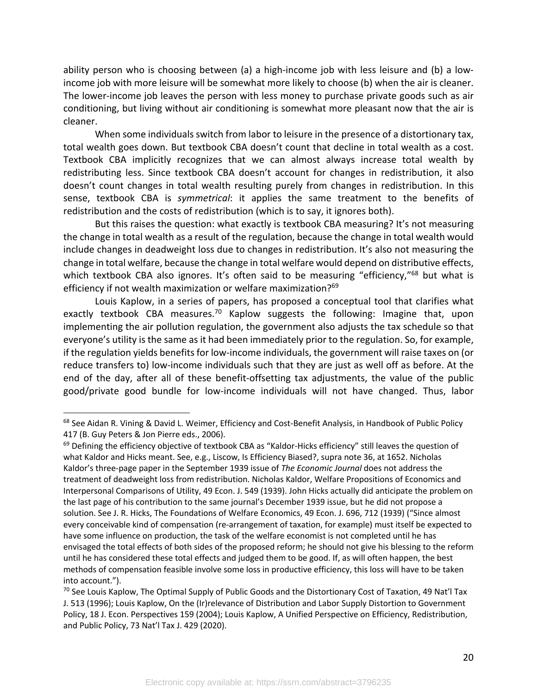ability person who is choosing between (a) a high-income job with less leisure and (b) a lowincome job with more leisure will be somewhat more likely to choose (b) when the air is cleaner. The lower-income job leaves the person with less money to purchase private goods such as air conditioning, but living without air conditioning is somewhat more pleasant now that the air is cleaner.

When some individuals switch from labor to leisure in the presence of a distortionary tax, total wealth goes down. But textbook CBA doesn't count that decline in total wealth as a cost. Textbook CBA implicitly recognizes that we can almost always increase total wealth by redistributing less. Since textbook CBA doesn't account for changes in redistribution, it also doesn't count changes in total wealth resulting purely from changes in redistribution. In this sense, textbook CBA is *symmetrical*: it applies the same treatment to the benefits of redistribution and the costs of redistribution (which is to say, it ignores both).

But this raises the question: what exactly is textbook CBA measuring? It's not measuring the change in total wealth as a result of the regulation, because the change in total wealth would include changes in deadweight loss due to changes in redistribution. It's also not measuring the change in total welfare, because the change in total welfare would depend on distributive effects, which textbook CBA also ignores. It's often said to be measuring "efficiency,"<sup>68</sup> but what is efficiency if not wealth maximization or welfare maximization?<sup>69</sup>

Louis Kaplow, in a series of papers, has proposed a conceptual tool that clarifies what exactly textbook CBA measures.<sup>70</sup> Kaplow suggests the following: Imagine that, upon implementing the air pollution regulation, the government also adjusts the tax schedule so that everyone's utility is the same as it had been immediately prior to the regulation. So, for example, if the regulation yields benefits for low-income individuals, the government will raise taxes on (or reduce transfers to) low-income individuals such that they are just as well off as before. At the end of the day, after all of these benefit-offsetting tax adjustments, the value of the public good/private good bundle for low-income individuals will not have changed. Thus, labor

<sup>&</sup>lt;sup>68</sup> See Aidan R. Vining & David L. Weimer, Efficiency and Cost-Benefit Analysis, in Handbook of Public Policy 417 (B. Guy Peters & Jon Pierre eds., 2006).

 $69$  Defining the efficiency objective of textbook CBA as "Kaldor-Hicks efficiency" still leaves the question of what Kaldor and Hicks meant. See, e.g., Liscow, Is Efficiency Biased?, supra note 36, at 1652. Nicholas Kaldor's three-page paper in the September 1939 issue of *The Economic Journal* does not address the treatment of deadweight loss from redistribution. Nicholas Kaldor, Welfare Propositions of Economics and Interpersonal Comparisons of Utility, 49 Econ. J. 549 (1939). John Hicks actually did anticipate the problem on the last page of his contribution to the same journal's December 1939 issue, but he did not propose a solution. See J. R. Hicks, The Foundations of Welfare Economics, 49 Econ. J. 696, 712 (1939) ("Since almost every conceivable kind of compensation (re-arrangement of taxation, for example) must itself be expected to have some influence on production, the task of the welfare economist is not completed until he has envisaged the total effects of both sides of the proposed reform; he should not give his blessing to the reform until he has considered these total effects and judged them to be good. If, as will often happen, the best methods of compensation feasible involve some loss in productive efficiency, this loss will have to be taken into account.").

 $^{70}$  See Louis Kaplow, The Optimal Supply of Public Goods and the Distortionary Cost of Taxation, 49 Nat'l Tax J. 513 (1996); Louis Kaplow, On the (Ir)relevance of Distribution and Labor Supply Distortion to Government Policy, 18 J. Econ. Perspectives 159 (2004); Louis Kaplow, A Unified Perspective on Efficiency, Redistribution, and Public Policy, 73 Nat'l Tax J. 429 (2020).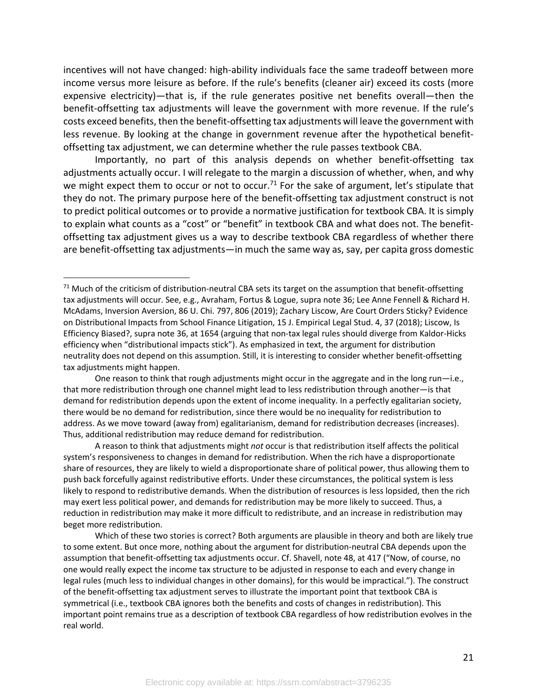incentives will not have changed: high-ability individuals face the same tradeoff between more income versus more leisure as before. If the rule's benefits (cleaner air) exceed its costs (more expensive electricity)—that is, if the rule generates positive net benefits overall—then the benefit-offsetting tax adjustments will leave the government with more revenue. If the rule's costs exceed benefits, then the benefit-offsetting tax adjustments will leave the government with less revenue. By looking at the change in government revenue after the hypothetical benefitoffsetting tax adjustment, we can determine whether the rule passes textbook CBA.

Importantly, no part of this analysis depends on whether benefit-offsetting tax adjustments actually occur. I will relegate to the margin a discussion of whether, when, and why we might expect them to occur or not to occur.<sup>71</sup> For the sake of argument, let's stipulate that they do not. The primary purpose here of the benefit-offsetting tax adjustment construct is not to predict political outcomes or to provide a normative justification for textbook CBA. It is simply to explain what counts as a "cost" or "benefit" in textbook CBA and what does not. The benefitoffsetting tax adjustment gives us a way to describe textbook CBA regardless of whether there are benefit-offsetting tax adjustments—in much the same way as, say, per capita gross domestic

A reason to think that adjustments might *not* occur is that redistribution itself affects the political system's responsiveness to changes in demand for redistribution. When the rich have a disproportionate share of resources, they are likely to wield a disproportionate share of political power, thus allowing them to push back forcefully against redistributive efforts. Under these circumstances, the political system is less likely to respond to redistributive demands. When the distribution of resources is less lopsided, then the rich may exert less political power, and demands for redistribution may be more likely to succeed. Thus, a reduction in redistribution may make it more difficult to redistribute, and an increase in redistribution may beget more redistribution.

Which of these two stories is correct? Both arguments are plausible in theory and both are likely true to some extent. But once more, nothing about the argument for distribution-neutral CBA depends upon the assumption that benefit-offsetting tax adjustments occur. Cf. Shavell, note 48, at 417 ("Now, of course, no one would really expect the income tax structure to be adjusted in response to each and every change in legal rules (much less to individual changes in other domains), for this would be impractical."). The construct of the benefit-offsetting tax adjustment serves to illustrate the important point that textbook CBA is symmetrical (i.e., textbook CBA ignores both the benefits and costs of changes in redistribution). This important point remains true as a description of textbook CBA regardless of how redistribution evolves in the real world.

 $71$  Much of the criticism of distribution-neutral CBA sets its target on the assumption that benefit-offsetting tax adjustments will occur. See, e.g., Avraham, Fortus & Logue, supra note 36; Lee Anne Fennell & Richard H. McAdams, Inversion Aversion, 86 U. Chi. 797, 806 (2019); Zachary Liscow, Are Court Orders Sticky? Evidence on Distributional Impacts from School Finance Litigation, 15 J. Empirical Legal Stud. 4, 37 (2018); Liscow, Is Efficiency Biased?, supra note 36, at 1654 (arguing that non-tax legal rules should diverge from Kaldor-Hicks efficiency when "distributional impacts stick"). As emphasized in text, the argument for distribution neutrality does not depend on this assumption. Still, it is interesting to consider whether benefit-offsetting tax adjustments might happen.

One reason to think that rough adjustments might occur in the aggregate and in the long run—i.e., that more redistribution through one channel might lead to less redistribution through another—is that demand for redistribution depends upon the extent of income inequality. In a perfectly egalitarian society, there would be no demand for redistribution, since there would be no inequality for redistribution to address. As we move toward (away from) egalitarianism, demand for redistribution decreases (increases). Thus, additional redistribution may reduce demand for redistribution.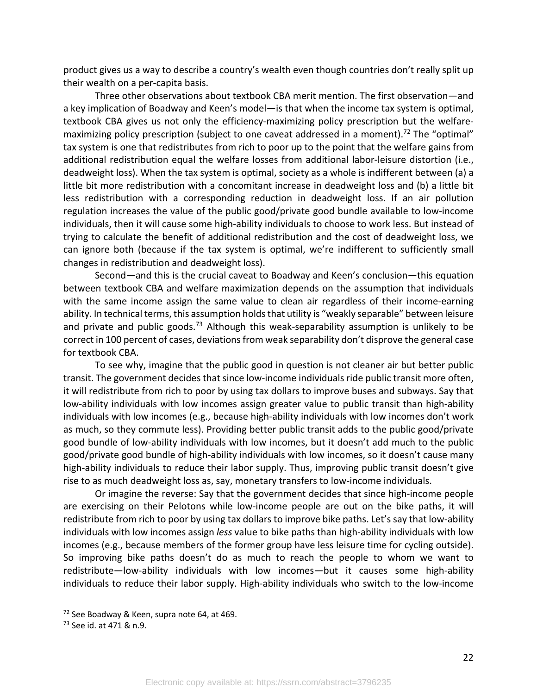product gives us a way to describe a country's wealth even though countries don't really split up their wealth on a per-capita basis.

Three other observations about textbook CBA merit mention. The first observation—and a key implication of Boadway and Keen's model—is that when the income tax system is optimal, textbook CBA gives us not only the efficiency-maximizing policy prescription but the welfaremaximizing policy prescription (subject to one caveat addressed in a moment).<sup>72</sup> The "optimal" tax system is one that redistributes from rich to poor up to the point that the welfare gains from additional redistribution equal the welfare losses from additional labor-leisure distortion (i.e., deadweight loss). When the tax system is optimal, society as a whole is indifferent between (a) a little bit more redistribution with a concomitant increase in deadweight loss and (b) a little bit less redistribution with a corresponding reduction in deadweight loss. If an air pollution regulation increases the value of the public good/private good bundle available to low-income individuals, then it will cause some high-ability individuals to choose to work less. But instead of trying to calculate the benefit of additional redistribution and the cost of deadweight loss, we can ignore both (because if the tax system is optimal, we're indifferent to sufficiently small changes in redistribution and deadweight loss).

Second—and this is the crucial caveat to Boadway and Keen's conclusion—this equation between textbook CBA and welfare maximization depends on the assumption that individuals with the same income assign the same value to clean air regardless of their income-earning ability. In technical terms, this assumption holds that utility is "weakly separable" between leisure and private and public goods.<sup>73</sup> Although this weak-separability assumption is unlikely to be correct in 100 percent of cases, deviations from weak separability don't disprove the general case for textbook CBA.

To see why, imagine that the public good in question is not cleaner air but better public transit. The government decides that since low-income individuals ride public transit more often, it will redistribute from rich to poor by using tax dollars to improve buses and subways. Say that low-ability individuals with low incomes assign greater value to public transit than high-ability individuals with low incomes (e.g., because high-ability individuals with low incomes don't work as much, so they commute less). Providing better public transit adds to the public good/private good bundle of low-ability individuals with low incomes, but it doesn't add much to the public good/private good bundle of high-ability individuals with low incomes, so it doesn't cause many high-ability individuals to reduce their labor supply. Thus, improving public transit doesn't give rise to as much deadweight loss as, say, monetary transfers to low-income individuals.

Or imagine the reverse: Say that the government decides that since high-income people are exercising on their Pelotons while low-income people are out on the bike paths, it will redistribute from rich to poor by using tax dollars to improve bike paths. Let's say that low-ability individuals with low incomes assign *less* value to bike paths than high-ability individuals with low incomes (e.g., because members of the former group have less leisure time for cycling outside). So improving bike paths doesn't do as much to reach the people to whom we want to redistribute—low-ability individuals with low incomes—but it causes some high-ability individuals to reduce their labor supply. High-ability individuals who switch to the low-income

<sup>&</sup>lt;sup>72</sup> See Boadway & Keen, supra note 64, at 469.

<sup>73</sup> See id. at 471 & n.9.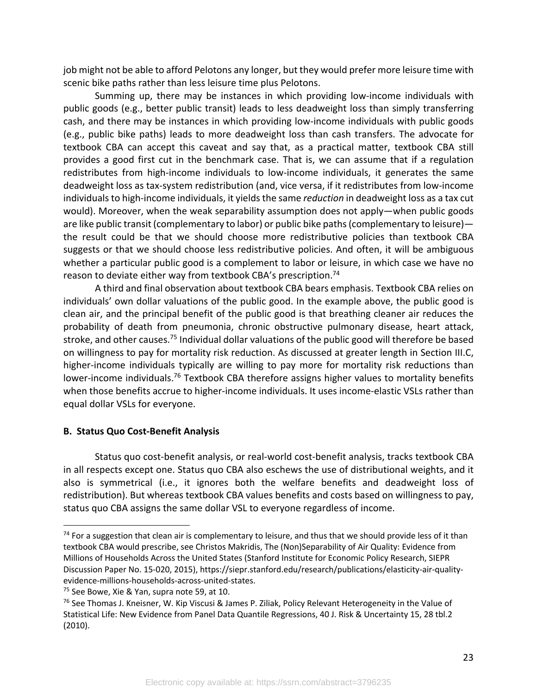job might not be able to afford Pelotons any longer, but they would prefer more leisure time with scenic bike paths rather than less leisure time plus Pelotons.

Summing up, there may be instances in which providing low-income individuals with public goods (e.g., better public transit) leads to less deadweight loss than simply transferring cash, and there may be instances in which providing low-income individuals with public goods (e.g., public bike paths) leads to more deadweight loss than cash transfers. The advocate for textbook CBA can accept this caveat and say that, as a practical matter, textbook CBA still provides a good first cut in the benchmark case. That is, we can assume that if a regulation redistributes from high-income individuals to low-income individuals, it generates the same deadweight loss as tax-system redistribution (and, vice versa, if it redistributes from low-income individuals to high-income individuals, it yields the same *reduction* in deadweight loss as a tax cut would). Moreover, when the weak separability assumption does not apply—when public goods are like public transit (complementary to labor) or public bike paths (complementary to leisure) the result could be that we should choose more redistributive policies than textbook CBA suggests or that we should choose less redistributive policies. And often, it will be ambiguous whether a particular public good is a complement to labor or leisure, in which case we have no reason to deviate either way from textbook CBA's prescription.74

A third and final observation about textbook CBA bears emphasis. Textbook CBA relies on individuals' own dollar valuations of the public good. In the example above, the public good is clean air, and the principal benefit of the public good is that breathing cleaner air reduces the probability of death from pneumonia, chronic obstructive pulmonary disease, heart attack, stroke, and other causes.<sup>75</sup> Individual dollar valuations of the public good will therefore be based on willingness to pay for mortality risk reduction. As discussed at greater length in Section III.C, higher-income individuals typically are willing to pay more for mortality risk reductions than lower-income individuals.<sup>76</sup> Textbook CBA therefore assigns higher values to mortality benefits when those benefits accrue to higher-income individuals. It uses income-elastic VSLs rather than equal dollar VSLs for everyone.

## **B. Status Quo Cost-Benefit Analysis**

Status quo cost-benefit analysis, or real-world cost-benefit analysis, tracks textbook CBA in all respects except one. Status quo CBA also eschews the use of distributional weights, and it also is symmetrical (i.e., it ignores both the welfare benefits and deadweight loss of redistribution). But whereas textbook CBA values benefits and costs based on willingness to pay, status quo CBA assigns the same dollar VSL to everyone regardless of income.

 $74$  For a suggestion that clean air is complementary to leisure, and thus that we should provide less of it than textbook CBA would prescribe, see Christos Makridis, The (Non)Separability of Air Quality: Evidence from Millions of Households Across the United States (Stanford Institute for Economic Policy Research, SIEPR Discussion Paper No. 15-020, 2015), https://siepr.stanford.edu/research/publications/elasticity-air-qualityevidence-millions-households-across-united-states.

 $75$  See Bowe, Xie & Yan, supra note 59, at 10.

<sup>&</sup>lt;sup>76</sup> See Thomas J. Kneisner, W. Kip Viscusi & James P. Ziliak, Policy Relevant Heterogeneity in the Value of Statistical Life: New Evidence from Panel Data Quantile Regressions, 40 J. Risk & Uncertainty 15, 28 tbl.2 (2010).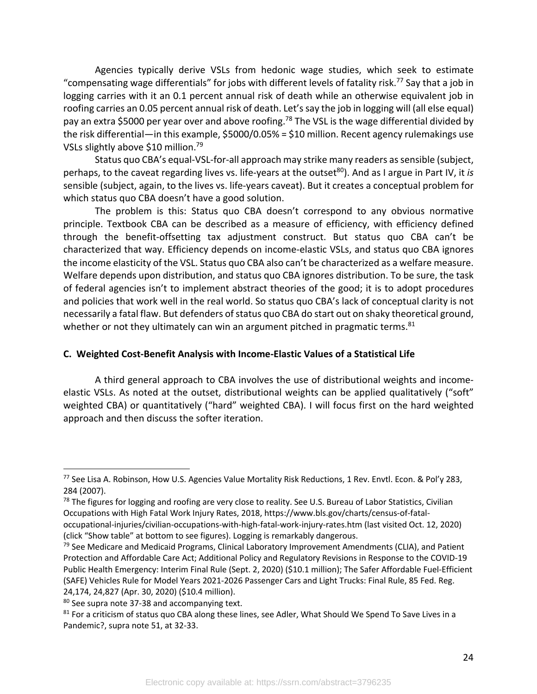Agencies typically derive VSLs from hedonic wage studies, which seek to estimate "compensating wage differentials" for jobs with different levels of fatality risk.77 Say that a job in logging carries with it an 0.1 percent annual risk of death while an otherwise equivalent job in roofing carries an 0.05 percent annual risk of death. Let's say the job in logging will (all else equal) pay an extra \$5000 per year over and above roofing.<sup>78</sup> The VSL is the wage differential divided by the risk differential—in this example, \$5000/0.05% = \$10 million. Recent agency rulemakings use VSLs slightly above \$10 million.79

Status quo CBA's equal-VSL-for-all approach may strike many readers as sensible (subject, perhaps, to the caveat regarding lives vs. life-years at the outset<sup>80</sup>). And as I argue in Part IV, it *is* sensible (subject, again, to the lives vs. life-years caveat). But it creates a conceptual problem for which status quo CBA doesn't have a good solution.

The problem is this: Status quo CBA doesn't correspond to any obvious normative principle. Textbook CBA can be described as a measure of efficiency, with efficiency defined through the benefit-offsetting tax adjustment construct. But status quo CBA can't be characterized that way. Efficiency depends on income-elastic VSLs, and status quo CBA ignores the income elasticity of the VSL. Status quo CBA also can't be characterized as a welfare measure. Welfare depends upon distribution, and status quo CBA ignores distribution. To be sure, the task of federal agencies isn't to implement abstract theories of the good; it is to adopt procedures and policies that work well in the real world. So status quo CBA's lack of conceptual clarity is not necessarily a fatal flaw. But defenders of status quo CBA do start out on shaky theoretical ground, whether or not they ultimately can win an argument pitched in pragmatic terms.<sup>81</sup>

## **C. Weighted Cost-Benefit Analysis with Income-Elastic Values of a Statistical Life**

A third general approach to CBA involves the use of distributional weights and incomeelastic VSLs. As noted at the outset, distributional weights can be applied qualitatively ("soft" weighted CBA) or quantitatively ("hard" weighted CBA). I will focus first on the hard weighted approach and then discuss the softer iteration.

<sup>77</sup> See Lisa A. Robinson, How U.S. Agencies Value Mortality Risk Reductions, 1 Rev. Envtl. Econ. & Pol'y 283, 284 (2007).

 $78$  The figures for logging and roofing are very close to reality. See U.S. Bureau of Labor Statistics, Civilian Occupations with High Fatal Work Injury Rates, 2018, https://www.bls.gov/charts/census-of-fataloccupational-injuries/civilian-occupations-with-high-fatal-work-injury-rates.htm (last visited Oct. 12, 2020) (click "Show table" at bottom to see figures). Logging is remarkably dangerous.

 $79$  See Medicare and Medicaid Programs, Clinical Laboratory Improvement Amendments (CLIA), and Patient Protection and Affordable Care Act; Additional Policy and Regulatory Revisions in Response to the COVID-19 Public Health Emergency: Interim Final Rule (Sept. 2, 2020) (\$10.1 million); The Safer Affordable Fuel-Efficient (SAFE) Vehicles Rule for Model Years 2021-2026 Passenger Cars and Light Trucks: Final Rule, 85 Fed. Reg. 24,174, 24,827 (Apr. 30, 2020) (\$10.4 million).

<sup>80</sup> See supra note 37-38 and accompanying text.

<sup>81</sup> For a criticism of status quo CBA along these lines, see Adler, What Should We Spend To Save Lives in a Pandemic?, supra note 51, at 32-33.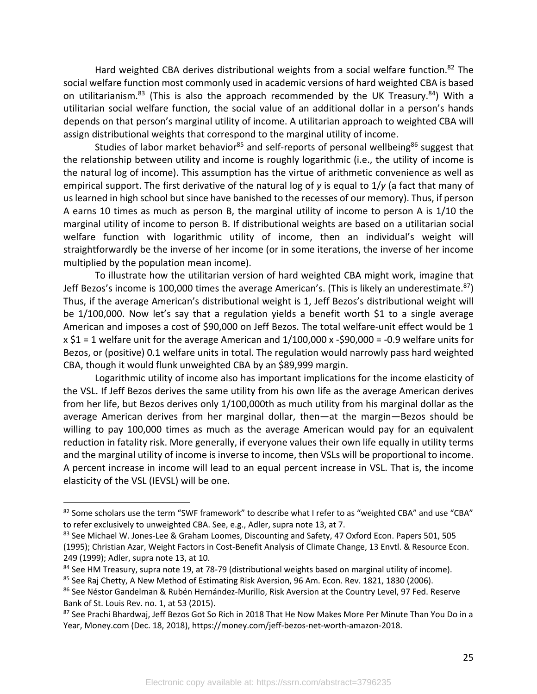Hard weighted CBA derives distributional weights from a social welfare function.<sup>82</sup> The social welfare function most commonly used in academic versions of hard weighted CBA is based on utilitarianism.<sup>83</sup> (This is also the approach recommended by the UK Treasury.<sup>84</sup>) With a utilitarian social welfare function, the social value of an additional dollar in a person's hands depends on that person's marginal utility of income. A utilitarian approach to weighted CBA will assign distributional weights that correspond to the marginal utility of income.

Studies of labor market behavior<sup>85</sup> and self-reports of personal wellbeing<sup>86</sup> suggest that the relationship between utility and income is roughly logarithmic (i.e., the utility of income is the natural log of income). This assumption has the virtue of arithmetic convenience as well as empirical support. The first derivative of the natural log of *y* is equal to 1/*y* (a fact that many of us learned in high school but since have banished to the recesses of our memory). Thus, if person A earns 10 times as much as person B, the marginal utility of income to person A is 1/10 the marginal utility of income to person B. If distributional weights are based on a utilitarian social welfare function with logarithmic utility of income, then an individual's weight will straightforwardly be the inverse of her income (or in some iterations, the inverse of her income multiplied by the population mean income).

To illustrate how the utilitarian version of hard weighted CBA might work, imagine that Jeff Bezos's income is 100,000 times the average American's. (This is likely an underestimate.<sup>87</sup>) Thus, if the average American's distributional weight is 1, Jeff Bezos's distributional weight will be 1/100,000. Now let's say that a regulation yields a benefit worth \$1 to a single average American and imposes a cost of \$90,000 on Jeff Bezos. The total welfare-unit effect would be 1  $x$  \$1 = 1 welfare unit for the average American and  $1/100,000$  x -\$90,000 = -0.9 welfare units for Bezos, or (positive) 0.1 welfare units in total. The regulation would narrowly pass hard weighted CBA, though it would flunk unweighted CBA by an \$89,999 margin.

Logarithmic utility of income also has important implications for the income elasticity of the VSL. If Jeff Bezos derives the same utility from his own life as the average American derives from her life, but Bezos derives only 1/100,000th as much utility from his marginal dollar as the average American derives from her marginal dollar, then—at the margin—Bezos should be willing to pay 100,000 times as much as the average American would pay for an equivalent reduction in fatality risk. More generally, if everyone values their own life equally in utility terms and the marginal utility of income is inverse to income, then VSLs will be proportional to income. A percent increase in income will lead to an equal percent increase in VSL. That is, the income elasticity of the VSL (IEVSL) will be one.

<sup>82</sup> Some scholars use the term "SWF framework" to describe what I refer to as "weighted CBA" and use "CBA" to refer exclusively to unweighted CBA. See, e.g., Adler, supra note 13, at 7.

<sup>83</sup> See Michael W. Jones-Lee & Graham Loomes, Discounting and Safety, 47 Oxford Econ. Papers 501, 505 (1995); Christian Azar, Weight Factors in Cost-Benefit Analysis of Climate Change, 13 Envtl. & Resource Econ. 249 (1999); Adler, supra note 13, at 10.

<sup>84</sup> See HM Treasury, supra note 19, at 78-79 (distributional weights based on marginal utility of income).

<sup>&</sup>lt;sup>85</sup> See Raj Chetty, A New Method of Estimating Risk Aversion, 96 Am. Econ. Rev. 1821, 1830 (2006).

<sup>86</sup> See Néstor Gandelman & Rubén Hernández-Murillo, Risk Aversion at the Country Level, 97 Fed. Reserve Bank of St. Louis Rev. no. 1, at 53 (2015).

<sup>87</sup> See Prachi Bhardwaj, Jeff Bezos Got So Rich in 2018 That He Now Makes More Per Minute Than You Do in a Year, Money.com (Dec. 18, 2018), https://money.com/jeff-bezos-net-worth-amazon-2018.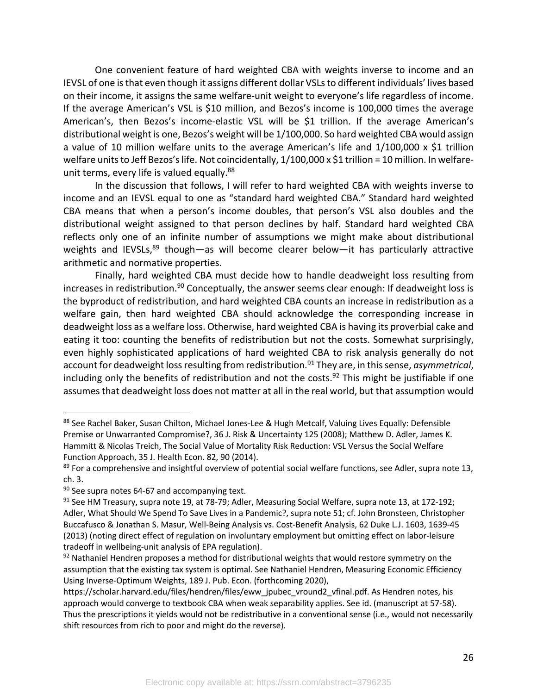One convenient feature of hard weighted CBA with weights inverse to income and an IEVSL of one is that even though it assigns different dollar VSLs to different individuals' lives based on their income, it assigns the same welfare-unit weight to everyone's life regardless of income. If the average American's VSL is \$10 million, and Bezos's income is 100,000 times the average American's, then Bezos's income-elastic VSL will be \$1 trillion. If the average American's distributional weight is one, Bezos's weight will be 1/100,000. So hard weighted CBA would assign a value of 10 million welfare units to the average American's life and 1/100,000 x \$1 trillion welfare units to Jeff Bezos's life. Not coincidentally, 1/100,000 x \$1 trillion = 10 million. In welfareunit terms, every life is valued equally.<sup>88</sup>

In the discussion that follows, I will refer to hard weighted CBA with weights inverse to income and an IEVSL equal to one as "standard hard weighted CBA." Standard hard weighted CBA means that when a person's income doubles, that person's VSL also doubles and the distributional weight assigned to that person declines by half. Standard hard weighted CBA reflects only one of an infinite number of assumptions we might make about distributional weights and IEVSLs,<sup>89</sup> though—as will become clearer below—it has particularly attractive arithmetic and normative properties.

Finally, hard weighted CBA must decide how to handle deadweight loss resulting from increases in redistribution.<sup>90</sup> Conceptually, the answer seems clear enough: If deadweight loss is the byproduct of redistribution, and hard weighted CBA counts an increase in redistribution as a welfare gain, then hard weighted CBA should acknowledge the corresponding increase in deadweight loss as a welfare loss. Otherwise, hard weighted CBA is having its proverbial cake and eating it too: counting the benefits of redistribution but not the costs. Somewhat surprisingly, even highly sophisticated applications of hard weighted CBA to risk analysis generally do not account for deadweight loss resulting from redistribution. <sup>91</sup> They are, in this sense, *asymmetrical*, including only the benefits of redistribution and not the costs.<sup>92</sup> This might be justifiable if one assumes that deadweight loss does not matter at all in the real world, but that assumption would

<sup>88</sup> See Rachel Baker, Susan Chilton, Michael Jones-Lee & Hugh Metcalf, Valuing Lives Equally: Defensible Premise or Unwarranted Compromise?, 36 J. Risk & Uncertainty 125 (2008); Matthew D. Adler, James K. Hammitt & Nicolas Treich, The Social Value of Mortality Risk Reduction: VSL Versus the Social Welfare Function Approach, 35 J. Health Econ. 82, 90 (2014).

<sup>&</sup>lt;sup>89</sup> For a comprehensive and insightful overview of potential social welfare functions, see Adler, supra note 13, ch. 3.

 $90$  See supra notes 64-67 and accompanying text.

<sup>&</sup>lt;sup>91</sup> See HM Treasury, supra note 19, at 78-79; Adler, Measuring Social Welfare, supra note 13, at 172-192; Adler, What Should We Spend To Save Lives in a Pandemic?, supra note 51; cf. John Bronsteen, Christopher Buccafusco & Jonathan S. Masur, Well-Being Analysis vs. Cost-Benefit Analysis, 62 Duke L.J. 1603, 1639-45 (2013) (noting direct effect of regulation on involuntary employment but omitting effect on labor-leisure tradeoff in wellbeing-unit analysis of EPA regulation).

 $92$  Nathaniel Hendren proposes a method for distributional weights that would restore symmetry on the assumption that the existing tax system is optimal. See Nathaniel Hendren, Measuring Economic Efficiency Using Inverse-Optimum Weights, 189 J. Pub. Econ. (forthcoming 2020),

https://scholar.harvard.edu/files/hendren/files/eww\_jpubec\_vround2\_vfinal.pdf. As Hendren notes, his approach would converge to textbook CBA when weak separability applies. See id. (manuscript at 57-58). Thus the prescriptions it yields would not be redistributive in a conventional sense (i.e., would not necessarily shift resources from rich to poor and might do the reverse).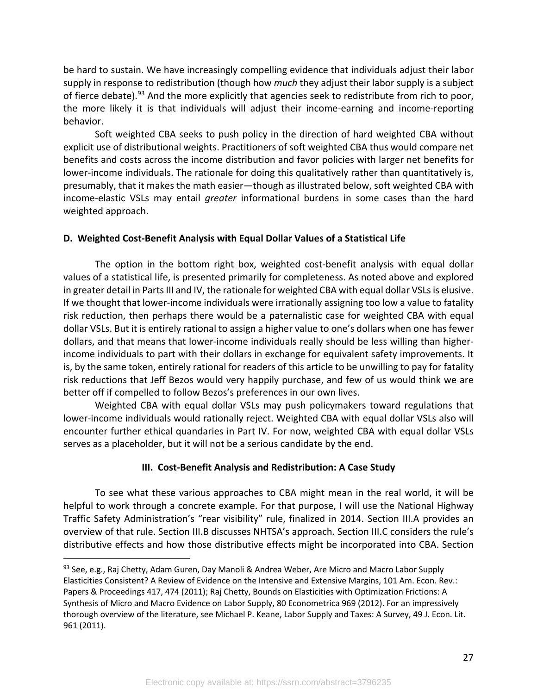be hard to sustain. We have increasingly compelling evidence that individuals adjust their labor supply in response to redistribution (though how *much* they adjust their labor supply is a subject of fierce debate).<sup>93</sup> And the more explicitly that agencies seek to redistribute from rich to poor, the more likely it is that individuals will adjust their income-earning and income-reporting behavior.

Soft weighted CBA seeks to push policy in the direction of hard weighted CBA without explicit use of distributional weights. Practitioners of soft weighted CBA thus would compare net benefits and costs across the income distribution and favor policies with larger net benefits for lower-income individuals. The rationale for doing this qualitatively rather than quantitatively is, presumably, that it makes the math easier—though as illustrated below, soft weighted CBA with income-elastic VSLs may entail *greater* informational burdens in some cases than the hard weighted approach.

## **D. Weighted Cost-Benefit Analysis with Equal Dollar Values of a Statistical Life**

The option in the bottom right box, weighted cost-benefit analysis with equal dollar values of a statistical life, is presented primarily for completeness. As noted above and explored in greater detail in Parts III and IV, the rationale for weighted CBA with equal dollar VSLs is elusive. If we thought that lower-income individuals were irrationally assigning too low a value to fatality risk reduction, then perhaps there would be a paternalistic case for weighted CBA with equal dollar VSLs. But it is entirely rational to assign a higher value to one's dollars when one has fewer dollars, and that means that lower-income individuals really should be less willing than higherincome individuals to part with their dollars in exchange for equivalent safety improvements. It is, by the same token, entirely rational for readers of this article to be unwilling to pay for fatality risk reductions that Jeff Bezos would very happily purchase, and few of us would think we are better off if compelled to follow Bezos's preferences in our own lives.

Weighted CBA with equal dollar VSLs may push policymakers toward regulations that lower-income individuals would rationally reject. Weighted CBA with equal dollar VSLs also will encounter further ethical quandaries in Part IV. For now, weighted CBA with equal dollar VSLs serves as a placeholder, but it will not be a serious candidate by the end.

## **III. Cost-Benefit Analysis and Redistribution: A Case Study**

To see what these various approaches to CBA might mean in the real world, it will be helpful to work through a concrete example. For that purpose, I will use the National Highway Traffic Safety Administration's "rear visibility" rule, finalized in 2014. Section III.A provides an overview of that rule. Section III.B discusses NHTSA's approach. Section III.C considers the rule's distributive effects and how those distributive effects might be incorporated into CBA. Section

<sup>93</sup> See, e.g., Raj Chetty, Adam Guren, Day Manoli & Andrea Weber, Are Micro and Macro Labor Supply Elasticities Consistent? A Review of Evidence on the Intensive and Extensive Margins, 101 Am. Econ. Rev.: Papers & Proceedings 417, 474 (2011); Raj Chetty, Bounds on Elasticities with Optimization Frictions: A Synthesis of Micro and Macro Evidence on Labor Supply, 80 Econometrica 969 (2012). For an impressively thorough overview of the literature, see Michael P. Keane, Labor Supply and Taxes: A Survey, 49 J. Econ. Lit. 961 (2011).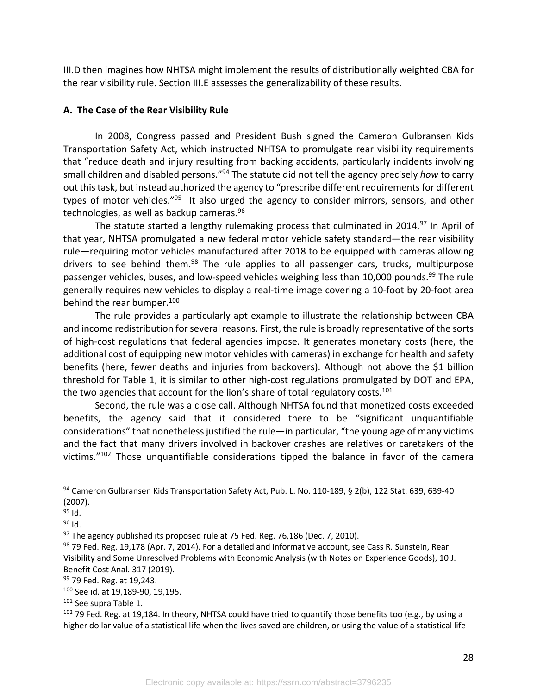III.D then imagines how NHTSA might implement the results of distributionally weighted CBA for the rear visibility rule. Section III.E assesses the generalizability of these results.

## **A. The Case of the Rear Visibility Rule**

In 2008, Congress passed and President Bush signed the Cameron Gulbransen Kids Transportation Safety Act, which instructed NHTSA to promulgate rear visibility requirements that "reduce death and injury resulting from backing accidents, particularly incidents involving small children and disabled persons."94 The statute did not tell the agency precisely *how* to carry out this task, but instead authorized the agency to "prescribe different requirements for different types of motor vehicles."<sup>95</sup> It also urged the agency to consider mirrors, sensors, and other technologies, as well as backup cameras.<sup>96</sup>

The statute started a lengthy rulemaking process that culminated in 2014.<sup>97</sup> In April of that year, NHTSA promulgated a new federal motor vehicle safety standard—the rear visibility rule—requiring motor vehicles manufactured after 2018 to be equipped with cameras allowing drivers to see behind them. $98$  The rule applies to all passenger cars, trucks, multipurpose passenger vehicles, buses, and low-speed vehicles weighing less than 10,000 pounds.<sup>99</sup> The rule generally requires new vehicles to display a real-time image covering a 10-foot by 20-foot area behind the rear bumper.<sup>100</sup>

The rule provides a particularly apt example to illustrate the relationship between CBA and income redistribution for several reasons. First, the rule is broadly representative of the sorts of high-cost regulations that federal agencies impose. It generates monetary costs (here, the additional cost of equipping new motor vehicles with cameras) in exchange for health and safety benefits (here, fewer deaths and injuries from backovers). Although not above the \$1 billion threshold for Table 1, it is similar to other high-cost regulations promulgated by DOT and EPA, the two agencies that account for the lion's share of total regulatory costs.<sup>101</sup>

Second, the rule was a close call. Although NHTSA found that monetized costs exceeded benefits, the agency said that it considered there to be "significant unquantifiable considerations" that nonetheless justified the rule—in particular, "the young age of many victims and the fact that many drivers involved in backover crashes are relatives or caretakers of the victims."102 Those unquantifiable considerations tipped the balance in favor of the camera

<sup>94</sup> Cameron Gulbransen Kids Transportation Safety Act, Pub. L. No. 110-189, § 2(b), 122 Stat. 639, 639-40 (2007).

 $95$  Id.

<sup>96</sup> Id.

 $97$  The agency published its proposed rule at 75 Fed. Reg. 76,186 (Dec. 7, 2010).

<sup>98 79</sup> Fed. Reg. 19,178 (Apr. 7, 2014). For a detailed and informative account, see Cass R. Sunstein, Rear Visibility and Some Unresolved Problems with Economic Analysis (with Notes on Experience Goods), 10 J. Benefit Cost Anal. 317 (2019).

<sup>99 79</sup> Fed. Reg. at 19,243.

<sup>100</sup> See id. at 19,189-90, 19,195.

<sup>&</sup>lt;sup>101</sup> See supra Table 1.

 $102$  79 Fed. Reg. at 19,184. In theory, NHTSA could have tried to quantify those benefits too (e.g., by using a higher dollar value of a statistical life when the lives saved are children, or using the value of a statistical life-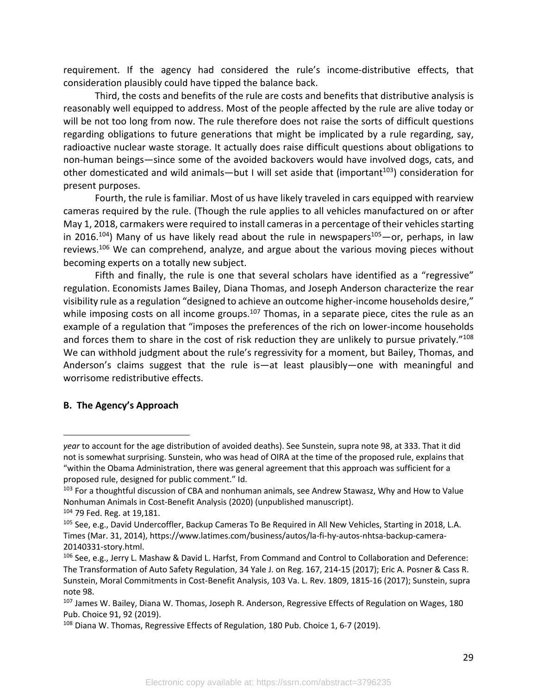requirement. If the agency had considered the rule's income-distributive effects, that consideration plausibly could have tipped the balance back.

Third, the costs and benefits of the rule are costs and benefits that distributive analysis is reasonably well equipped to address. Most of the people affected by the rule are alive today or will be not too long from now. The rule therefore does not raise the sorts of difficult questions regarding obligations to future generations that might be implicated by a rule regarding, say, radioactive nuclear waste storage. It actually does raise difficult questions about obligations to non-human beings—since some of the avoided backovers would have involved dogs, cats, and other domesticated and wild animals—but I will set aside that (important<sup>103</sup>) consideration for present purposes.

Fourth, the rule is familiar. Most of us have likely traveled in cars equipped with rearview cameras required by the rule. (Though the rule applies to all vehicles manufactured on or after May 1, 2018, carmakers were required to install cameras in a percentage of their vehicles starting in 2016.<sup>104</sup>) Many of us have likely read about the rule in newspapers<sup>105</sup> — or, perhaps, in law reviews.<sup>106</sup> We can comprehend, analyze, and argue about the various moving pieces without becoming experts on a totally new subject.

Fifth and finally, the rule is one that several scholars have identified as a "regressive" regulation. Economists James Bailey, Diana Thomas, and Joseph Anderson characterize the rear visibility rule as a regulation "designed to achieve an outcome higher-income households desire," while imposing costs on all income groups.<sup>107</sup> Thomas, in a separate piece, cites the rule as an example of a regulation that "imposes the preferences of the rich on lower-income households and forces them to share in the cost of risk reduction they are unlikely to pursue privately."<sup>108</sup> We can withhold judgment about the rule's regressivity for a moment, but Bailey, Thomas, and Anderson's claims suggest that the rule is—at least plausibly—one with meaningful and worrisome redistributive effects.

## **B. The Agency's Approach**

*year* to account for the age distribution of avoided deaths). See Sunstein, supra note 98, at 333. That it did not is somewhat surprising. Sunstein, who was head of OIRA at the time of the proposed rule, explains that "within the Obama Administration, there was general agreement that this approach was sufficient for a proposed rule, designed for public comment." Id.

<sup>&</sup>lt;sup>103</sup> For a thoughtful discussion of CBA and nonhuman animals, see Andrew Stawasz, Why and How to Value Nonhuman Animals in Cost-Benefit Analysis (2020) (unpublished manuscript).

<sup>104</sup> 79 Fed. Reg. at 19,181.

<sup>&</sup>lt;sup>105</sup> See, e.g., David Undercoffler, Backup Cameras To Be Required in All New Vehicles, Starting in 2018, L.A. Times (Mar. 31, 2014), https://www.latimes.com/business/autos/la-fi-hy-autos-nhtsa-backup-camera-20140331-story.html.

<sup>106</sup> See, e.g., Jerry L. Mashaw & David L. Harfst, From Command and Control to Collaboration and Deference: The Transformation of Auto Safety Regulation, 34 Yale J. on Reg. 167, 214-15 (2017); Eric A. Posner & Cass R. Sunstein, Moral Commitments in Cost-Benefit Analysis, 103 Va. L. Rev. 1809, 1815-16 (2017); Sunstein, supra note 98.<br><sup>107</sup> James W. Bailey, Diana W. Thomas, Joseph R. Anderson, Regressive Effects of Regulation on Wages, 180

Pub. Choice 91, 92 (2019).

<sup>&</sup>lt;sup>108</sup> Diana W. Thomas, Regressive Effects of Regulation, 180 Pub. Choice 1, 6-7 (2019).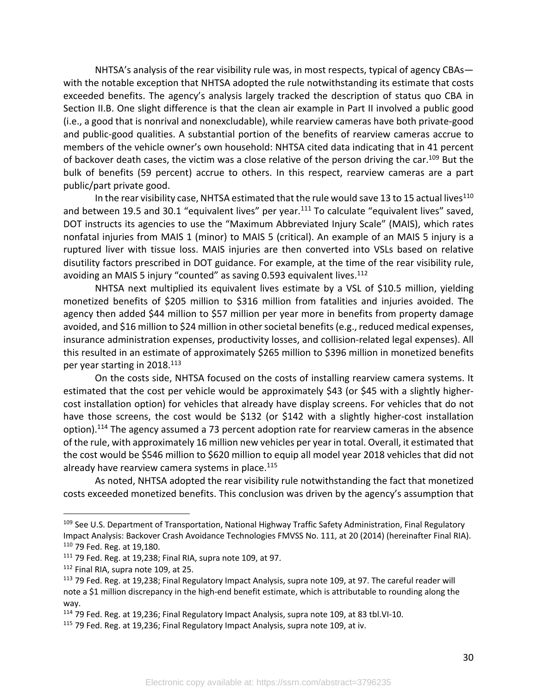NHTSA's analysis of the rear visibility rule was, in most respects, typical of agency CBAs with the notable exception that NHTSA adopted the rule notwithstanding its estimate that costs exceeded benefits. The agency's analysis largely tracked the description of status quo CBA in Section II.B. One slight difference is that the clean air example in Part II involved a public good (i.e., a good that is nonrival and nonexcludable), while rearview cameras have both private-good and public-good qualities. A substantial portion of the benefits of rearview cameras accrue to members of the vehicle owner's own household: NHTSA cited data indicating that in 41 percent of backover death cases, the victim was a close relative of the person driving the car.<sup>109</sup> But the bulk of benefits (59 percent) accrue to others. In this respect, rearview cameras are a part public/part private good.

In the rear visibility case, NHTSA estimated that the rule would save 13 to 15 actual lives $^{110}$ and between 19.5 and 30.1 "equivalent lives" per year.<sup>111</sup> To calculate "equivalent lives" saved, DOT instructs its agencies to use the "Maximum Abbreviated Injury Scale" (MAIS), which rates nonfatal injuries from MAIS 1 (minor) to MAIS 5 (critical). An example of an MAIS 5 injury is a ruptured liver with tissue loss. MAIS injuries are then converted into VSLs based on relative disutility factors prescribed in DOT guidance. For example, at the time of the rear visibility rule, avoiding an MAIS 5 injury "counted" as saving 0.593 equivalent lives. $112$ 

NHTSA next multiplied its equivalent lives estimate by a VSL of \$10.5 million, yielding monetized benefits of \$205 million to \$316 million from fatalities and injuries avoided. The agency then added \$44 million to \$57 million per year more in benefits from property damage avoided, and \$16 million to \$24 million in other societal benefits (e.g., reduced medical expenses, insurance administration expenses, productivity losses, and collision-related legal expenses). All this resulted in an estimate of approximately \$265 million to \$396 million in monetized benefits per year starting in 2018.<sup>113</sup>

On the costs side, NHTSA focused on the costs of installing rearview camera systems. It estimated that the cost per vehicle would be approximately \$43 (or \$45 with a slightly highercost installation option) for vehicles that already have display screens. For vehicles that do not have those screens, the cost would be \$132 (or \$142 with a slightly higher-cost installation option).<sup>114</sup> The agency assumed a 73 percent adoption rate for rearview cameras in the absence of the rule, with approximately 16 million new vehicles per year in total. Overall, it estimated that the cost would be \$546 million to \$620 million to equip all model year 2018 vehicles that did not already have rearview camera systems in place.<sup>115</sup>

As noted, NHTSA adopted the rear visibility rule notwithstanding the fact that monetized costs exceeded monetized benefits. This conclusion was driven by the agency's assumption that

<sup>&</sup>lt;sup>109</sup> See U.S. Department of Transportation, National Highway Traffic Safety Administration, Final Regulatory Impact Analysis: Backover Crash Avoidance Technologies FMVSS No. 111, at 20 (2014) (hereinafter Final RIA). <sup>110</sup> 79 Fed. Reg. at 19,180.

<sup>111</sup> 79 Fed. Reg. at 19,238; Final RIA, supra note 109, at 97.

<sup>112</sup> Final RIA, supra note 109, at 25.

<sup>113</sup> 79 Fed. Reg. at 19,238; Final Regulatory Impact Analysis, supra note 109, at 97. The careful reader will note a \$1 million discrepancy in the high-end benefit estimate, which is attributable to rounding along the way.

<sup>114</sup> 79 Fed. Reg. at 19,236; Final Regulatory Impact Analysis, supra note 109, at 83 tbl.VI-10.

<sup>&</sup>lt;sup>115</sup> 79 Fed. Reg. at 19,236; Final Regulatory Impact Analysis, supra note 109, at iv.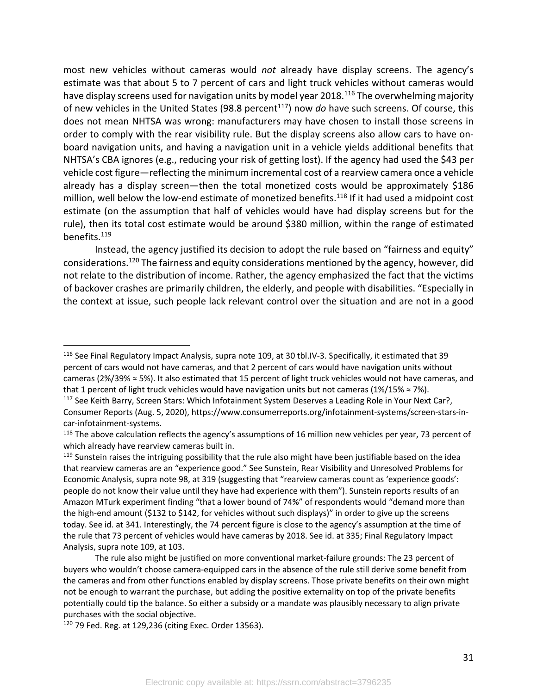most new vehicles without cameras would *not* already have display screens. The agency's estimate was that about 5 to 7 percent of cars and light truck vehicles without cameras would have display screens used for navigation units by model year 2018.<sup>116</sup> The overwhelming majority of new vehicles in the United States (98.8 percent<sup>117</sup>) now *do* have such screens. Of course, this does not mean NHTSA was wrong: manufacturers may have chosen to install those screens in order to comply with the rear visibility rule. But the display screens also allow cars to have onboard navigation units, and having a navigation unit in a vehicle yields additional benefits that NHTSA's CBA ignores (e.g., reducing your risk of getting lost). If the agency had used the \$43 per vehicle cost figure—reflecting the minimum incremental cost of a rearview camera once a vehicle already has a display screen—then the total monetized costs would be approximately \$186 million, well below the low-end estimate of monetized benefits.<sup>118</sup> If it had used a midpoint cost estimate (on the assumption that half of vehicles would have had display screens but for the rule), then its total cost estimate would be around \$380 million, within the range of estimated benefits.119

Instead, the agency justified its decision to adopt the rule based on "fairness and equity" considerations.120 The fairness and equity considerations mentioned by the agency, however, did not relate to the distribution of income. Rather, the agency emphasized the fact that the victims of backover crashes are primarily children, the elderly, and people with disabilities. "Especially in the context at issue, such people lack relevant control over the situation and are not in a good

<sup>116</sup> See Final Regulatory Impact Analysis, supra note 109, at 30 tbl.IV-3. Specifically, it estimated that 39 percent of cars would not have cameras, and that 2 percent of cars would have navigation units without cameras (2%/39% ≈ 5%). It also estimated that 15 percent of light truck vehicles would not have cameras, and that 1 percent of light truck vehicles would have navigation units but not cameras (1%/15%  $\approx$  7%). <sup>117</sup> See Keith Barry, Screen Stars: Which Infotainment System Deserves a Leading Role in Your Next Car?,

Consumer Reports (Aug. 5, 2020), https://www.consumerreports.org/infotainment-systems/screen-stars-incar-infotainment-systems.

<sup>&</sup>lt;sup>118</sup> The above calculation reflects the agency's assumptions of 16 million new vehicles per year, 73 percent of which already have rearview cameras built in.

<sup>&</sup>lt;sup>119</sup> Sunstein raises the intriguing possibility that the rule also might have been justifiable based on the idea that rearview cameras are an "experience good." See Sunstein, Rear Visibility and Unresolved Problems for Economic Analysis, supra note 98, at 319 (suggesting that "rearview cameras count as 'experience goods': people do not know their value until they have had experience with them"). Sunstein reports results of an Amazon MTurk experiment finding "that a lower bound of 74%" of respondents would "demand more than the high-end amount (\$132 to \$142, for vehicles without such displays)" in order to give up the screens today. See id. at 341. Interestingly, the 74 percent figure is close to the agency's assumption at the time of the rule that 73 percent of vehicles would have cameras by 2018. See id. at 335; Final Regulatory Impact Analysis, supra note 109, at 103.

The rule also might be justified on more conventional market-failure grounds: The 23 percent of buyers who wouldn't choose camera-equipped cars in the absence of the rule still derive some benefit from the cameras and from other functions enabled by display screens. Those private benefits on their own might not be enough to warrant the purchase, but adding the positive externality on top of the private benefits potentially could tip the balance. So either a subsidy or a mandate was plausibly necessary to align private purchases with the social objective.

<sup>120</sup> 79 Fed. Reg. at 129,236 (citing Exec. Order 13563).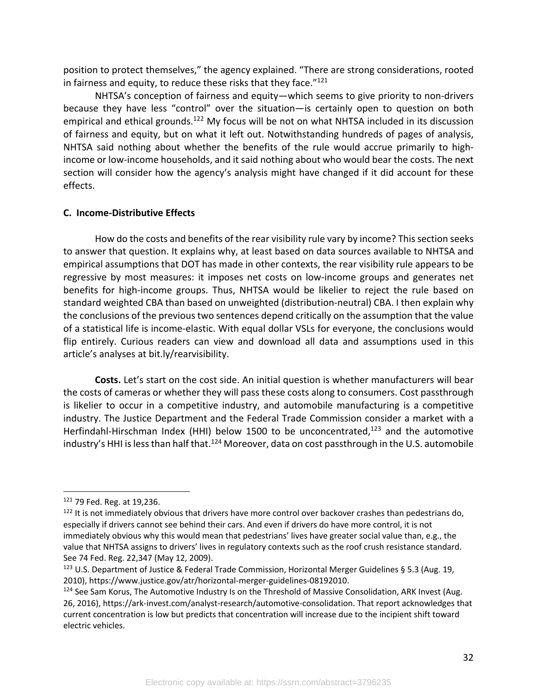position to protect themselves," the agency explained. "There are strong considerations, rooted in fairness and equity, to reduce these risks that they face. $"121"$ 

NHTSA's conception of fairness and equity—which seems to give priority to non-drivers because they have less "control" over the situation—is certainly open to question on both empirical and ethical grounds.<sup>122</sup> My focus will be not on what NHTSA included in its discussion of fairness and equity, but on what it left out. Notwithstanding hundreds of pages of analysis, NHTSA said nothing about whether the benefits of the rule would accrue primarily to highincome or low-income households, and it said nothing about who would bear the costs. The next section will consider how the agency's analysis might have changed if it did account for these effects.

#### **C. Income-Distributive Effects**

How do the costs and benefits of the rear visibility rule vary by income? This section seeks to answer that question. It explains why, at least based on data sources available to NHTSA and empirical assumptions that DOT has made in other contexts, the rear visibility rule appears to be regressive by most measures: it imposes net costs on low-income groups and generates net benefits for high-income groups. Thus, NHTSA would be likelier to reject the rule based on standard weighted CBA than based on unweighted (distribution-neutral) CBA. I then explain why the conclusions of the previous two sentences depend critically on the assumption that the value of a statistical life is income-elastic. With equal dollar VSLs for everyone, the conclusions would flip entirely. Curious readers can view and download all data and assumptions used in this article's analyses at bit.ly/rearvisibility.

**Costs.** Let's start on the cost side. An initial question is whether manufacturers will bear the costs of cameras or whether they will pass these costs along to consumers. Cost passthrough is likelier to occur in a competitive industry, and automobile manufacturing is a competitive industry. The Justice Department and the Federal Trade Commission consider a market with a Herfindahl-Hirschman Index (HHI) below 1500 to be unconcentrated, $123$  and the automotive industry's HHI is less than half that.<sup>124</sup> Moreover, data on cost passthrough in the U.S. automobile

<sup>121</sup> 79 Fed. Reg. at 19,236.

<sup>&</sup>lt;sup>122</sup> It is not immediately obvious that drivers have more control over backover crashes than pedestrians do, especially if drivers cannot see behind their cars. And even if drivers do have more control, it is not immediately obvious why this would mean that pedestrians' lives have greater social value than, e.g., the value that NHTSA assigns to drivers' lives in regulatory contexts such as the roof crush resistance standard. See 74 Fed. Reg. 22,347 (May 12, 2009).

<sup>&</sup>lt;sup>123</sup> U.S. Department of Justice & Federal Trade Commission, Horizontal Merger Guidelines § 5.3 (Aug. 19, 2010), https://www.justice.gov/atr/horizontal-merger-guidelines-08192010.

<sup>&</sup>lt;sup>124</sup> See Sam Korus, The Automotive Industry Is on the Threshold of Massive Consolidation, ARK Invest (Aug. 26, 2016), https://ark-invest.com/analyst-research/automotive-consolidation. That report acknowledges that current concentration is low but predicts that concentration will increase due to the incipient shift toward electric vehicles.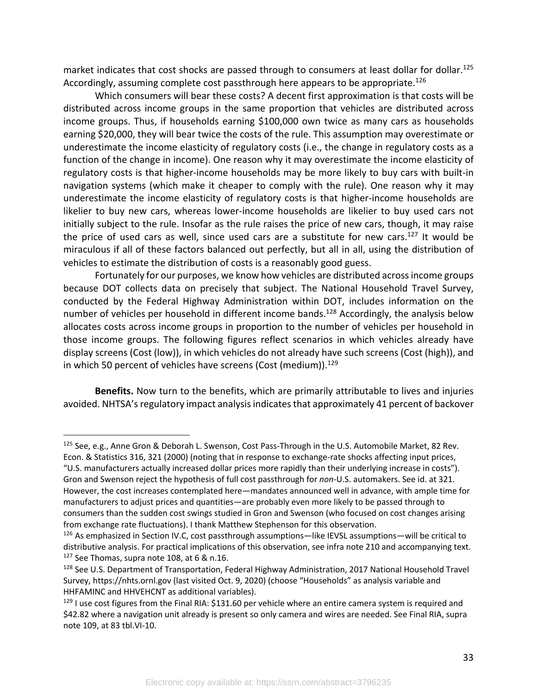market indicates that cost shocks are passed through to consumers at least dollar for dollar.<sup>125</sup> Accordingly, assuming complete cost passthrough here appears to be appropriate.<sup>126</sup>

Which consumers will bear these costs? A decent first approximation is that costs will be distributed across income groups in the same proportion that vehicles are distributed across income groups. Thus, if households earning \$100,000 own twice as many cars as households earning \$20,000, they will bear twice the costs of the rule. This assumption may overestimate or underestimate the income elasticity of regulatory costs (i.e., the change in regulatory costs as a function of the change in income). One reason why it may overestimate the income elasticity of regulatory costs is that higher-income households may be more likely to buy cars with built-in navigation systems (which make it cheaper to comply with the rule). One reason why it may underestimate the income elasticity of regulatory costs is that higher-income households are likelier to buy new cars, whereas lower-income households are likelier to buy used cars not initially subject to the rule. Insofar as the rule raises the price of new cars, though, it may raise the price of used cars as well, since used cars are a substitute for new cars.<sup>127</sup> It would be miraculous if all of these factors balanced out perfectly, but all in all, using the distribution of vehicles to estimate the distribution of costs is a reasonably good guess.

Fortunately for our purposes, we know how vehicles are distributed across income groups because DOT collects data on precisely that subject. The National Household Travel Survey, conducted by the Federal Highway Administration within DOT, includes information on the number of vehicles per household in different income bands.<sup>128</sup> Accordingly, the analysis below allocates costs across income groups in proportion to the number of vehicles per household in those income groups. The following figures reflect scenarios in which vehicles already have display screens (Cost (low)), in which vehicles do not already have such screens (Cost (high)), and in which 50 percent of vehicles have screens (Cost (medium)). $129$ 

**Benefits.** Now turn to the benefits, which are primarily attributable to lives and injuries avoided. NHTSA's regulatory impact analysis indicates that approximately 41 percent of backover

<sup>125</sup> See, e.g., Anne Gron & Deborah L. Swenson, Cost Pass-Through in the U.S. Automobile Market, 82 Rev. Econ. & Statistics 316, 321 (2000) (noting that in response to exchange-rate shocks affecting input prices,

<sup>&</sup>quot;U.S. manufacturers actually increased dollar prices more rapidly than their underlying increase in costs"). Gron and Swenson reject the hypothesis of full cost passthrough for *non*-U.S. automakers. See id. at 321. However, the cost increases contemplated here—mandates announced well in advance, with ample time for manufacturers to adjust prices and quantities—are probably even more likely to be passed through to consumers than the sudden cost swings studied in Gron and Swenson (who focused on cost changes arising from exchange rate fluctuations). I thank Matthew Stephenson for this observation.

 $126$  As emphasized in Section IV.C, cost passthrough assumptions—like IEVSL assumptions—will be critical to distributive analysis. For practical implications of this observation, see infra note 210 and accompanying text.  $127$  See Thomas, supra note 108, at 6 & n.16.

<sup>128</sup> See U.S. Department of Transportation, Federal Highway Administration, 2017 National Household Travel Survey, https://nhts.ornl.gov (last visited Oct. 9, 2020) (choose "Households" as analysis variable and HHFAMINC and HHVEHCNT as additional variables).

<sup>&</sup>lt;sup>129</sup> I use cost figures from the Final RIA: \$131.60 per vehicle where an entire camera system is required and \$42.82 where a navigation unit already is present so only camera and wires are needed. See Final RIA, supra note 109, at 83 tbl.VI-10.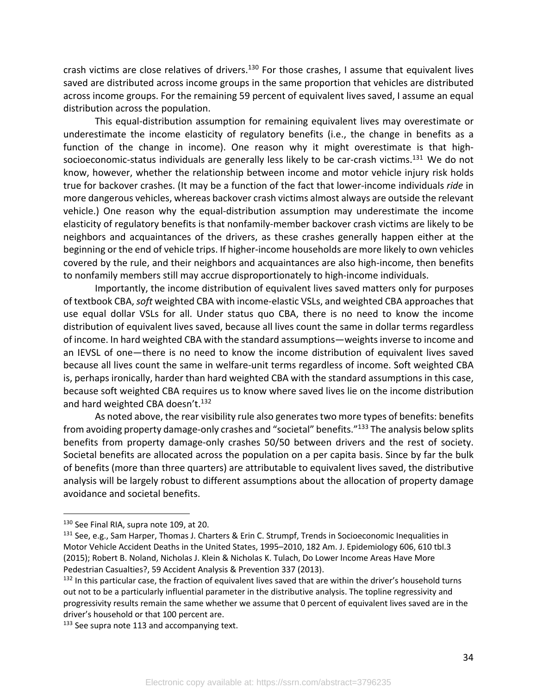crash victims are close relatives of drivers.<sup>130</sup> For those crashes, I assume that equivalent lives saved are distributed across income groups in the same proportion that vehicles are distributed across income groups. For the remaining 59 percent of equivalent lives saved, I assume an equal distribution across the population.

This equal-distribution assumption for remaining equivalent lives may overestimate or underestimate the income elasticity of regulatory benefits (i.e., the change in benefits as a function of the change in income). One reason why it might overestimate is that highsocioeconomic-status individuals are generally less likely to be car-crash victims.<sup>131</sup> We do not know, however, whether the relationship between income and motor vehicle injury risk holds true for backover crashes. (It may be a function of the fact that lower-income individuals *ride* in more dangerous vehicles, whereas backover crash victims almost always are outside the relevant vehicle.) One reason why the equal-distribution assumption may underestimate the income elasticity of regulatory benefits is that nonfamily-member backover crash victims are likely to be neighbors and acquaintances of the drivers, as these crashes generally happen either at the beginning or the end of vehicle trips. If higher-income households are more likely to own vehicles covered by the rule, and their neighbors and acquaintances are also high-income, then benefits to nonfamily members still may accrue disproportionately to high-income individuals.

Importantly, the income distribution of equivalent lives saved matters only for purposes of textbook CBA, *soft* weighted CBA with income-elastic VSLs, and weighted CBA approaches that use equal dollar VSLs for all. Under status quo CBA, there is no need to know the income distribution of equivalent lives saved, because all lives count the same in dollar terms regardless of income. In hard weighted CBA with the standard assumptions—weights inverse to income and an IEVSL of one—there is no need to know the income distribution of equivalent lives saved because all lives count the same in welfare-unit terms regardless of income. Soft weighted CBA is, perhaps ironically, harder than hard weighted CBA with the standard assumptions in this case, because soft weighted CBA requires us to know where saved lives lie on the income distribution and hard weighted CBA doesn't.<sup>132</sup>

As noted above, the rear visibility rule also generates two more types of benefits: benefits from avoiding property damage-only crashes and "societal" benefits."133 The analysis below splits benefits from property damage-only crashes 50/50 between drivers and the rest of society. Societal benefits are allocated across the population on a per capita basis. Since by far the bulk of benefits (more than three quarters) are attributable to equivalent lives saved, the distributive analysis will be largely robust to different assumptions about the allocation of property damage avoidance and societal benefits.

<sup>130</sup> See Final RIA, supra note 109, at 20.

 $131$  See, e.g., Sam Harper, Thomas J. Charters & Erin C. Strumpf, Trends in Socioeconomic Inequalities in Motor Vehicle Accident Deaths in the United States, 1995–2010, 182 Am. J. Epidemiology 606, 610 tbl.3 (2015); Robert B. Noland, Nicholas J. Klein & Nicholas K. Tulach, Do Lower Income Areas Have More Pedestrian Casualties?, 59 Accident Analysis & Prevention 337 (2013).

 $132$  In this particular case, the fraction of equivalent lives saved that are within the driver's household turns out not to be a particularly influential parameter in the distributive analysis. The topline regressivity and progressivity results remain the same whether we assume that 0 percent of equivalent lives saved are in the driver's household or that 100 percent are.

<sup>133</sup> See supra note 113 and accompanying text.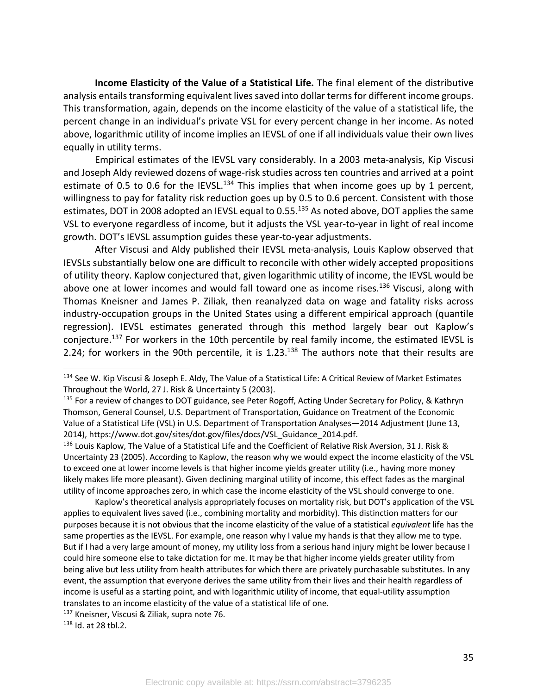**Income Elasticity of the Value of a Statistical Life.** The final element of the distributive analysis entails transforming equivalent lives saved into dollar terms for different income groups. This transformation, again, depends on the income elasticity of the value of a statistical life, the percent change in an individual's private VSL for every percent change in her income. As noted above, logarithmic utility of income implies an IEVSL of one if all individuals value their own lives equally in utility terms.

Empirical estimates of the IEVSL vary considerably. In a 2003 meta-analysis, Kip Viscusi and Joseph Aldy reviewed dozens of wage-risk studies across ten countries and arrived at a point estimate of 0.5 to 0.6 for the IEVSL.<sup>134</sup> This implies that when income goes up by 1 percent, willingness to pay for fatality risk reduction goes up by 0.5 to 0.6 percent. Consistent with those estimates, DOT in 2008 adopted an IEVSL equal to 0.55.<sup>135</sup> As noted above, DOT applies the same VSL to everyone regardless of income, but it adjusts the VSL year-to-year in light of real income growth. DOT's IEVSL assumption guides these year-to-year adjustments.

After Viscusi and Aldy published their IEVSL meta-analysis, Louis Kaplow observed that IEVSLs substantially below one are difficult to reconcile with other widely accepted propositions of utility theory. Kaplow conjectured that, given logarithmic utility of income, the IEVSL would be above one at lower incomes and would fall toward one as income rises. $136$  Viscusi, along with Thomas Kneisner and James P. Ziliak, then reanalyzed data on wage and fatality risks across industry-occupation groups in the United States using a different empirical approach (quantile regression). IEVSL estimates generated through this method largely bear out Kaplow's coniecture.<sup>137</sup> For workers in the 10th percentile by real family income, the estimated IEVSL is 2.24; for workers in the 90th percentile, it is 1.23.<sup>138</sup> The authors note that their results are

<sup>136</sup> Louis Kaplow, The Value of a Statistical Life and the Coefficient of Relative Risk Aversion, 31 J. Risk & Uncertainty 23 (2005). According to Kaplow, the reason why we would expect the income elasticity of the VSL to exceed one at lower income levels is that higher income yields greater utility (i.e., having more money likely makes life more pleasant). Given declining marginal utility of income, this effect fades as the marginal utility of income approaches zero, in which case the income elasticity of the VSL should converge to one.

Kaplow's theoretical analysis appropriately focuses on mortality risk, but DOT's application of the VSL applies to equivalent lives saved (i.e., combining mortality and morbidity). This distinction matters for our purposes because it is not obvious that the income elasticity of the value of a statistical *equivalent* life has the same properties as the IEVSL. For example, one reason why I value my hands is that they allow me to type. But if I had a very large amount of money, my utility loss from a serious hand injury might be lower because I could hire someone else to take dictation for me. It may be that higher income yields greater utility from being alive but less utility from health attributes for which there are privately purchasable substitutes. In any event, the assumption that everyone derives the same utility from their lives and their health regardless of income is useful as a starting point, and with logarithmic utility of income, that equal-utility assumption translates to an income elasticity of the value of a statistical life of one.

<sup>137</sup> Kneisner, Viscusi & Ziliak, supra note 76.<br><sup>138</sup> Id. at 28 tbl.2.

<sup>134</sup> See W. Kip Viscusi & Joseph E. Aldy, The Value of a Statistical Life: A Critical Review of Market Estimates Throughout the World, 27 J. Risk & Uncertainty 5 (2003).

<sup>&</sup>lt;sup>135</sup> For a review of changes to DOT guidance, see Peter Rogoff, Acting Under Secretary for Policy, & Kathryn Thomson, General Counsel, U.S. Department of Transportation, Guidance on Treatment of the Economic Value of a Statistical Life (VSL) in U.S. Department of Transportation Analyses—2014 Adjustment (June 13, 2014), https://www.dot.gov/sites/dot.gov/files/docs/VSL\_Guidance\_2014.pdf.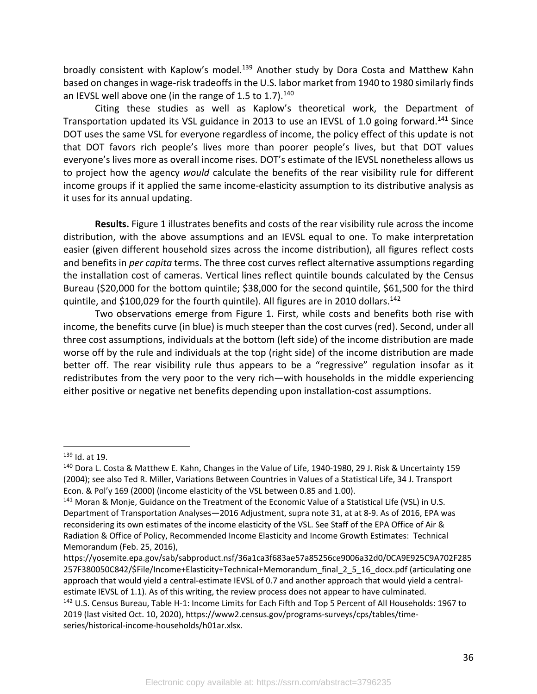broadly consistent with Kaplow's model.<sup>139</sup> Another study by Dora Costa and Matthew Kahn based on changes in wage-risk tradeoffs in the U.S. labor market from 1940 to 1980 similarly finds an IEVSL well above one (in the range of 1.5 to 1.7). $140$ 

Citing these studies as well as Kaplow's theoretical work, the Department of Transportation updated its VSL guidance in 2013 to use an IEVSL of 1.0 going forward.<sup>141</sup> Since DOT uses the same VSL for everyone regardless of income, the policy effect of this update is not that DOT favors rich people's lives more than poorer people's lives, but that DOT values everyone's lives more as overall income rises. DOT's estimate of the IEVSL nonetheless allows us to project how the agency *would* calculate the benefits of the rear visibility rule for different income groups if it applied the same income-elasticity assumption to its distributive analysis as it uses for its annual updating.

**Results.** Figure 1 illustrates benefits and costs of the rear visibility rule across the income distribution, with the above assumptions and an IEVSL equal to one. To make interpretation easier (given different household sizes across the income distribution), all figures reflect costs and benefits in *per capita* terms. The three cost curves reflect alternative assumptions regarding the installation cost of cameras. Vertical lines reflect quintile bounds calculated by the Census Bureau (\$20,000 for the bottom quintile; \$38,000 for the second quintile, \$61,500 for the third quintile, and \$100,029 for the fourth quintile). All figures are in 2010 dollars.<sup>142</sup>

Two observations emerge from Figure 1. First, while costs and benefits both rise with income, the benefits curve (in blue) is much steeper than the cost curves (red). Second, under all three cost assumptions, individuals at the bottom (left side) of the income distribution are made worse off by the rule and individuals at the top (right side) of the income distribution are made better off. The rear visibility rule thus appears to be a "regressive" regulation insofar as it redistributes from the very poor to the very rich—with households in the middle experiencing either positive or negative net benefits depending upon installation-cost assumptions.

 $139$  Id. at 19.

<sup>140</sup> Dora L. Costa & Matthew E. Kahn, Changes in the Value of Life, 1940-1980, 29 J. Risk & Uncertainty 159 (2004); see also Ted R. Miller, Variations Between Countries in Values of a Statistical Life, 34 J. Transport Econ. & Pol'y 169 (2000) (income elasticity of the VSL between 0.85 and 1.00).

<sup>141</sup> Moran & Monje, Guidance on the Treatment of the Economic Value of a Statistical Life (VSL) in U.S. Department of Transportation Analyses—2016 Adjustment, supra note 31, at at 8-9. As of 2016, EPA was reconsidering its own estimates of the income elasticity of the VSL. See Staff of the EPA Office of Air & Radiation & Office of Policy, Recommended Income Elasticity and Income Growth Estimates: Technical Memorandum (Feb. 25, 2016),

https://yosemite.epa.gov/sab/sabproduct.nsf/36a1ca3f683ae57a85256ce9006a32d0/0CA9E925C9A702F285 257F380050C842/\$File/Income+Elasticity+Technical+Memorandum\_final\_2\_5\_16\_docx.pdf (articulating one approach that would yield a central-estimate IEVSL of 0.7 and another approach that would yield a centralestimate IEVSL of 1.1). As of this writing, the review process does not appear to have culminated. <sup>142</sup> U.S. Census Bureau, Table H-1: Income Limits for Each Fifth and Top 5 Percent of All Households: 1967 to 2019 (last visited Oct. 10, 2020), https://www2.census.gov/programs-surveys/cps/tables/timeseries/historical-income-households/h01ar.xlsx.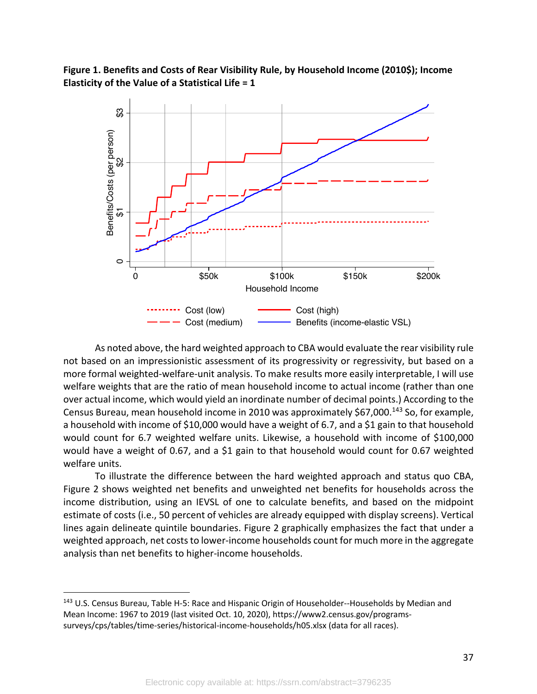**Figure 1. Benefits and Costs of Rear Visibility Rule, by Household Income (2010\$); Income Elasticity of the Value of a Statistical Life = 1**



As noted above, the hard weighted approach to CBA would evaluate the rear visibility rule not based on an impressionistic assessment of its progressivity or regressivity, but based on a more formal weighted-welfare-unit analysis. To make results more easily interpretable, I will use welfare weights that are the ratio of mean household income to actual income (rather than one over actual income, which would yield an inordinate number of decimal points.) According to the Census Bureau, mean household income in 2010 was approximately \$67,000.143 So, for example, a household with income of \$10,000 would have a weight of 6.7, and a \$1 gain to that household would count for 6.7 weighted welfare units. Likewise, a household with income of \$100,000 would have a weight of 0.67, and a \$1 gain to that household would count for 0.67 weighted welfare units.

To illustrate the difference between the hard weighted approach and status quo CBA, Figure 2 shows weighted net benefits and unweighted net benefits for households across the income distribution, using an IEVSL of one to calculate benefits, and based on the midpoint estimate of costs (i.e., 50 percent of vehicles are already equipped with display screens). Vertical lines again delineate quintile boundaries. Figure 2 graphically emphasizes the fact that under a weighted approach, net costs to lower-income households count for much more in the aggregate analysis than net benefits to higher-income households.

<sup>&</sup>lt;sup>143</sup> U.S. Census Bureau, Table H-5: Race and Hispanic Origin of Householder--Households by Median and Mean Income: 1967 to 2019 (last visited Oct. 10, 2020), https://www2.census.gov/programssurveys/cps/tables/time-series/historical-income-households/h05.xlsx (data for all races).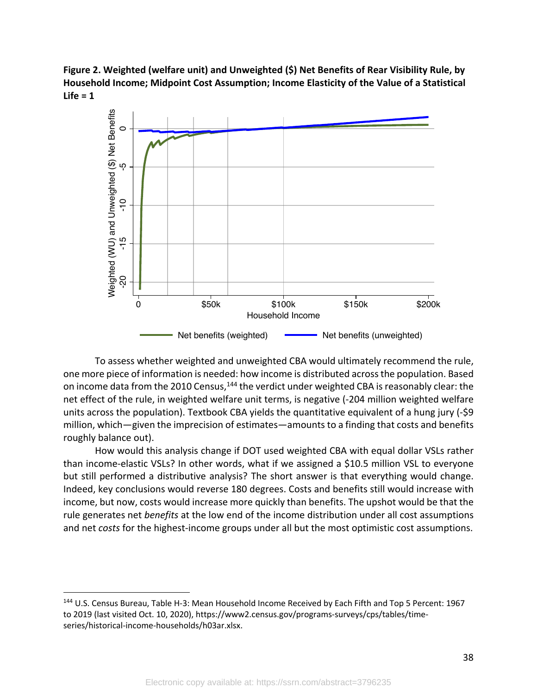**Figure 2. Weighted (welfare unit) and Unweighted (\$) Net Benefits of Rear Visibility Rule, by Household Income; Midpoint Cost Assumption; Income Elasticity of the Value of a Statistical Life = 1**



To assess whether weighted and unweighted CBA would ultimately recommend the rule, one more piece of information is needed: how income is distributed across the population. Based on income data from the 2010 Census,<sup>144</sup> the verdict under weighted CBA is reasonably clear: the net effect of the rule, in weighted welfare unit terms, is negative (-204 million weighted welfare units across the population). Textbook CBA yields the quantitative equivalent of a hung jury (-\$9 million, which—given the imprecision of estimates—amounts to a finding that costs and benefits roughly balance out).

How would this analysis change if DOT used weighted CBA with equal dollar VSLs rather than income-elastic VSLs? In other words, what if we assigned a \$10.5 million VSL to everyone but still performed a distributive analysis? The short answer is that everything would change. Indeed, key conclusions would reverse 180 degrees. Costs and benefits still would increase with income, but now, costs would increase more quickly than benefits. The upshot would be that the rule generates net *benefits* at the low end of the income distribution under all cost assumptions and net *costs* for the highest-income groups under all but the most optimistic cost assumptions.

<sup>144</sup> U.S. Census Bureau, Table H-3: Mean Household Income Received by Each Fifth and Top 5 Percent: 1967 to 2019 (last visited Oct. 10, 2020), https://www2.census.gov/programs-surveys/cps/tables/time-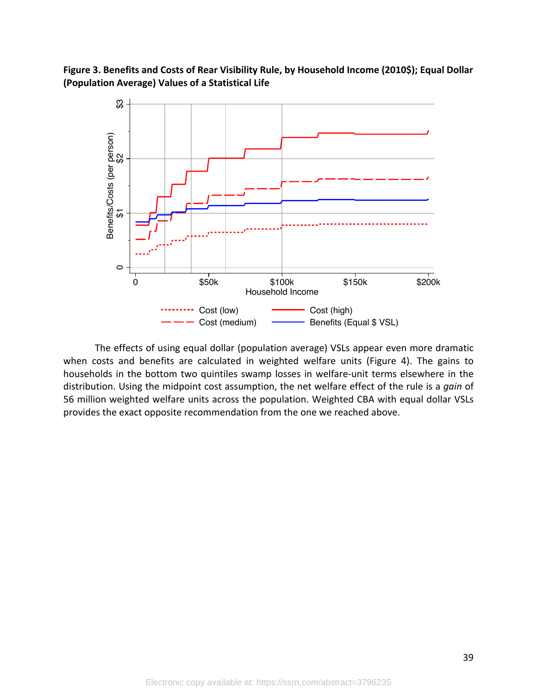**Figure 3. Benefits and Costs of Rear Visibility Rule, by Household Income (2010\$); Equal Dollar (Population Average) Values of a Statistical Life**



The effects of using equal dollar (population average) VSLs appear even more dramatic when costs and benefits are calculated in weighted welfare units (Figure 4). The gains to households in the bottom two quintiles swamp losses in welfare-unit terms elsewhere in the distribution. Using the midpoint cost assumption, the net welfare effect of the rule is a *gain* of 56 million weighted welfare units across the population. Weighted CBA with equal dollar VSLs provides the exact opposite recommendation from the one we reached above.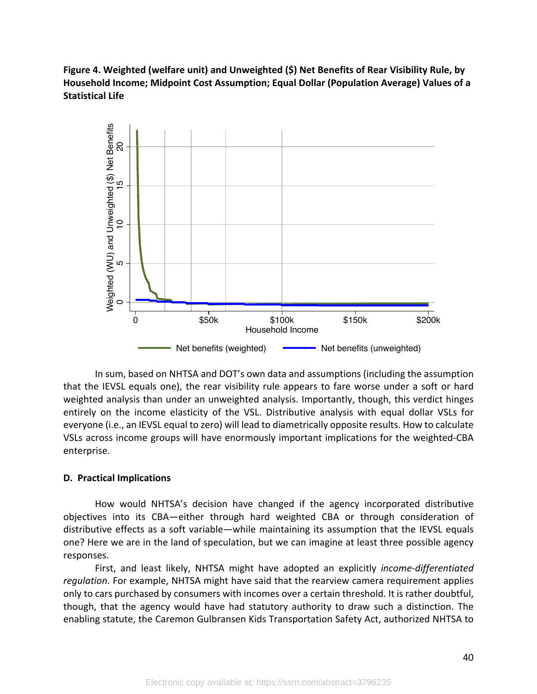**Figure 4. Weighted (welfare unit) and Unweighted (\$) Net Benefits of Rear Visibility Rule, by Household Income; Midpoint Cost Assumption; Equal Dollar (Population Average) Values of a Statistical Life**



In sum, based on NHTSA and DOT's own data and assumptions (including the assumption that the IEVSL equals one), the rear visibility rule appears to fare worse under a soft or hard weighted analysis than under an unweighted analysis. Importantly, though, this verdict hinges entirely on the income elasticity of the VSL. Distributive analysis with equal dollar VSLs for everyone (i.e., an IEVSL equal to zero) will lead to diametrically opposite results. How to calculate VSLs across income groups will have enormously important implications for the weighted-CBA enterprise.

## **D. Practical Implications**

How would NHTSA's decision have changed if the agency incorporated distributive objectives into its CBA—either through hard weighted CBA or through consideration of distributive effects as a soft variable—while maintaining its assumption that the IEVSL equals one? Here we are in the land of speculation, but we can imagine at least three possible agency responses.

First, and least likely, NHTSA might have adopted an explicitly *income-differentiated regulation*. For example, NHTSA might have said that the rearview camera requirement applies only to cars purchased by consumers with incomes over a certain threshold. It is rather doubtful, though, that the agency would have had statutory authority to draw such a distinction. The enabling statute, the Caremon Gulbransen Kids Transportation Safety Act, authorized NHTSA to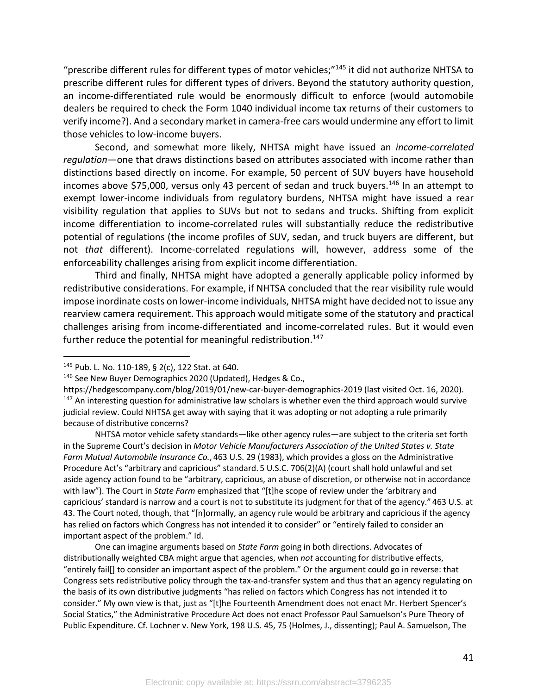"prescribe different rules for different types of motor vehicles;"145 it did not authorize NHTSA to prescribe different rules for different types of drivers. Beyond the statutory authority question, an income-differentiated rule would be enormously difficult to enforce (would automobile dealers be required to check the Form 1040 individual income tax returns of their customers to verify income?). And a secondary market in camera-free cars would undermine any effort to limit those vehicles to low-income buyers.

Second, and somewhat more likely, NHTSA might have issued an *income-correlated regulation*—one that draws distinctions based on attributes associated with income rather than distinctions based directly on income. For example, 50 percent of SUV buyers have household incomes above \$75,000, versus only 43 percent of sedan and truck buyers.<sup>146</sup> In an attempt to exempt lower-income individuals from regulatory burdens, NHTSA might have issued a rear visibility regulation that applies to SUVs but not to sedans and trucks. Shifting from explicit income differentiation to income-correlated rules will substantially reduce the redistributive potential of regulations (the income profiles of SUV, sedan, and truck buyers are different, but not *that* different). Income-correlated regulations will, however, address some of the enforceability challenges arising from explicit income differentiation.

Third and finally, NHTSA might have adopted a generally applicable policy informed by redistributive considerations. For example, if NHTSA concluded that the rear visibility rule would impose inordinate costs on lower-income individuals, NHTSA might have decided not to issue any rearview camera requirement. This approach would mitigate some of the statutory and practical challenges arising from income-differentiated and income-correlated rules. But it would even further reduce the potential for meaningful redistribution.<sup>147</sup>

One can imagine arguments based on *State Farm* going in both directions. Advocates of distributionally weighted CBA might argue that agencies, when *not* accounting for distributive effects, "entirely fail[] to consider an important aspect of the problem." Or the argument could go in reverse: that Congress sets redistributive policy through the tax-and-transfer system and thus that an agency regulating on the basis of its own distributive judgments "has relied on factors which Congress has not intended it to consider." My own view is that, just as "[t]he Fourteenth Amendment does not enact Mr. Herbert Spencer's Social Statics," the Administrative Procedure Act does not enact Professor Paul Samuelson's Pure Theory of Public Expenditure. Cf. Lochner v. New York, 198 U.S. 45, 75 (Holmes, J., dissenting); Paul A. Samuelson, The

<sup>145</sup> Pub. L. No. 110-189, § 2(c), 122 Stat. at 640.

<sup>&</sup>lt;sup>146</sup> See New Buyer Demographics 2020 (Updated), Hedges & Co.,

https://hedgescompany.com/blog/2019/01/new-car-buyer-demographics-2019 (last visited Oct. 16, 2020). <sup>147</sup> An interesting question for administrative law scholars is whether even the third approach would survive judicial review. Could NHTSA get away with saying that it was adopting or not adopting a rule primarily because of distributive concerns?

NHTSA motor vehicle safety standards—like other agency rules—are subject to the criteria set forth in the Supreme Court's decision in *Motor Vehicle Manufacturers Association of the United States v. State Farm Mutual Automobile Insurance Co.*, 463 U.S. 29 (1983), which provides a gloss on the Administrative Procedure Act's "arbitrary and capricious" standard. 5 U.S.C. 706(2)(A) (court shall hold unlawful and set aside agency action found to be "arbitrary, capricious, an abuse of discretion, or otherwise not in accordance with law"). The Court in *State Farm* emphasized that "[t]he scope of review under the 'arbitrary and capricious' standard is narrow and a court is not to substitute its judgment for that of the agency." 463 U.S. at 43. The Court noted, though, that "[n]ormally, an agency rule would be arbitrary and capricious if the agency has relied on factors which Congress has not intended it to consider" or "entirely failed to consider an important aspect of the problem." Id.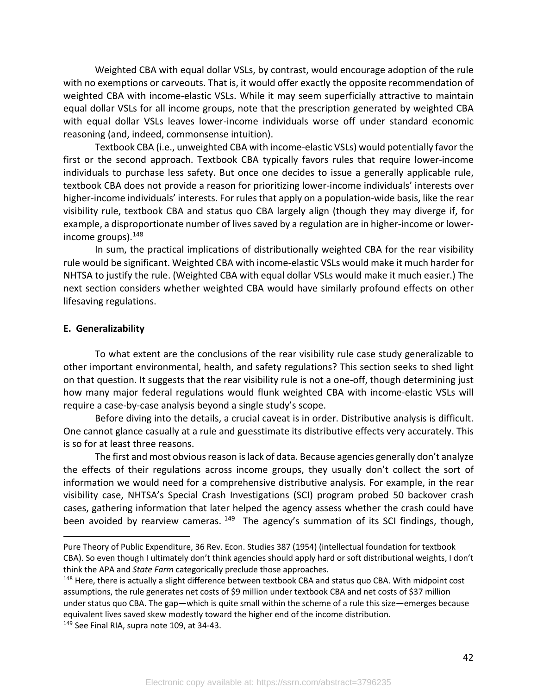Weighted CBA with equal dollar VSLs, by contrast, would encourage adoption of the rule with no exemptions or carveouts. That is, it would offer exactly the opposite recommendation of weighted CBA with income-elastic VSLs. While it may seem superficially attractive to maintain equal dollar VSLs for all income groups, note that the prescription generated by weighted CBA with equal dollar VSLs leaves lower-income individuals worse off under standard economic reasoning (and, indeed, commonsense intuition).

Textbook CBA (i.e., unweighted CBA with income-elastic VSLs) would potentially favor the first or the second approach. Textbook CBA typically favors rules that require lower-income individuals to purchase less safety. But once one decides to issue a generally applicable rule, textbook CBA does not provide a reason for prioritizing lower-income individuals' interests over higher-income individuals' interests. For rules that apply on a population-wide basis, like the rear visibility rule, textbook CBA and status quo CBA largely align (though they may diverge if, for example, a disproportionate number of lives saved by a regulation are in higher-income or lowerincome groups). $148$ 

In sum, the practical implications of distributionally weighted CBA for the rear visibility rule would be significant. Weighted CBA with income-elastic VSLs would make it much harder for NHTSA to justify the rule. (Weighted CBA with equal dollar VSLs would make it much easier.) The next section considers whether weighted CBA would have similarly profound effects on other lifesaving regulations.

#### **E. Generalizability**

To what extent are the conclusions of the rear visibility rule case study generalizable to other important environmental, health, and safety regulations? This section seeks to shed light on that question. It suggests that the rear visibility rule is not a one-off, though determining just how many major federal regulations would flunk weighted CBA with income-elastic VSLs will require a case-by-case analysis beyond a single study's scope.

Before diving into the details, a crucial caveat is in order. Distributive analysis is difficult. One cannot glance casually at a rule and guesstimate its distributive effects very accurately. This is so for at least three reasons.

The first and most obvious reason is lack of data. Because agencies generally don't analyze the effects of their regulations across income groups, they usually don't collect the sort of information we would need for a comprehensive distributive analysis. For example, in the rear visibility case, NHTSA's Special Crash Investigations (SCI) program probed 50 backover crash cases, gathering information that later helped the agency assess whether the crash could have been avoided by rearview cameras.  $149$  The agency's summation of its SCI findings, though,

Pure Theory of Public Expenditure, 36 Rev. Econ. Studies 387 (1954) (intellectual foundation for textbook CBA). So even though I ultimately don't think agencies should apply hard or soft distributional weights, I don't think the APA and *State Farm* categorically preclude those approaches.

<sup>&</sup>lt;sup>148</sup> Here, there is actually a slight difference between textbook CBA and status quo CBA. With midpoint cost assumptions, the rule generates net costs of \$9 million under textbook CBA and net costs of \$37 million under status quo CBA. The gap—which is quite small within the scheme of a rule this size—emerges because equivalent lives saved skew modestly toward the higher end of the income distribution. <sup>149</sup> See Final RIA, supra note 109, at 34-43.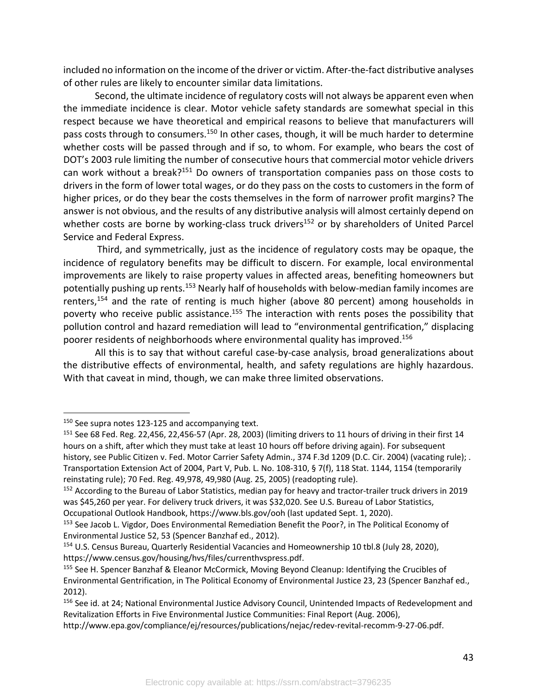included no information on the income of the driver or victim. After-the-fact distributive analyses of other rules are likely to encounter similar data limitations.

Second, the ultimate incidence of regulatory costs will not always be apparent even when the immediate incidence is clear. Motor vehicle safety standards are somewhat special in this respect because we have theoretical and empirical reasons to believe that manufacturers will pass costs through to consumers.<sup>150</sup> In other cases, though, it will be much harder to determine whether costs will be passed through and if so, to whom. For example, who bears the cost of DOT's 2003 rule limiting the number of consecutive hours that commercial motor vehicle drivers can work without a break?151 Do owners of transportation companies pass on those costs to drivers in the form of lower total wages, or do they pass on the costs to customers in the form of higher prices, or do they bear the costs themselves in the form of narrower profit margins? The answer is not obvious, and the results of any distributive analysis will almost certainly depend on whether costs are borne by working-class truck drivers<sup>152</sup> or by shareholders of United Parcel Service and Federal Express.

Third, and symmetrically, just as the incidence of regulatory costs may be opaque, the incidence of regulatory benefits may be difficult to discern. For example, local environmental improvements are likely to raise property values in affected areas, benefiting homeowners but potentially pushing up rents.<sup>153</sup> Nearly half of households with below-median family incomes are renters,<sup>154</sup> and the rate of renting is much higher (above 80 percent) among households in poverty who receive public assistance.<sup>155</sup> The interaction with rents poses the possibility that pollution control and hazard remediation will lead to "environmental gentrification," displacing poorer residents of neighborhoods where environmental quality has improved.<sup>156</sup>

All this is to say that without careful case-by-case analysis, broad generalizations about the distributive effects of environmental, health, and safety regulations are highly hazardous. With that caveat in mind, though, we can make three limited observations.

<sup>&</sup>lt;sup>150</sup> See supra notes 123-125 and accompanying text.

<sup>151</sup> See 68 Fed. Reg. 22,456, 22,456-57 (Apr. 28, 2003) (limiting drivers to 11 hours of driving in their first 14 hours on a shift, after which they must take at least 10 hours off before driving again). For subsequent history, see Public Citizen v. Fed. Motor Carrier Safety Admin., 374 F.3d 1209 (D.C. Cir. 2004) (vacating rule); . Transportation Extension Act of 2004, Part V, Pub. L. No. 108-310, § 7(f), 118 Stat. 1144, 1154 (temporarily reinstating rule); 70 Fed. Reg. 49,978, 49,980 (Aug. 25, 2005) (readopting rule).

<sup>&</sup>lt;sup>152</sup> According to the Bureau of Labor Statistics, median pay for heavy and tractor-trailer truck drivers in 2019 was \$45,260 per year. For delivery truck drivers, it was \$32,020. See U.S. Bureau of Labor Statistics, Occupational Outlook Handbook, https://www.bls.gov/ooh (last updated Sept. 1, 2020).

<sup>&</sup>lt;sup>153</sup> See Jacob L. Vigdor, Does Environmental Remediation Benefit the Poor?, in The Political Economy of Environmental Justice 52, 53 (Spencer Banzhaf ed., 2012).

<sup>154</sup> U.S. Census Bureau, Quarterly Residential Vacancies and Homeownership 10 tbl.8 (July 28, 2020), https://www.census.gov/housing/hvs/files/currenthvspress.pdf.

<sup>155</sup> See H. Spencer Banzhaf & Eleanor McCormick, Moving Beyond Cleanup: Identifying the Crucibles of Environmental Gentrification, in The Political Economy of Environmental Justice 23, 23 (Spencer Banzhaf ed., 2012).

<sup>&</sup>lt;sup>156</sup> See id. at 24; National Environmental Justice Advisory Council, Unintended Impacts of Redevelopment and Revitalization Efforts in Five Environmental Justice Communities: Final Report (Aug. 2006),

http://www.epa.gov/compliance/ej/resources/publications/nejac/redev-revital-recomm-9-27-06.pdf.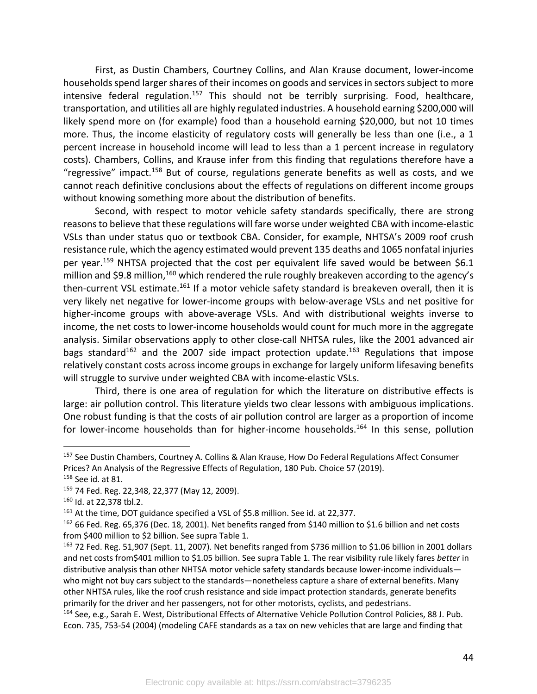First, as Dustin Chambers, Courtney Collins, and Alan Krause document, lower-income households spend larger shares of their incomes on goods and services in sectors subject to more intensive federal regulation.<sup>157</sup> This should not be terribly surprising. Food, healthcare, transportation, and utilities all are highly regulated industries. A household earning \$200,000 will likely spend more on (for example) food than a household earning \$20,000, but not 10 times more. Thus, the income elasticity of regulatory costs will generally be less than one (i.e., a 1 percent increase in household income will lead to less than a 1 percent increase in regulatory costs). Chambers, Collins, and Krause infer from this finding that regulations therefore have a "regressive" impact.<sup>158</sup> But of course, regulations generate benefits as well as costs, and we cannot reach definitive conclusions about the effects of regulations on different income groups without knowing something more about the distribution of benefits.

Second, with respect to motor vehicle safety standards specifically, there are strong reasons to believe that these regulations will fare worse under weighted CBA with income-elastic VSLs than under status quo or textbook CBA. Consider, for example, NHTSA's 2009 roof crush resistance rule, which the agency estimated would prevent 135 deaths and 1065 nonfatal injuries per year.<sup>159</sup> NHTSA projected that the cost per equivalent life saved would be between \$6.1 million and \$9.8 million,<sup>160</sup> which rendered the rule roughly breakeven according to the agency's then-current VSL estimate.<sup>161</sup> If a motor vehicle safety standard is breakeven overall, then it is very likely net negative for lower-income groups with below-average VSLs and net positive for higher-income groups with above-average VSLs. And with distributional weights inverse to income, the net costs to lower-income households would count for much more in the aggregate analysis. Similar observations apply to other close-call NHTSA rules, like the 2001 advanced air bags standard<sup>162</sup> and the 2007 side impact protection update.<sup>163</sup> Regulations that impose relatively constant costs across income groups in exchange for largely uniform lifesaving benefits will struggle to survive under weighted CBA with income-elastic VSLs.

Third, there is one area of regulation for which the literature on distributive effects is large: air pollution control. This literature yields two clear lessons with ambiguous implications. One robust funding is that the costs of air pollution control are larger as a proportion of income for lower-income households than for higher-income households.<sup>164</sup> In this sense, pollution

<sup>157</sup> See Dustin Chambers, Courtney A. Collins & Alan Krause, How Do Federal Regulations Affect Consumer Prices? An Analysis of the Regressive Effects of Regulation, 180 Pub. Choice 57 (2019).

<sup>158</sup> See id. at 81.

<sup>159</sup> 74 Fed. Reg. 22,348, 22,377 (May 12, 2009).

<sup>160</sup> Id. at 22,378 tbl.2.

<sup>&</sup>lt;sup>161</sup> At the time, DOT guidance specified a VSL of \$5.8 million. See id. at 22,377.

<sup>162</sup> 66 Fed. Reg. 65,376 (Dec. 18, 2001). Net benefits ranged from \$140 million to \$1.6 billion and net costs from \$400 million to \$2 billion. See supra Table 1.

<sup>&</sup>lt;sup>163</sup> 72 Fed. Reg. 51,907 (Sept. 11, 2007). Net benefits ranged from \$736 million to \$1.06 billion in 2001 dollars and net costs from\$401 million to \$1.05 billion. See supra Table 1. The rear visibility rule likely fares *better* in distributive analysis than other NHTSA motor vehicle safety standards because lower-income individuals who might not buy cars subject to the standards—nonetheless capture a share of external benefits. Many other NHTSA rules, like the roof crush resistance and side impact protection standards, generate benefits primarily for the driver and her passengers, not for other motorists, cyclists, and pedestrians.

<sup>164</sup> See, e.g., Sarah E. West, Distributional Effects of Alternative Vehicle Pollution Control Policies, 88 J. Pub. Econ. 735, 753-54 (2004) (modeling CAFE standards as a tax on new vehicles that are large and finding that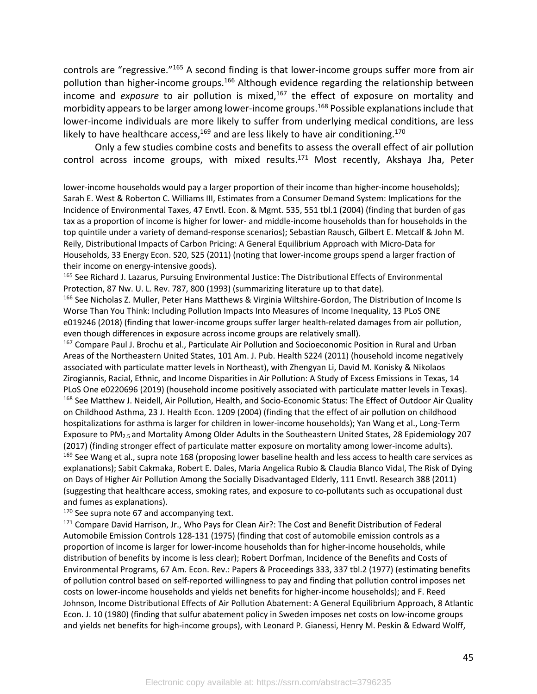controls are "regressive."165 A second finding is that lower-income groups suffer more from air pollution than higher-income groups.<sup>166</sup> Although evidence regarding the relationship between income and *exposure* to air pollution is mixed,<sup>167</sup> the effect of exposure on mortality and morbidity appears to be larger among lower-income groups.168 Possible explanations include that lower-income individuals are more likely to suffer from underlying medical conditions, are less likely to have healthcare access,  $^{169}$  and are less likely to have air conditioning.  $^{170}$ 

Only a few studies combine costs and benefits to assess the overall effect of air pollution control across income groups, with mixed results. $171$  Most recently, Akshaya Jha, Peter

<sup>167</sup> Compare Paul J. Brochu et al., Particulate Air Pollution and Socioeconomic Position in Rural and Urban Areas of the Northeastern United States, 101 Am. J. Pub. Health S224 (2011) (household income negatively associated with particulate matter levels in Northeast), with Zhengyan Li, David M. Konisky & Nikolaos Zirogiannis, Racial, Ethnic, and Income Disparities in Air Pollution: A Study of Excess Emissions in Texas, 14 PLoS One e0220696 (2019) (household income positively associated with particulate matter levels in Texas). <sup>168</sup> See Matthew J. Neidell, Air Pollution, Health, and Socio-Economic Status: The Effect of Outdoor Air Quality on Childhood Asthma, 23 J. Health Econ. 1209 (2004) (finding that the effect of air pollution on childhood hospitalizations for asthma is larger for children in lower-income households); Yan Wang et al., Long-Term Exposure to PM2.5 and Mortality Among Older Adults in the Southeastern United States, 28 Epidemiology 207 (2017) (finding stronger effect of particulate matter exposure on mortality among lower-income adults). <sup>169</sup> See Wang et al., supra note 168 (proposing lower baseline health and less access to health care services as explanations); Sabit Cakmaka, Robert E. Dales, Maria Angelica Rubio & Claudia Blanco Vidal, The Risk of Dying on Days of Higher Air Pollution Among the Socially Disadvantaged Elderly, 111 Envtl. Research 388 (2011) (suggesting that healthcare access, smoking rates, and exposure to co-pollutants such as occupational dust and fumes as explanations).

<sup>170</sup> See supra note 67 and accompanying text.

171 Compare David Harrison, Jr., Who Pays for Clean Air?: The Cost and Benefit Distribution of Federal Automobile Emission Controls 128-131 (1975) (finding that cost of automobile emission controls as a proportion of income is larger for lower-income households than for higher-income households, while distribution of benefits by income is less clear); Robert Dorfman, Incidence of the Benefits and Costs of Environmental Programs, 67 Am. Econ. Rev.: Papers & Proceedings 333, 337 tbl.2 (1977) (estimating benefits of pollution control based on self-reported willingness to pay and finding that pollution control imposes net costs on lower-income households and yields net benefits for higher-income households); and F. Reed Johnson, Income Distributional Effects of Air Pollution Abatement: A General Equilibrium Approach, 8 Atlantic Econ. J. 10 (1980) (finding that sulfur abatement policy in Sweden imposes net costs on low-income groups and yields net benefits for high-income groups), with Leonard P. Gianessi, Henry M. Peskin & Edward Wolff,

lower-income households would pay a larger proportion of their income than higher-income households); Sarah E. West & Roberton C. Williams III, Estimates from a Consumer Demand System: Implications for the Incidence of Environmental Taxes, 47 Envtl. Econ. & Mgmt. 535, 551 tbl.1 (2004) (finding that burden of gas tax as a proportion of income is higher for lower- and middle-income households than for households in the top quintile under a variety of demand-response scenarios); Sebastian Rausch, Gilbert E. Metcalf & John M. Reily, Distributional Impacts of Carbon Pricing: A General Equilibrium Approach with Micro-Data for Households, 33 Energy Econ. S20, S25 (2011) (noting that lower-income groups spend a larger fraction of their income on energy-intensive goods).

<sup>165</sup> See Richard J. Lazarus, Pursuing Environmental Justice: The Distributional Effects of Environmental Protection, 87 Nw. U. L. Rev. 787, 800 (1993) (summarizing literature up to that date).

<sup>166</sup> See Nicholas Z. Muller, Peter Hans Matthews & Virginia Wiltshire-Gordon, The Distribution of Income Is Worse Than You Think: Including Pollution Impacts Into Measures of Income Inequality, 13 PLoS ONE e019246 (2018) (finding that lower-income groups suffer larger health-related damages from air pollution, even though differences in exposure across income groups are relatively small).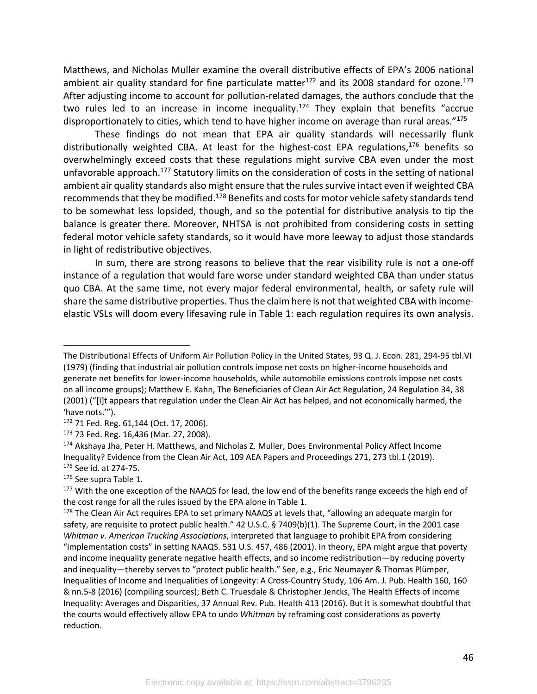Matthews, and Nicholas Muller examine the overall distributive effects of EPA's 2006 national ambient air quality standard for fine particulate matter<sup>172</sup> and its 2008 standard for ozone.<sup>173</sup> After adjusting income to account for pollution-related damages, the authors conclude that the two rules led to an increase in income inequality.<sup>174</sup> They explain that benefits "accrue disproportionately to cities, which tend to have higher income on average than rural areas."<sup>175</sup>

These findings do not mean that EPA air quality standards will necessarily flunk distributionally weighted CBA. At least for the highest-cost EPA regulations, $176$  benefits so overwhelmingly exceed costs that these regulations might survive CBA even under the most unfavorable approach.<sup>177</sup> Statutory limits on the consideration of costs in the setting of national ambient air quality standards also might ensure that the rules survive intact even if weighted CBA recommends that they be modified.178 Benefits and costs for motor vehicle safety standards tend to be somewhat less lopsided, though, and so the potential for distributive analysis to tip the balance is greater there. Moreover, NHTSA is not prohibited from considering costs in setting federal motor vehicle safety standards, so it would have more leeway to adjust those standards in light of redistributive objectives.

In sum, there are strong reasons to believe that the rear visibility rule is not a one-off instance of a regulation that would fare worse under standard weighted CBA than under status quo CBA. At the same time, not every major federal environmental, health, or safety rule will share the same distributive properties. Thus the claim here is not that weighted CBA with incomeelastic VSLs will doom every lifesaving rule in Table 1: each regulation requires its own analysis.

The Distributional Effects of Uniform Air Pollution Policy in the United States, 93 Q. J. Econ. 281, 294-95 tbl.VI (1979) (finding that industrial air pollution controls impose net costs on higher-income households and generate net benefits for lower-income households, while automobile emissions controls impose net costs on all income groups); Matthew E. Kahn, The Beneficiaries of Clean Air Act Regulation, 24 Regulation 34, 38 (2001) ("[I]t appears that regulation under the Clean Air Act has helped, and not economically harmed, the 'have nots.'").

<sup>172</sup> 71 Fed. Reg. 61,144 (Oct. 17, 2006).

<sup>173</sup> 73 Fed. Reg. 16,436 (Mar. 27, 2008).

<sup>&</sup>lt;sup>174</sup> Akshaya Jha, Peter H. Matthews, and Nicholas Z. Muller, Does Environmental Policy Affect Income Inequality? Evidence from the Clean Air Act, 109 AEA Papers and Proceedings 271, 273 tbl.1 (2019).

<sup>175</sup> See id. at 274-75.

<sup>176</sup> See supra Table 1.

<sup>&</sup>lt;sup>177</sup> With the one exception of the NAAQS for lead, the low end of the benefits range exceeds the high end of the cost range for all the rules issued by the EPA alone in Table 1.

<sup>&</sup>lt;sup>178</sup> The Clean Air Act requires EPA to set primary NAAQS at levels that, "allowing an adequate margin for safety, are requisite to protect public health." 42 U.S.C. § 7409(b)(1). The Supreme Court, in the 2001 case *Whitman v. American Trucking Associations*, interpreted that language to prohibit EPA from considering "implementation costs" in setting NAAQS. 531 U.S. 457, 486 (2001). In theory, EPA might argue that poverty and income inequality generate negative health effects, and so income redistribution—by reducing poverty and inequality—thereby serves to "protect public health." See, e.g., Eric Neumayer & Thomas Plümper, Inequalities of Income and Inequalities of Longevity: A Cross-Country Study, 106 Am. J. Pub. Health 160, 160 & nn.5-8 (2016) (compiling sources); Beth C. Truesdale & Christopher Jencks, The Health Effects of Income Inequality: Averages and Disparities, 37 Annual Rev. Pub. Health 413 (2016). But it is somewhat doubtful that the courts would effectively allow EPA to undo *Whitman* by reframing cost considerations as poverty reduction.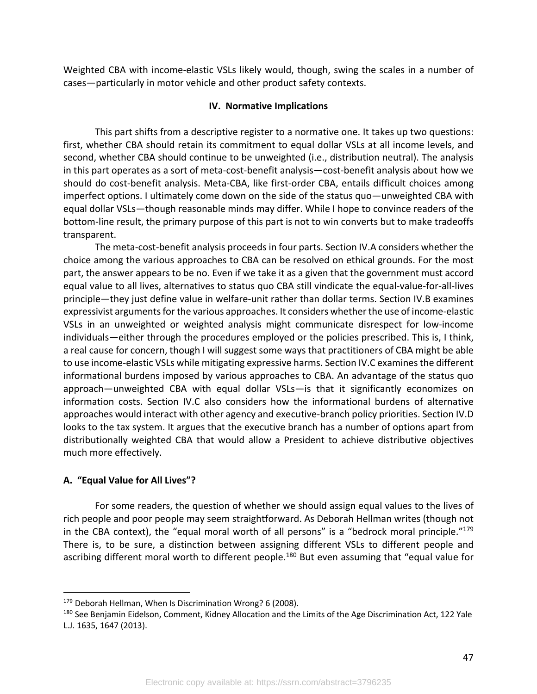Weighted CBA with income-elastic VSLs likely would, though, swing the scales in a number of cases—particularly in motor vehicle and other product safety contexts.

### **IV. Normative Implications**

This part shifts from a descriptive register to a normative one. It takes up two questions: first, whether CBA should retain its commitment to equal dollar VSLs at all income levels, and second, whether CBA should continue to be unweighted (i.e., distribution neutral). The analysis in this part operates as a sort of meta-cost-benefit analysis—cost-benefit analysis about how we should do cost-benefit analysis. Meta-CBA, like first-order CBA, entails difficult choices among imperfect options. I ultimately come down on the side of the status quo—unweighted CBA with equal dollar VSLs—though reasonable minds may differ. While I hope to convince readers of the bottom-line result, the primary purpose of this part is not to win converts but to make tradeoffs transparent.

The meta-cost-benefit analysis proceeds in four parts. Section IV.A considers whether the choice among the various approaches to CBA can be resolved on ethical grounds. For the most part, the answer appears to be no. Even if we take it as a given that the government must accord equal value to all lives, alternatives to status quo CBA still vindicate the equal-value-for-all-lives principle—they just define value in welfare-unit rather than dollar terms. Section IV.B examines expressivist arguments for the various approaches. It considers whether the use of income-elastic VSLs in an unweighted or weighted analysis might communicate disrespect for low-income individuals—either through the procedures employed or the policies prescribed. This is, I think, a real cause for concern, though I will suggest some ways that practitioners of CBA might be able to use income-elastic VSLs while mitigating expressive harms. Section IV.C examines the different informational burdens imposed by various approaches to CBA. An advantage of the status quo approach—unweighted CBA with equal dollar VSLs—is that it significantly economizes on information costs. Section IV.C also considers how the informational burdens of alternative approaches would interact with other agency and executive-branch policy priorities. Section IV.D looks to the tax system. It argues that the executive branch has a number of options apart from distributionally weighted CBA that would allow a President to achieve distributive objectives much more effectively.

## **A. "Equal Value for All Lives"?**

For some readers, the question of whether we should assign equal values to the lives of rich people and poor people may seem straightforward. As Deborah Hellman writes (though not in the CBA context), the "equal moral worth of all persons" is a "bedrock moral principle." $179$ There is, to be sure, a distinction between assigning different VSLs to different people and ascribing different moral worth to different people.<sup>180</sup> But even assuming that "equal value for

<sup>179</sup> Deborah Hellman, When Is Discrimination Wrong? 6 (2008).

<sup>180</sup> See Benjamin Eidelson, Comment, Kidney Allocation and the Limits of the Age Discrimination Act, 122 Yale L.J. 1635, 1647 (2013).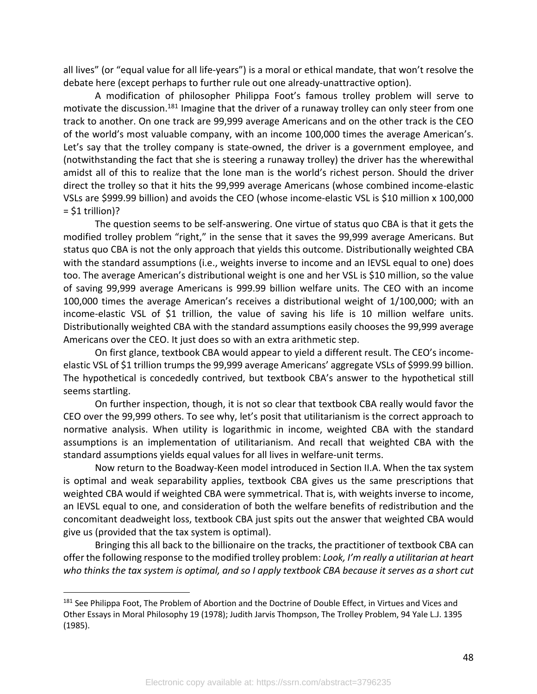all lives" (or "equal value for all life-years") is a moral or ethical mandate, that won't resolve the debate here (except perhaps to further rule out one already-unattractive option).

A modification of philosopher Philippa Foot's famous trolley problem will serve to motivate the discussion.<sup>181</sup> Imagine that the driver of a runaway trolley can only steer from one track to another. On one track are 99,999 average Americans and on the other track is the CEO of the world's most valuable company, with an income 100,000 times the average American's. Let's say that the trolley company is state-owned, the driver is a government employee, and (notwithstanding the fact that she is steering a runaway trolley) the driver has the wherewithal amidst all of this to realize that the lone man is the world's richest person. Should the driver direct the trolley so that it hits the 99,999 average Americans (whose combined income-elastic VSLs are \$999.99 billion) and avoids the CEO (whose income-elastic VSL is \$10 million x 100,000  $=$  \$1 trillion)?

The question seems to be self-answering. One virtue of status quo CBA is that it gets the modified trolley problem "right," in the sense that it saves the 99,999 average Americans. But status quo CBA is not the only approach that yields this outcome. Distributionally weighted CBA with the standard assumptions (i.e., weights inverse to income and an IEVSL equal to one) does too. The average American's distributional weight is one and her VSL is \$10 million, so the value of saving 99,999 average Americans is 999.99 billion welfare units. The CEO with an income 100,000 times the average American's receives a distributional weight of 1/100,000; with an income-elastic VSL of \$1 trillion, the value of saving his life is 10 million welfare units. Distributionally weighted CBA with the standard assumptions easily chooses the 99,999 average Americans over the CEO. It just does so with an extra arithmetic step.

On first glance, textbook CBA would appear to yield a different result. The CEO's incomeelastic VSL of \$1 trillion trumps the 99,999 average Americans' aggregate VSLs of \$999.99 billion. The hypothetical is concededly contrived, but textbook CBA's answer to the hypothetical still seems startling.

On further inspection, though, it is not so clear that textbook CBA really would favor the CEO over the 99,999 others. To see why, let's posit that utilitarianism is the correct approach to normative analysis. When utility is logarithmic in income, weighted CBA with the standard assumptions is an implementation of utilitarianism. And recall that weighted CBA with the standard assumptions yields equal values for all lives in welfare-unit terms.

Now return to the Boadway-Keen model introduced in Section II.A. When the tax system is optimal and weak separability applies, textbook CBA gives us the same prescriptions that weighted CBA would if weighted CBA were symmetrical. That is, with weights inverse to income, an IEVSL equal to one, and consideration of both the welfare benefits of redistribution and the concomitant deadweight loss, textbook CBA just spits out the answer that weighted CBA would give us (provided that the tax system is optimal).

Bringing this all back to the billionaire on the tracks, the practitioner of textbook CBA can offer the following response to the modified trolley problem: *Look, I'm really a utilitarian at heart who thinks the tax system is optimal, and so I apply textbook CBA because it serves as a short cut* 

<sup>&</sup>lt;sup>181</sup> See Philippa Foot, The Problem of Abortion and the Doctrine of Double Effect, in Virtues and Vices and Other Essays in Moral Philosophy 19 (1978); Judith Jarvis Thompson, The Trolley Problem, 94 Yale L.J. 1395 (1985).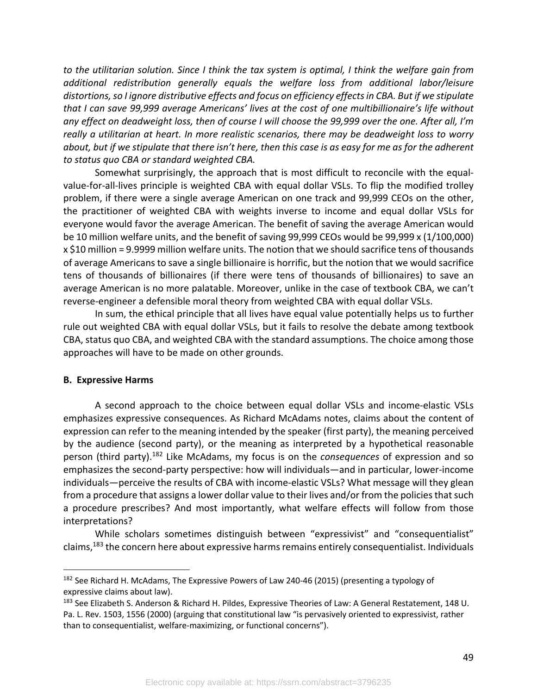*to the utilitarian solution. Since I think the tax system is optimal, I think the welfare gain from additional redistribution generally equals the welfare loss from additional labor/leisure distortions, so I ignore distributive effects and focus on efficiency effectsin CBA. But if we stipulate that I can save 99,999 average Americans' lives at the cost of one multibillionaire's life without any effect on deadweight loss, then of course I will choose the 99,999 over the one. After all, I'm really a utilitarian at heart. In more realistic scenarios, there may be deadweight loss to worry about, but if we stipulate that there isn't here, then this case is as easy for me as for the adherent to status quo CBA or standard weighted CBA.*

Somewhat surprisingly, the approach that is most difficult to reconcile with the equalvalue-for-all-lives principle is weighted CBA with equal dollar VSLs. To flip the modified trolley problem, if there were a single average American on one track and 99,999 CEOs on the other, the practitioner of weighted CBA with weights inverse to income and equal dollar VSLs for everyone would favor the average American. The benefit of saving the average American would be 10 million welfare units, and the benefit of saving 99,999 CEOs would be 99,999 x (1/100,000) x \$10 million = 9.9999 million welfare units. The notion that we should sacrifice tens of thousands of average Americans to save a single billionaire is horrific, but the notion that we would sacrifice tens of thousands of billionaires (if there were tens of thousands of billionaires) to save an average American is no more palatable. Moreover, unlike in the case of textbook CBA, we can't reverse-engineer a defensible moral theory from weighted CBA with equal dollar VSLs.

In sum, the ethical principle that all lives have equal value potentially helps us to further rule out weighted CBA with equal dollar VSLs, but it fails to resolve the debate among textbook CBA, status quo CBA, and weighted CBA with the standard assumptions. The choice among those approaches will have to be made on other grounds.

## **B. Expressive Harms**

A second approach to the choice between equal dollar VSLs and income-elastic VSLs emphasizes expressive consequences. As Richard McAdams notes, claims about the content of expression can refer to the meaning intended by the speaker (first party), the meaning perceived by the audience (second party), or the meaning as interpreted by a hypothetical reasonable person (third party).182 Like McAdams, my focus is on the *consequences* of expression and so emphasizes the second-party perspective: how will individuals—and in particular, lower-income individuals—perceive the results of CBA with income-elastic VSLs? What message will they glean from a procedure that assigns a lower dollar value to their lives and/or from the policies that such a procedure prescribes? And most importantly, what welfare effects will follow from those interpretations?

While scholars sometimes distinguish between "expressivist" and "consequentialist" claims,183 the concern here about expressive harms remains entirely consequentialist. Individuals

<sup>&</sup>lt;sup>182</sup> See Richard H. McAdams, The Expressive Powers of Law 240-46 (2015) (presenting a typology of expressive claims about law).

<sup>183</sup> See Elizabeth S. Anderson & Richard H. Pildes, Expressive Theories of Law: A General Restatement, 148 U. Pa. L. Rev. 1503, 1556 (2000) (arguing that constitutional law "is pervasively oriented to expressivist, rather than to consequentialist, welfare-maximizing, or functional concerns").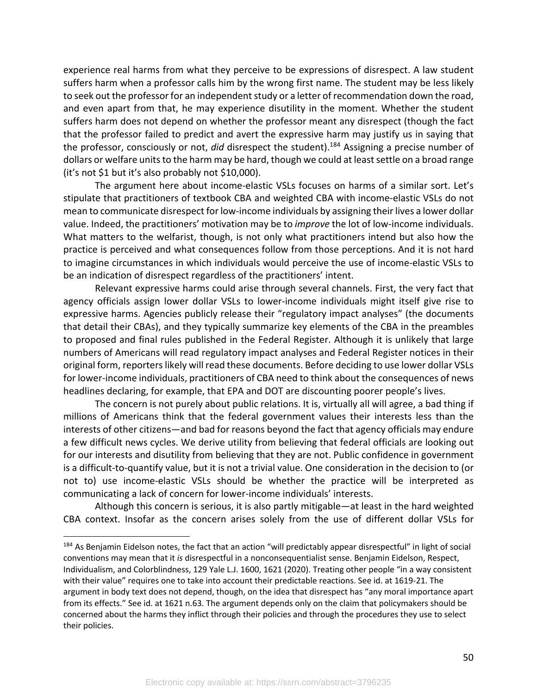experience real harms from what they perceive to be expressions of disrespect. A law student suffers harm when a professor calls him by the wrong first name. The student may be less likely to seek out the professor for an independent study or a letter of recommendation down the road, and even apart from that, he may experience disutility in the moment. Whether the student suffers harm does not depend on whether the professor meant any disrespect (though the fact that the professor failed to predict and avert the expressive harm may justify us in saying that the professor, consciously or not, *did* disrespect the student).184 Assigning a precise number of dollars or welfare units to the harm may be hard, though we could at least settle on a broad range (it's not \$1 but it's also probably not \$10,000).

The argument here about income-elastic VSLs focuses on harms of a similar sort. Let's stipulate that practitioners of textbook CBA and weighted CBA with income-elastic VSLs do not mean to communicate disrespect for low-income individuals by assigning their lives a lower dollar value. Indeed, the practitioners' motivation may be to *improve* the lot of low-income individuals. What matters to the welfarist, though, is not only what practitioners intend but also how the practice is perceived and what consequences follow from those perceptions. And it is not hard to imagine circumstances in which individuals would perceive the use of income-elastic VSLs to be an indication of disrespect regardless of the practitioners' intent.

Relevant expressive harms could arise through several channels. First, the very fact that agency officials assign lower dollar VSLs to lower-income individuals might itself give rise to expressive harms. Agencies publicly release their "regulatory impact analyses" (the documents that detail their CBAs), and they typically summarize key elements of the CBA in the preambles to proposed and final rules published in the Federal Register. Although it is unlikely that large numbers of Americans will read regulatory impact analyses and Federal Register notices in their original form, reporters likely will read these documents. Before deciding to use lower dollar VSLs for lower-income individuals, practitioners of CBA need to think about the consequences of news headlines declaring, for example, that EPA and DOT are discounting poorer people's lives.

The concern is not purely about public relations. It is, virtually all will agree, a bad thing if millions of Americans think that the federal government values their interests less than the interests of other citizens—and bad for reasons beyond the fact that agency officials may endure a few difficult news cycles. We derive utility from believing that federal officials are looking out for our interests and disutility from believing that they are not. Public confidence in government is a difficult-to-quantify value, but it is not a trivial value. One consideration in the decision to (or not to) use income-elastic VSLs should be whether the practice will be interpreted as communicating a lack of concern for lower-income individuals' interests.

Although this concern is serious, it is also partly mitigable—at least in the hard weighted CBA context. Insofar as the concern arises solely from the use of different dollar VSLs for

<sup>184</sup> As Benjamin Eidelson notes, the fact that an action "will predictably appear disrespectful" in light of social conventions may mean that it *is* disrespectful in a nonconsequentialist sense. Benjamin Eidelson, Respect, Individualism, and Colorblindness, 129 Yale L.J. 1600, 1621 (2020). Treating other people "in a way consistent with their value" requires one to take into account their predictable reactions. See id. at 1619-21. The argument in body text does not depend, though, on the idea that disrespect has "any moral importance apart from its effects." See id. at 1621 n.63. The argument depends only on the claim that policymakers should be concerned about the harms they inflict through their policies and through the procedures they use to select their policies.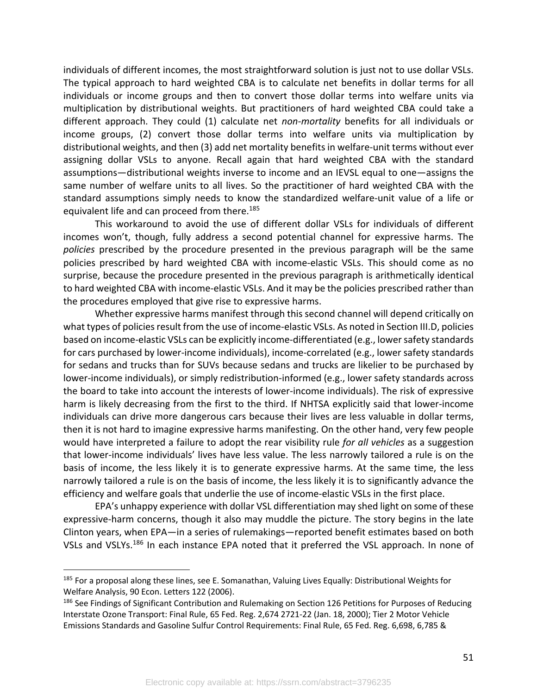individuals of different incomes, the most straightforward solution is just not to use dollar VSLs. The typical approach to hard weighted CBA is to calculate net benefits in dollar terms for all individuals or income groups and then to convert those dollar terms into welfare units via multiplication by distributional weights. But practitioners of hard weighted CBA could take a different approach. They could (1) calculate net *non-mortality* benefits for all individuals or income groups, (2) convert those dollar terms into welfare units via multiplication by distributional weights, and then (3) add net mortality benefits in welfare-unit terms without ever assigning dollar VSLs to anyone. Recall again that hard weighted CBA with the standard assumptions—distributional weights inverse to income and an IEVSL equal to one—assigns the same number of welfare units to all lives. So the practitioner of hard weighted CBA with the standard assumptions simply needs to know the standardized welfare-unit value of a life or equivalent life and can proceed from there.<sup>185</sup>

This workaround to avoid the use of different dollar VSLs for individuals of different incomes won't, though, fully address a second potential channel for expressive harms. The *policies* prescribed by the procedure presented in the previous paragraph will be the same policies prescribed by hard weighted CBA with income-elastic VSLs. This should come as no surprise, because the procedure presented in the previous paragraph is arithmetically identical to hard weighted CBA with income-elastic VSLs. And it may be the policies prescribed rather than the procedures employed that give rise to expressive harms.

Whether expressive harms manifest through this second channel will depend critically on what types of policies result from the use of income-elastic VSLs. As noted in Section III.D, policies based on income-elastic VSLs can be explicitly income-differentiated (e.g., lower safety standards for cars purchased by lower-income individuals), income-correlated (e.g., lower safety standards for sedans and trucks than for SUVs because sedans and trucks are likelier to be purchased by lower-income individuals), or simply redistribution-informed (e.g., lower safety standards across the board to take into account the interests of lower-income individuals). The risk of expressive harm is likely decreasing from the first to the third. If NHTSA explicitly said that lower-income individuals can drive more dangerous cars because their lives are less valuable in dollar terms, then it is not hard to imagine expressive harms manifesting. On the other hand, very few people would have interpreted a failure to adopt the rear visibility rule *for all vehicles* as a suggestion that lower-income individuals' lives have less value. The less narrowly tailored a rule is on the basis of income, the less likely it is to generate expressive harms. At the same time, the less narrowly tailored a rule is on the basis of income, the less likely it is to significantly advance the efficiency and welfare goals that underlie the use of income-elastic VSLs in the first place.

EPA's unhappy experience with dollar VSL differentiation may shed light on some of these expressive-harm concerns, though it also may muddle the picture. The story begins in the late Clinton years, when EPA—in a series of rulemakings—reported benefit estimates based on both VSLs and VSLYs.<sup>186</sup> In each instance EPA noted that it preferred the VSL approach. In none of

<sup>&</sup>lt;sup>185</sup> For a proposal along these lines, see E. Somanathan, Valuing Lives Equally: Distributional Weights for Welfare Analysis, 90 Econ. Letters 122 (2006).

<sup>&</sup>lt;sup>186</sup> See Findings of Significant Contribution and Rulemaking on Section 126 Petitions for Purposes of Reducing Interstate Ozone Transport: Final Rule, 65 Fed. Reg. 2,674 2721-22 (Jan. 18, 2000); Tier 2 Motor Vehicle Emissions Standards and Gasoline Sulfur Control Requirements: Final Rule, 65 Fed. Reg. 6,698, 6,785 &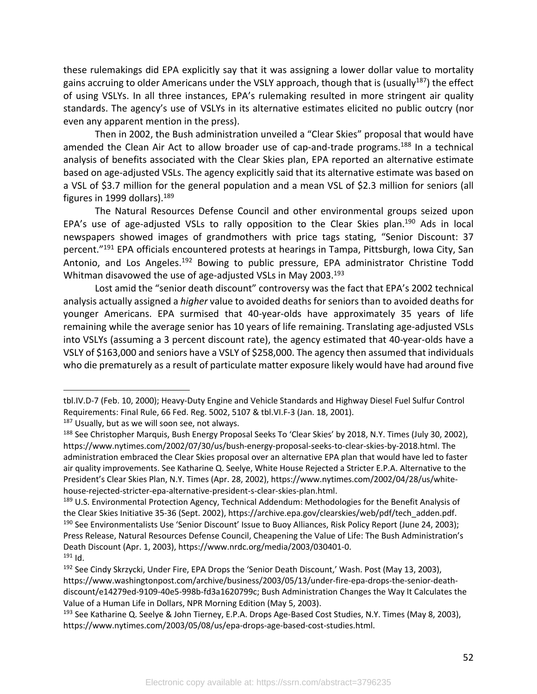these rulemakings did EPA explicitly say that it was assigning a lower dollar value to mortality gains accruing to older Americans under the VSLY approach, though that is (usually<sup>187</sup>) the effect of using VSLYs. In all three instances, EPA's rulemaking resulted in more stringent air quality standards. The agency's use of VSLYs in its alternative estimates elicited no public outcry (nor even any apparent mention in the press).

Then in 2002, the Bush administration unveiled a "Clear Skies" proposal that would have amended the Clean Air Act to allow broader use of cap-and-trade programs.<sup>188</sup> In a technical analysis of benefits associated with the Clear Skies plan, EPA reported an alternative estimate based on age-adjusted VSLs. The agency explicitly said that its alternative estimate was based on a VSL of \$3.7 million for the general population and a mean VSL of \$2.3 million for seniors (all figures in 1999 dollars).  $189$ 

The Natural Resources Defense Council and other environmental groups seized upon EPA's use of age-adjusted VSLs to rally opposition to the Clear Skies plan.<sup>190</sup> Ads in local newspapers showed images of grandmothers with price tags stating, "Senior Discount: 37 percent."191 EPA officials encountered protests at hearings in Tampa, Pittsburgh, Iowa City, San Antonio, and Los Angeles.<sup>192</sup> Bowing to public pressure, EPA administrator Christine Todd Whitman disavowed the use of age-adjusted VSLs in May 2003.<sup>193</sup>

Lost amid the "senior death discount" controversy was the fact that EPA's 2002 technical analysis actually assigned a *higher* value to avoided deaths for seniors than to avoided deaths for younger Americans. EPA surmised that 40-year-olds have approximately 35 years of life remaining while the average senior has 10 years of life remaining. Translating age-adjusted VSLs into VSLYs (assuming a 3 percent discount rate), the agency estimated that 40-year-olds have a VSLY of \$163,000 and seniors have a VSLY of \$258,000. The agency then assumed that individuals who die prematurely as a result of particulate matter exposure likely would have had around five

 $187$  Usually, but as we will soon see, not always.

tbl.IV.D-7 (Feb. 10, 2000); Heavy-Duty Engine and Vehicle Standards and Highway Diesel Fuel Sulfur Control Requirements: Final Rule, 66 Fed. Reg. 5002, 5107 & tbl.VI.F-3 (Jan. 18, 2001).

<sup>188</sup> See Christopher Marquis, Bush Energy Proposal Seeks To 'Clear Skies' by 2018, N.Y. Times (July 30, 2002), https://www.nytimes.com/2002/07/30/us/bush-energy-proposal-seeks-to-clear-skies-by-2018.html. The administration embraced the Clear Skies proposal over an alternative EPA plan that would have led to faster air quality improvements. See Katharine Q. Seelye, White House Rejected a Stricter E.P.A. Alternative to the President's Clear Skies Plan, N.Y. Times (Apr. 28, 2002), https://www.nytimes.com/2002/04/28/us/whitehouse-rejected-stricter-epa-alternative-president-s-clear-skies-plan.html.

<sup>189</sup> U.S. Environmental Protection Agency, Technical Addendum: Methodologies for the Benefit Analysis of the Clear Skies Initiative 35-36 (Sept. 2002), https://archive.epa.gov/clearskies/web/pdf/tech\_adden.pdf. <sup>190</sup> See Environmentalists Use 'Senior Discount' Issue to Buoy Alliances, Risk Policy Report (June 24, 2003); Press Release, Natural Resources Defense Council, Cheapening the Value of Life: The Bush Administration's Death Discount (Apr. 1, 2003), https://www.nrdc.org/media/2003/030401-0.  $191$  Id.

<sup>&</sup>lt;sup>192</sup> See Cindy Skrzycki, Under Fire, EPA Drops the 'Senior Death Discount,' Wash. Post (May 13, 2003), https://www.washingtonpost.com/archive/business/2003/05/13/under-fire-epa-drops-the-senior-deathdiscount/e14279ed-9109-40e5-998b-fd3a1620799c; Bush Administration Changes the Way It Calculates the Value of a Human Life in Dollars, NPR Morning Edition (May 5, 2003).

<sup>&</sup>lt;sup>193</sup> See Katharine Q. Seelye & John Tierney, E.P.A. Drops Age-Based Cost Studies, N.Y. Times (May 8, 2003), https://www.nytimes.com/2003/05/08/us/epa-drops-age-based-cost-studies.html.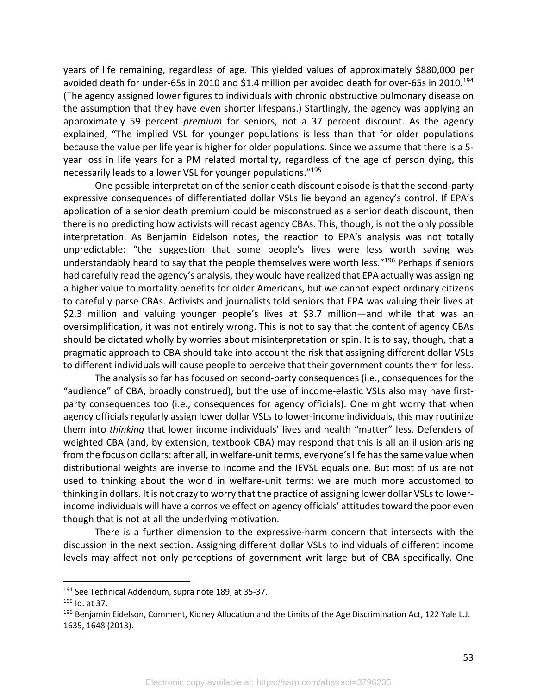years of life remaining, regardless of age. This yielded values of approximately \$880,000 per avoided death for under-65s in 2010 and \$1.4 million per avoided death for over-65s in 2010.194 (The agency assigned lower figures to individuals with chronic obstructive pulmonary disease on the assumption that they have even shorter lifespans.) Startlingly, the agency was applying an approximately 59 percent *premium* for seniors, not a 37 percent discount. As the agency explained, "The implied VSL for younger populations is less than that for older populations because the value per life year is higher for older populations. Since we assume that there is a 5 year loss in life years for a PM related mortality, regardless of the age of person dying, this necessarily leads to a lower VSL for younger populations."195

One possible interpretation of the senior death discount episode is that the second-party expressive consequences of differentiated dollar VSLs lie beyond an agency's control. If EPA's application of a senior death premium could be misconstrued as a senior death discount, then there is no predicting how activists will recast agency CBAs. This, though, is not the only possible interpretation. As Benjamin Eidelson notes, the reaction to EPA's analysis was not totally unpredictable: "the suggestion that some people's lives were less worth saving was understandably heard to say that the people themselves were worth less."<sup>196</sup> Perhaps if seniors had carefully read the agency's analysis, they would have realized that EPA actually was assigning a higher value to mortality benefits for older Americans, but we cannot expect ordinary citizens to carefully parse CBAs. Activists and journalists told seniors that EPA was valuing their lives at \$2.3 million and valuing younger people's lives at \$3.7 million—and while that was an oversimplification, it was not entirely wrong. This is not to say that the content of agency CBAs should be dictated wholly by worries about misinterpretation or spin. It is to say, though, that a pragmatic approach to CBA should take into account the risk that assigning different dollar VSLs to different individuals will cause people to perceive that their government counts them for less.

The analysis so far has focused on second-party consequences (i.e., consequences for the "audience" of CBA, broadly construed), but the use of income-elastic VSLs also may have firstparty consequences too (i.e., consequences for agency officials). One might worry that when agency officials regularly assign lower dollar VSLs to lower-income individuals, this may routinize them into *thinking* that lower income individuals' lives and health "matter" less. Defenders of weighted CBA (and, by extension, textbook CBA) may respond that this is all an illusion arising from the focus on dollars: after all, in welfare-unit terms, everyone's life has the same value when distributional weights are inverse to income and the IEVSL equals one. But most of us are not used to thinking about the world in welfare-unit terms; we are much more accustomed to thinking in dollars. It is not crazy to worry that the practice of assigning lower dollar VSLs to lowerincome individuals will have a corrosive effect on agency officials' attitudes toward the poor even though that is not at all the underlying motivation.

There is a further dimension to the expressive-harm concern that intersects with the discussion in the next section. Assigning different dollar VSLs to individuals of different income levels may affect not only perceptions of government writ large but of CBA specifically. One

<sup>&</sup>lt;sup>194</sup> See Technical Addendum, supra note 189, at 35-37.

<sup>195</sup> Id. at 37.

<sup>196</sup> Benjamin Eidelson, Comment, Kidney Allocation and the Limits of the Age Discrimination Act, 122 Yale L.J. 1635, 1648 (2013).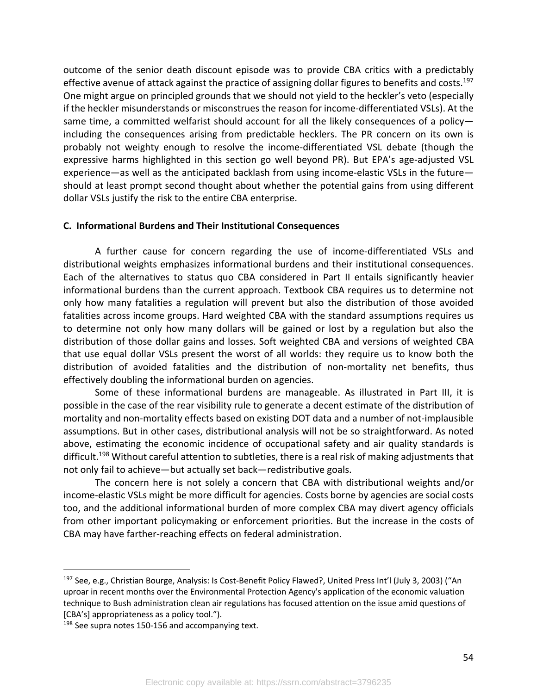outcome of the senior death discount episode was to provide CBA critics with a predictably effective avenue of attack against the practice of assigning dollar figures to benefits and costs.<sup>197</sup> One might argue on principled grounds that we should not yield to the heckler's veto (especially if the heckler misunderstands or misconstrues the reason for income-differentiated VSLs). At the same time, a committed welfarist should account for all the likely consequences of a policy including the consequences arising from predictable hecklers. The PR concern on its own is probably not weighty enough to resolve the income-differentiated VSL debate (though the expressive harms highlighted in this section go well beyond PR). But EPA's age-adjusted VSL experience—as well as the anticipated backlash from using income-elastic VSLs in the future should at least prompt second thought about whether the potential gains from using different dollar VSLs justify the risk to the entire CBA enterprise.

#### **C. Informational Burdens and Their Institutional Consequences**

A further cause for concern regarding the use of income-differentiated VSLs and distributional weights emphasizes informational burdens and their institutional consequences. Each of the alternatives to status quo CBA considered in Part II entails significantly heavier informational burdens than the current approach. Textbook CBA requires us to determine not only how many fatalities a regulation will prevent but also the distribution of those avoided fatalities across income groups. Hard weighted CBA with the standard assumptions requires us to determine not only how many dollars will be gained or lost by a regulation but also the distribution of those dollar gains and losses. Soft weighted CBA and versions of weighted CBA that use equal dollar VSLs present the worst of all worlds: they require us to know both the distribution of avoided fatalities and the distribution of non-mortality net benefits, thus effectively doubling the informational burden on agencies.

Some of these informational burdens are manageable. As illustrated in Part III, it is possible in the case of the rear visibility rule to generate a decent estimate of the distribution of mortality and non-mortality effects based on existing DOT data and a number of not-implausible assumptions. But in other cases, distributional analysis will not be so straightforward. As noted above, estimating the economic incidence of occupational safety and air quality standards is difficult. <sup>198</sup> Without careful attention to subtleties, there is a real risk of making adjustments that not only fail to achieve—but actually set back—redistributive goals.

The concern here is not solely a concern that CBA with distributional weights and/or income-elastic VSLs might be more difficult for agencies. Costs borne by agencies are social costs too, and the additional informational burden of more complex CBA may divert agency officials from other important policymaking or enforcement priorities. But the increase in the costs of CBA may have farther-reaching effects on federal administration.

<sup>&</sup>lt;sup>197</sup> See, e.g., Christian Bourge, Analysis: Is Cost-Benefit Policy Flawed?, United Press Int'l (July 3, 2003) ("An uproar in recent months over the Environmental Protection Agency's application of the economic valuation technique to Bush administration clean air regulations has focused attention on the issue amid questions of [CBA's] appropriateness as a policy tool.").

<sup>&</sup>lt;sup>198</sup> See supra notes 150-156 and accompanying text.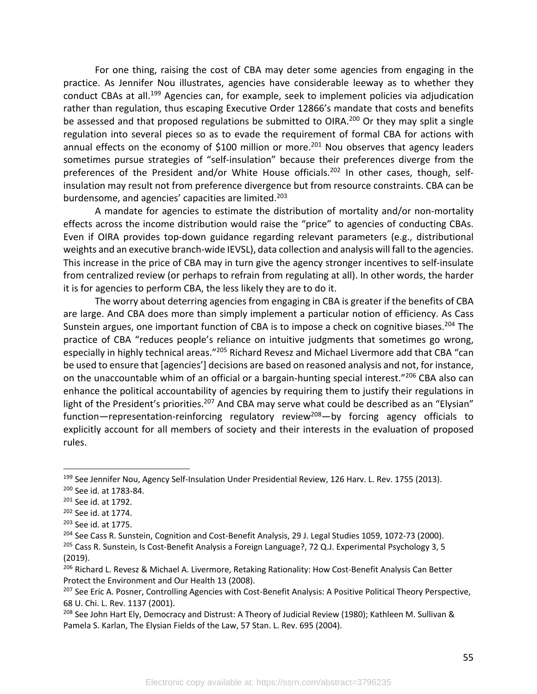For one thing, raising the cost of CBA may deter some agencies from engaging in the practice. As Jennifer Nou illustrates, agencies have considerable leeway as to whether they conduct CBAs at all.<sup>199</sup> Agencies can, for example, seek to implement policies via adjudication rather than regulation, thus escaping Executive Order 12866's mandate that costs and benefits be assessed and that proposed regulations be submitted to OIRA.<sup>200</sup> Or they may split a single regulation into several pieces so as to evade the requirement of formal CBA for actions with annual effects on the economy of \$100 million or more.<sup>201</sup> Nou observes that agency leaders sometimes pursue strategies of "self-insulation" because their preferences diverge from the preferences of the President and/or White House officials.<sup>202</sup> In other cases, though, selfinsulation may result not from preference divergence but from resource constraints. CBA can be burdensome, and agencies' capacities are limited.<sup>203</sup>

A mandate for agencies to estimate the distribution of mortality and/or non-mortality effects across the income distribution would raise the "price" to agencies of conducting CBAs. Even if OIRA provides top-down guidance regarding relevant parameters (e.g., distributional weights and an executive branch-wide IEVSL), data collection and analysis will fall to the agencies. This increase in the price of CBA may in turn give the agency stronger incentives to self-insulate from centralized review (or perhaps to refrain from regulating at all). In other words, the harder it is for agencies to perform CBA, the less likely they are to do it.

The worry about deterring agencies from engaging in CBA is greater if the benefits of CBA are large. And CBA does more than simply implement a particular notion of efficiency. As Cass Sunstein argues, one important function of CBA is to impose a check on cognitive biases.<sup>204</sup> The practice of CBA "reduces people's reliance on intuitive judgments that sometimes go wrong, especially in highly technical areas."<sup>205</sup> Richard Revesz and Michael Livermore add that CBA "can be used to ensure that [agencies'] decisions are based on reasoned analysis and not, for instance, on the unaccountable whim of an official or a bargain-hunting special interest."206 CBA also can enhance the political accountability of agencies by requiring them to justify their regulations in light of the President's priorities.<sup>207</sup> And CBA may serve what could be described as an "Elysian" function—representation-reinforcing regulatory review<sup>208</sup>—by forcing agency officials to explicitly account for all members of society and their interests in the evaluation of proposed rules.

<sup>&</sup>lt;sup>199</sup> See Jennifer Nou, Agency Self-Insulation Under Presidential Review, 126 Harv. L. Rev. 1755 (2013).

<sup>200</sup> See id. at 1783-84.

<sup>201</sup> See id. at 1792.

<sup>202</sup> See id. at 1774.

<sup>203</sup> See id. at 1775.

<sup>&</sup>lt;sup>204</sup> See Cass R. Sunstein, Cognition and Cost-Benefit Analysis, 29 J. Legal Studies 1059, 1072-73 (2000).

<sup>&</sup>lt;sup>205</sup> Cass R. Sunstein, Is Cost-Benefit Analysis a Foreign Language?, 72 Q.J. Experimental Psychology 3, 5 (2019).

<sup>206</sup> Richard L. Revesz & Michael A. Livermore, Retaking Rationality: How Cost-Benefit Analysis Can Better Protect the Environment and Our Health 13 (2008).

<sup>&</sup>lt;sup>207</sup> See Eric A. Posner, Controlling Agencies with Cost-Benefit Analysis: A Positive Political Theory Perspective, 68 U. Chi. L. Rev. 1137 (2001).

<sup>208</sup> See John Hart Ely, Democracy and Distrust: A Theory of Judicial Review (1980); Kathleen M. Sullivan & Pamela S. Karlan, The Elysian Fields of the Law, 57 Stan. L. Rev. 695 (2004).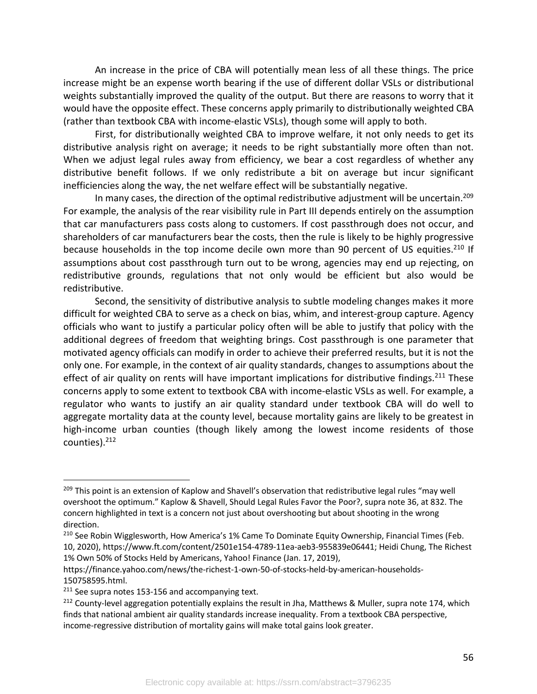An increase in the price of CBA will potentially mean less of all these things. The price increase might be an expense worth bearing if the use of different dollar VSLs or distributional weights substantially improved the quality of the output. But there are reasons to worry that it would have the opposite effect. These concerns apply primarily to distributionally weighted CBA (rather than textbook CBA with income-elastic VSLs), though some will apply to both.

First, for distributionally weighted CBA to improve welfare, it not only needs to get its distributive analysis right on average; it needs to be right substantially more often than not. When we adjust legal rules away from efficiency, we bear a cost regardless of whether any distributive benefit follows. If we only redistribute a bit on average but incur significant inefficiencies along the way, the net welfare effect will be substantially negative.

In many cases, the direction of the optimal redistributive adjustment will be uncertain.<sup>209</sup> For example, the analysis of the rear visibility rule in Part III depends entirely on the assumption that car manufacturers pass costs along to customers. If cost passthrough does not occur, and shareholders of car manufacturers bear the costs, then the rule is likely to be highly progressive because households in the top income decile own more than 90 percent of US equities.<sup>210</sup> If assumptions about cost passthrough turn out to be wrong, agencies may end up rejecting, on redistributive grounds, regulations that not only would be efficient but also would be redistributive.

Second, the sensitivity of distributive analysis to subtle modeling changes makes it more difficult for weighted CBA to serve as a check on bias, whim, and interest-group capture. Agency officials who want to justify a particular policy often will be able to justify that policy with the additional degrees of freedom that weighting brings. Cost passthrough is one parameter that motivated agency officials can modify in order to achieve their preferred results, but it is not the only one. For example, in the context of air quality standards, changes to assumptions about the effect of air quality on rents will have important implications for distributive findings.<sup>211</sup> These concerns apply to some extent to textbook CBA with income-elastic VSLs as well. For example, a regulator who wants to justify an air quality standard under textbook CBA will do well to aggregate mortality data at the county level, because mortality gains are likely to be greatest in high-income urban counties (though likely among the lowest income residents of those counties).212

<sup>&</sup>lt;sup>209</sup> This point is an extension of Kaplow and Shavell's observation that redistributive legal rules "may well overshoot the optimum." Kaplow & Shavell, Should Legal Rules Favor the Poor?, supra note 36, at 832. The concern highlighted in text is a concern not just about overshooting but about shooting in the wrong direction.

<sup>&</sup>lt;sup>210</sup> See Robin Wigglesworth, How America's 1% Came To Dominate Equity Ownership, Financial Times (Feb. 10, 2020), https://www.ft.com/content/2501e154-4789-11ea-aeb3-955839e06441; Heidi Chung, The Richest 1% Own 50% of Stocks Held by Americans, Yahoo! Finance (Jan. 17, 2019),

https://finance.yahoo.com/news/the-richest-1-own-50-of-stocks-held-by-american-households-150758595.html.

<sup>&</sup>lt;sup>211</sup> See supra notes 153-156 and accompanying text.

<sup>&</sup>lt;sup>212</sup> County-level aggregation potentially explains the result in Jha, Matthews & Muller, supra note 174, which finds that national ambient air quality standards increase inequality. From a textbook CBA perspective, income-regressive distribution of mortality gains will make total gains look greater.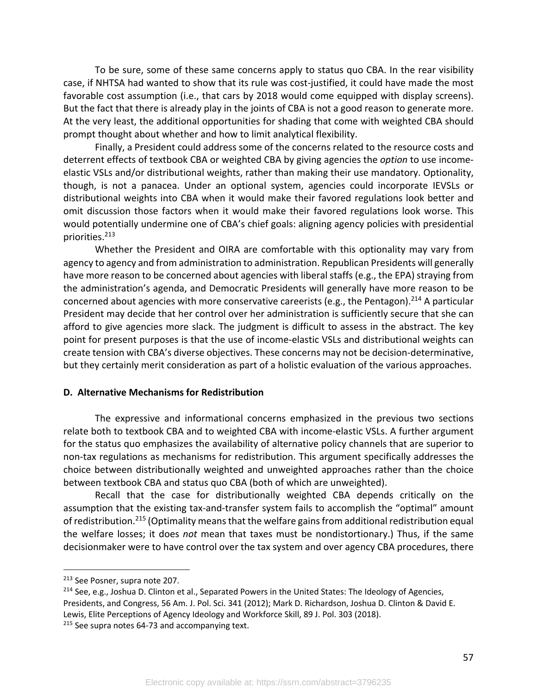To be sure, some of these same concerns apply to status quo CBA. In the rear visibility case, if NHTSA had wanted to show that its rule was cost-justified, it could have made the most favorable cost assumption (i.e., that cars by 2018 would come equipped with display screens). But the fact that there is already play in the joints of CBA is not a good reason to generate more. At the very least, the additional opportunities for shading that come with weighted CBA should prompt thought about whether and how to limit analytical flexibility.

Finally, a President could address some of the concerns related to the resource costs and deterrent effects of textbook CBA or weighted CBA by giving agencies the *option* to use incomeelastic VSLs and/or distributional weights, rather than making their use mandatory. Optionality, though, is not a panacea. Under an optional system, agencies could incorporate IEVSLs or distributional weights into CBA when it would make their favored regulations look better and omit discussion those factors when it would make their favored regulations look worse. This would potentially undermine one of CBA's chief goals: aligning agency policies with presidential priorities.213

Whether the President and OIRA are comfortable with this optionality may vary from agency to agency and from administration to administration. Republican Presidents will generally have more reason to be concerned about agencies with liberal staffs (e.g., the EPA) straying from the administration's agenda, and Democratic Presidents will generally have more reason to be concerned about agencies with more conservative careerists (e.g., the Pentagon).<sup>214</sup> A particular President may decide that her control over her administration is sufficiently secure that she can afford to give agencies more slack. The judgment is difficult to assess in the abstract. The key point for present purposes is that the use of income-elastic VSLs and distributional weights can create tension with CBA's diverse objectives. These concerns may not be decision-determinative, but they certainly merit consideration as part of a holistic evaluation of the various approaches.

## **D. Alternative Mechanisms for Redistribution**

The expressive and informational concerns emphasized in the previous two sections relate both to textbook CBA and to weighted CBA with income-elastic VSLs. A further argument for the status quo emphasizes the availability of alternative policy channels that are superior to non-tax regulations as mechanisms for redistribution. This argument specifically addresses the choice between distributionally weighted and unweighted approaches rather than the choice between textbook CBA and status quo CBA (both of which are unweighted).

Recall that the case for distributionally weighted CBA depends critically on the assumption that the existing tax-and-transfer system fails to accomplish the "optimal" amount of redistribution.<sup>215</sup> (Optimality means that the welfare gains from additional redistribution equal the welfare losses; it does *not* mean that taxes must be nondistortionary.) Thus, if the same decisionmaker were to have control over the tax system and over agency CBA procedures, there

57

<sup>213</sup> See Posner, supra note 207.

<sup>&</sup>lt;sup>214</sup> See, e.g., Joshua D. Clinton et al., Separated Powers in the United States: The Ideology of Agencies, Presidents, and Congress, 56 Am. J. Pol. Sci. 341 (2012); Mark D. Richardson, Joshua D. Clinton & David E. Lewis, Elite Perceptions of Agency Ideology and Workforce Skill, 89 J. Pol. 303 (2018).

<sup>&</sup>lt;sup>215</sup> See supra notes 64-73 and accompanying text.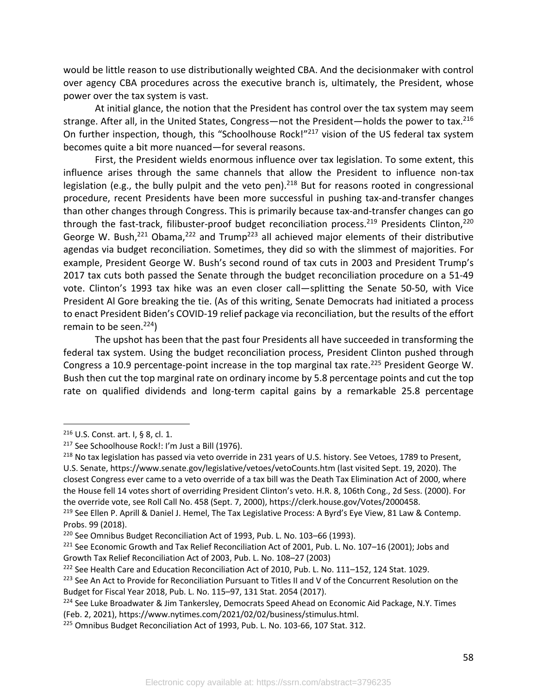would be little reason to use distributionally weighted CBA. And the decisionmaker with control over agency CBA procedures across the executive branch is, ultimately, the President, whose power over the tax system is vast.

At initial glance, the notion that the President has control over the tax system may seem strange. After all, in the United States, Congress—not the President—holds the power to tax.<sup>216</sup> On further inspection, though, this "Schoolhouse Rock!"<sup>217</sup> vision of the US federal tax system becomes quite a bit more nuanced—for several reasons.

First, the President wields enormous influence over tax legislation. To some extent, this influence arises through the same channels that allow the President to influence non-tax legislation (e.g., the bully pulpit and the veto pen).<sup>218</sup> But for reasons rooted in congressional procedure, recent Presidents have been more successful in pushing tax-and-transfer changes than other changes through Congress. This is primarily because tax-and-transfer changes can go through the fast-track, filibuster-proof budget reconciliation process.<sup>219</sup> Presidents Clinton,<sup>220</sup> George W. Bush,<sup>221</sup> Obama,<sup>222</sup> and Trump<sup>223</sup> all achieved major elements of their distributive agendas via budget reconciliation. Sometimes, they did so with the slimmest of majorities. For example, President George W. Bush's second round of tax cuts in 2003 and President Trump's 2017 tax cuts both passed the Senate through the budget reconciliation procedure on a 51-49 vote. Clinton's 1993 tax hike was an even closer call—splitting the Senate 50-50, with Vice President Al Gore breaking the tie. (As of this writing, Senate Democrats had initiated a process to enact President Biden's COVID-19 relief package via reconciliation, but the results of the effort remain to be seen.<sup>224</sup>)

The upshot has been that the past four Presidents all have succeeded in transforming the federal tax system. Using the budget reconciliation process, President Clinton pushed through Congress a 10.9 percentage-point increase in the top marginal tax rate.<sup>225</sup> President George W. Bush then cut the top marginal rate on ordinary income by 5.8 percentage points and cut the top rate on qualified dividends and long-term capital gains by a remarkable 25.8 percentage

<sup>216</sup> U.S. Const. art. I, § 8, cl. 1.

<sup>&</sup>lt;sup>217</sup> See Schoolhouse Rock!: I'm Just a Bill (1976).

<sup>&</sup>lt;sup>218</sup> No tax legislation has passed via veto override in 231 years of U.S. history. See Vetoes, 1789 to Present, U.S. Senate, https://www.senate.gov/legislative/vetoes/vetoCounts.htm (last visited Sept. 19, 2020). The closest Congress ever came to a veto override of a tax bill was the Death Tax Elimination Act of 2000, where the House fell 14 votes short of overriding President Clinton's veto. H.R. 8, 106th Cong., 2d Sess. (2000). For the override vote, see Roll Call No. 458 (Sept. 7, 2000), https://clerk.house.gov/Votes/2000458.

<sup>&</sup>lt;sup>219</sup> See Ellen P. Aprill & Daniel J. Hemel, The Tax Legislative Process: A Byrd's Eye View, 81 Law & Contemp. Probs. 99 (2018).

<sup>220</sup> See Omnibus Budget Reconciliation Act of 1993, Pub. L. No. 103–66 (1993).

 $221$  See Economic Growth and Tax Relief Reconciliation Act of 2001, Pub. L. No. 107–16 (2001); Jobs and Growth Tax Relief Reconciliation Act of 2003, Pub. L. No. 108–27 (2003)

<sup>&</sup>lt;sup>222</sup> See Health Care and Education Reconciliation Act of 2010, Pub. L. No. 111–152, 124 Stat. 1029.

<sup>&</sup>lt;sup>223</sup> See An Act to Provide for Reconciliation Pursuant to Titles II and V of the Concurrent Resolution on the Budget for Fiscal Year 2018, Pub. L. No. 115–97, 131 Stat. 2054 (2017).

<sup>&</sup>lt;sup>224</sup> See Luke Broadwater & Jim Tankersley, Democrats Speed Ahead on Economic Aid Package, N.Y. Times (Feb. 2, 2021), https://www.nytimes.com/2021/02/02/business/stimulus.html.

<sup>&</sup>lt;sup>225</sup> Omnibus Budget Reconciliation Act of 1993, Pub. L. No. 103-66, 107 Stat. 312.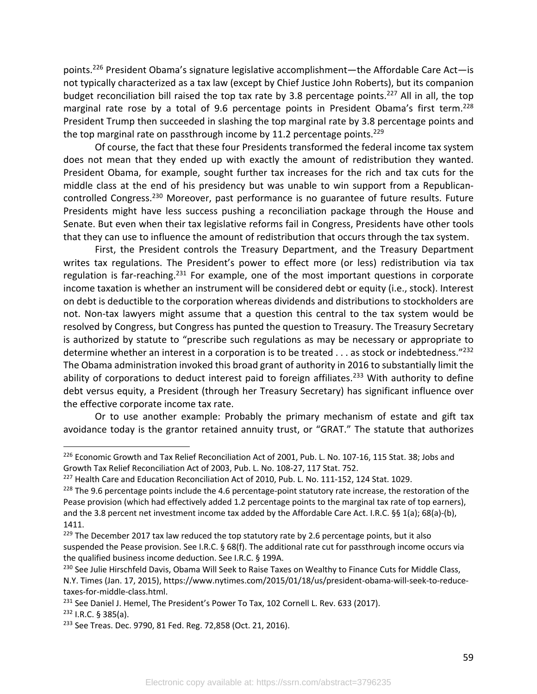points.226 President Obama's signature legislative accomplishment—the Affordable Care Act—is not typically characterized as a tax law (except by Chief Justice John Roberts), but its companion budget reconciliation bill raised the top tax rate by 3.8 percentage points.<sup>227</sup> All in all, the top marginal rate rose by a total of 9.6 percentage points in President Obama's first term.<sup>228</sup> President Trump then succeeded in slashing the top marginal rate by 3.8 percentage points and the top marginal rate on passthrough income by 11.2 percentage points.<sup>229</sup>

Of course, the fact that these four Presidents transformed the federal income tax system does not mean that they ended up with exactly the amount of redistribution they wanted. President Obama, for example, sought further tax increases for the rich and tax cuts for the middle class at the end of his presidency but was unable to win support from a Republicancontrolled Congress.230 Moreover, past performance is no guarantee of future results. Future Presidents might have less success pushing a reconciliation package through the House and Senate. But even when their tax legislative reforms fail in Congress, Presidents have other tools that they can use to influence the amount of redistribution that occurs through the tax system.

First, the President controls the Treasury Department, and the Treasury Department writes tax regulations. The President's power to effect more (or less) redistribution via tax regulation is far-reaching.<sup>231</sup> For example, one of the most important questions in corporate income taxation is whether an instrument will be considered debt or equity (i.e., stock). Interest on debt is deductible to the corporation whereas dividends and distributions to stockholders are not. Non-tax lawyers might assume that a question this central to the tax system would be resolved by Congress, but Congress has punted the question to Treasury. The Treasury Secretary is authorized by statute to "prescribe such regulations as may be necessary or appropriate to determine whether an interest in a corporation is to be treated  $\dots$  as stock or indebtedness."<sup>232</sup> The Obama administration invoked this broad grant of authority in 2016 to substantially limit the ability of corporations to deduct interest paid to foreign affiliates.<sup>233</sup> With authority to define debt versus equity, a President (through her Treasury Secretary) has significant influence over the effective corporate income tax rate.

Or to use another example: Probably the primary mechanism of estate and gift tax avoidance today is the grantor retained annuity trust, or "GRAT." The statute that authorizes

<sup>&</sup>lt;sup>226</sup> Economic Growth and Tax Relief Reconciliation Act of 2001, Pub. L. No. 107-16, 115 Stat. 38; Jobs and Growth Tax Relief Reconciliation Act of 2003, Pub. L. No. 108-27, 117 Stat. 752.<br><sup>227</sup> Health Care and Education Reconciliation Act of 2010, Pub. L. No. 111-152, 124 Stat. 1029.

 $^{228}$  The 9.6 percentage points include the 4.6 percentage-point statutory rate increase, the restoration of the Pease provision (which had effectively added 1.2 percentage points to the marginal tax rate of top earners), and the 3.8 percent net investment income tax added by the Affordable Care Act. I.R.C. §§ 1(a); 68(a)-(b), 1411.

<sup>&</sup>lt;sup>229</sup> The December 2017 tax law reduced the top statutory rate by 2.6 percentage points, but it also suspended the Pease provision. See I.R.C. § 68(f). The additional rate cut for passthrough income occurs via the qualified business income deduction. See I.R.C. § 199A.

<sup>&</sup>lt;sup>230</sup> See Julie Hirschfeld Davis, Obama Will Seek to Raise Taxes on Wealthy to Finance Cuts for Middle Class, N.Y. Times (Jan. 17, 2015), https://www.nytimes.com/2015/01/18/us/president-obama-will-seek-to-reducetaxes-for-middle-class.html.

<sup>&</sup>lt;sup>231</sup> See Daniel J. Hemel, The President's Power To Tax, 102 Cornell L. Rev. 633 (2017).

<sup>232</sup> I.R.C. § 385(a).

<sup>&</sup>lt;sup>233</sup> See Treas. Dec. 9790, 81 Fed. Reg. 72,858 (Oct. 21, 2016).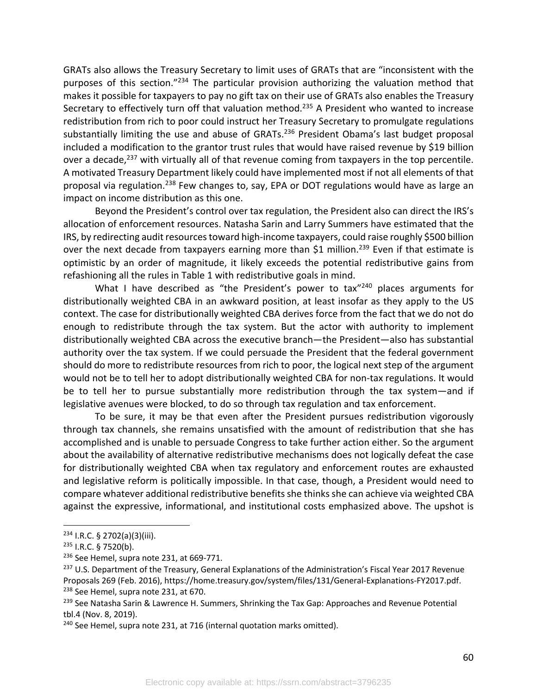GRATs also allows the Treasury Secretary to limit uses of GRATs that are "inconsistent with the purposes of this section."234 The particular provision authorizing the valuation method that makes it possible for taxpayers to pay no gift tax on their use of GRATs also enables the Treasury Secretary to effectively turn off that valuation method.<sup>235</sup> A President who wanted to increase redistribution from rich to poor could instruct her Treasury Secretary to promulgate regulations substantially limiting the use and abuse of GRATs. $236$  President Obama's last budget proposal included a modification to the grantor trust rules that would have raised revenue by \$19 billion over a decade,<sup>237</sup> with virtually all of that revenue coming from taxpayers in the top percentile. A motivated Treasury Department likely could have implemented most if not all elements of that proposal via regulation.<sup>238</sup> Few changes to, say, EPA or DOT regulations would have as large an impact on income distribution as this one.

Beyond the President's control over tax regulation, the President also can direct the IRS's allocation of enforcement resources. Natasha Sarin and Larry Summers have estimated that the IRS, by redirecting audit resources toward high-income taxpayers, could raise roughly \$500 billion over the next decade from taxpayers earning more than  $$1$  million.<sup>239</sup> Even if that estimate is optimistic by an order of magnitude, it likely exceeds the potential redistributive gains from refashioning all the rules in Table 1 with redistributive goals in mind.

What I have described as "the President's power to tax $^{240}$  places arguments for distributionally weighted CBA in an awkward position, at least insofar as they apply to the US context. The case for distributionally weighted CBA derives force from the fact that we do not do enough to redistribute through the tax system. But the actor with authority to implement distributionally weighted CBA across the executive branch—the President—also has substantial authority over the tax system. If we could persuade the President that the federal government should do more to redistribute resources from rich to poor, the logical next step of the argument would not be to tell her to adopt distributionally weighted CBA for non-tax regulations. It would be to tell her to pursue substantially more redistribution through the tax system—and if legislative avenues were blocked, to do so through tax regulation and tax enforcement.

To be sure, it may be that even after the President pursues redistribution vigorously through tax channels, she remains unsatisfied with the amount of redistribution that she has accomplished and is unable to persuade Congress to take further action either. So the argument about the availability of alternative redistributive mechanisms does not logically defeat the case for distributionally weighted CBA when tax regulatory and enforcement routes are exhausted and legislative reform is politically impossible. In that case, though, a President would need to compare whatever additional redistributive benefits she thinks she can achieve via weighted CBA against the expressive, informational, and institutional costs emphasized above. The upshot is

60

<sup>234</sup> I.R.C. § 2702(a)(3)(iii).

<sup>235</sup> I.R.C. § 7520(b).

<sup>&</sup>lt;sup>236</sup> See Hemel, supra note 231, at 669-771.

<sup>&</sup>lt;sup>237</sup> U.S. Department of the Treasury, General Explanations of the Administration's Fiscal Year 2017 Revenue Proposals 269 (Feb. 2016), https://home.treasury.gov/system/files/131/General-Explanations-FY2017.pdf. <sup>238</sup> See Hemel, supra note 231, at 670.

<sup>&</sup>lt;sup>239</sup> See Natasha Sarin & Lawrence H. Summers, Shrinking the Tax Gap: Approaches and Revenue Potential tbl.4 (Nov. 8, 2019).

<sup>&</sup>lt;sup>240</sup> See Hemel, supra note 231, at 716 (internal quotation marks omitted).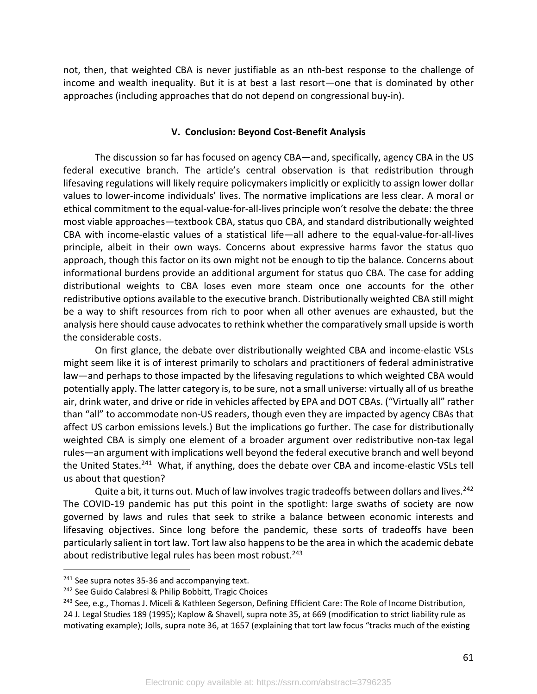not, then, that weighted CBA is never justifiable as an nth-best response to the challenge of income and wealth inequality. But it is at best a last resort—one that is dominated by other approaches (including approaches that do not depend on congressional buy-in).

#### **V. Conclusion: Beyond Cost-Benefit Analysis**

The discussion so far has focused on agency CBA—and, specifically, agency CBA in the US federal executive branch. The article's central observation is that redistribution through lifesaving regulations will likely require policymakers implicitly or explicitly to assign lower dollar values to lower-income individuals' lives. The normative implications are less clear. A moral or ethical commitment to the equal-value-for-all-lives principle won't resolve the debate: the three most viable approaches—textbook CBA, status quo CBA, and standard distributionally weighted CBA with income-elastic values of a statistical life—all adhere to the equal-value-for-all-lives principle, albeit in their own ways. Concerns about expressive harms favor the status quo approach, though this factor on its own might not be enough to tip the balance. Concerns about informational burdens provide an additional argument for status quo CBA. The case for adding distributional weights to CBA loses even more steam once one accounts for the other redistributive options available to the executive branch. Distributionally weighted CBA still might be a way to shift resources from rich to poor when all other avenues are exhausted, but the analysis here should cause advocates to rethink whether the comparatively small upside is worth the considerable costs.

On first glance, the debate over distributionally weighted CBA and income-elastic VSLs might seem like it is of interest primarily to scholars and practitioners of federal administrative law—and perhaps to those impacted by the lifesaving regulations to which weighted CBA would potentially apply. The latter category is, to be sure, not a small universe: virtually all of us breathe air, drink water, and drive or ride in vehicles affected by EPA and DOT CBAs. ("Virtually all" rather than "all" to accommodate non-US readers, though even they are impacted by agency CBAs that affect US carbon emissions levels.) But the implications go further. The case for distributionally weighted CBA is simply one element of a broader argument over redistributive non-tax legal rules—an argument with implications well beyond the federal executive branch and well beyond the United States.<sup>241</sup> What, if anything, does the debate over CBA and income-elastic VSLs tell us about that question?

Quite a bit, it turns out. Much of law involves tragic tradeoffs between dollars and lives.<sup>242</sup> The COVID-19 pandemic has put this point in the spotlight: large swaths of society are now governed by laws and rules that seek to strike a balance between economic interests and lifesaving objectives. Since long before the pandemic, these sorts of tradeoffs have been particularly salient in tort law. Tort law also happens to be the area in which the academic debate about redistributive legal rules has been most robust.<sup>243</sup>

<sup>&</sup>lt;sup>241</sup> See supra notes 35-36 and accompanying text.

<sup>242</sup> See Guido Calabresi & Philip Bobbitt, Tragic Choices

<sup>&</sup>lt;sup>243</sup> See, e.g., Thomas J. Miceli & Kathleen Segerson, Defining Efficient Care: The Role of Income Distribution,

<sup>24</sup> J. Legal Studies 189 (1995); Kaplow & Shavell, supra note 35, at 669 (modification to strict liability rule as motivating example); Jolls, supra note 36, at 1657 (explaining that tort law focus "tracks much of the existing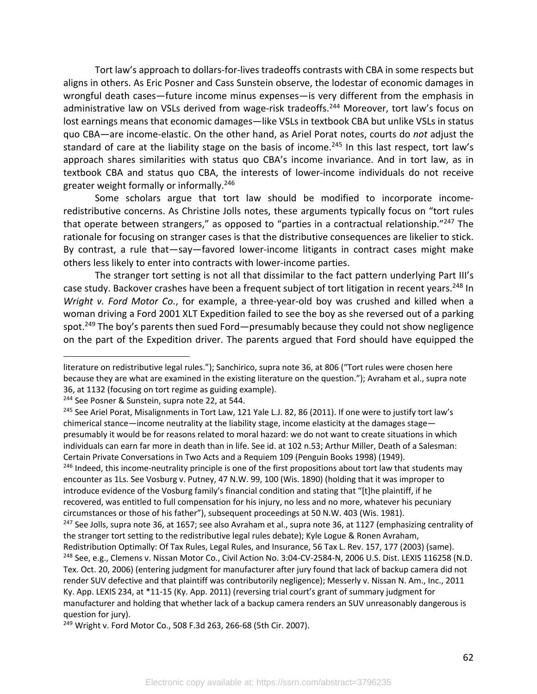Tort law's approach to dollars-for-lives tradeoffs contrasts with CBA in some respects but aligns in others. As Eric Posner and Cass Sunstein observe, the lodestar of economic damages in wrongful death cases—future income minus expenses—is very different from the emphasis in administrative law on VSLs derived from wage-risk tradeoffs.<sup>244</sup> Moreover, tort law's focus on lost earnings means that economic damages—like VSLs in textbook CBA but unlike VSLs in status quo CBA—are income-elastic. On the other hand, as Ariel Porat notes, courts do *not* adjust the standard of care at the liability stage on the basis of income.<sup>245</sup> In this last respect, tort law's approach shares similarities with status quo CBA's income invariance. And in tort law, as in textbook CBA and status quo CBA, the interests of lower-income individuals do not receive greater weight formally or informally.246

Some scholars argue that tort law should be modified to incorporate incomeredistributive concerns. As Christine Jolls notes, these arguments typically focus on "tort rules that operate between strangers," as opposed to "parties in a contractual relationship."<sup>247</sup> The rationale for focusing on stranger cases is that the distributive consequences are likelier to stick. By contrast, a rule that—say—favored lower-income litigants in contract cases might make others less likely to enter into contracts with lower-income parties.

The stranger tort setting is not all that dissimilar to the fact pattern underlying Part III's case study. Backover crashes have been a frequent subject of tort litigation in recent years.<sup>248</sup> In *Wright v. Ford Motor Co.*, for example, a three-year-old boy was crushed and killed when a woman driving a Ford 2001 XLT Expedition failed to see the boy as she reversed out of a parking spot.<sup>249</sup> The boy's parents then sued Ford—presumably because they could not show negligence on the part of the Expedition driver. The parents argued that Ford should have equipped the

<sup>244</sup> See Posner & Sunstein, supra note 22, at 544.

<sup>246</sup> Indeed, this income-neutrality principle is one of the first propositions about tort law that students may encounter as 1Ls. See Vosburg v. Putney, 47 N.W. 99, 100 (Wis. 1890) (holding that it was improper to introduce evidence of the Vosburg family's financial condition and stating that "[t]he plaintiff, if he recovered, was entitled to full compensation for his injury, no less and no more, whatever his pecuniary circumstances or those of his father"), subsequent proceedings at 50 N.W. 403 (Wis. 1981).

literature on redistributive legal rules."); Sanchirico, supra note 36, at 806 ("Tort rules were chosen here because they are what are examined in the existing literature on the question."); Avraham et al., supra note 36, at 1132 (focusing on tort regime as guiding example).

<sup>&</sup>lt;sup>245</sup> See Ariel Porat, Misalignments in Tort Law, 121 Yale L.J. 82, 86 (2011). If one were to justify tort law's chimerical stance—income neutrality at the liability stage, income elasticity at the damages stage presumably it would be for reasons related to moral hazard: we do not want to create situations in which individuals can earn far more in death than in life. See id. at 102 n.53; Arthur Miller, Death of a Salesman: Certain Private Conversations in Two Acts and a Requiem 109 (Penguin Books 1998) (1949).

 $247$  See Jolls, supra note 36, at 1657; see also Avraham et al., supra note 36, at 1127 (emphasizing centrality of the stranger tort setting to the redistributive legal rules debate); Kyle Logue & Ronen Avraham,

Redistribution Optimally: Of Tax Rules, Legal Rules, and Insurance, 56 Tax L. Rev. 157, 177 (2003) (same). <sup>248</sup> See, e.g., Clemens v. Nissan Motor Co., Civil Action No. 3:04-CV-2584-N, 2006 U.S. Dist. LEXIS 116258 (N.D. Tex. Oct. 20, 2006) (entering judgment for manufacturer after jury found that lack of backup camera did not render SUV defective and that plaintiff was contributorily negligence); Messerly v. Nissan N. Am., Inc., 2011 Ky. App. LEXIS 234, at \*11-15 (Ky. App. 2011) (reversing trial court's grant of summary judgment for manufacturer and holding that whether lack of a backup camera renders an SUV unreasonably dangerous is question for jury).

<sup>249</sup> Wright v. Ford Motor Co., 508 F.3d 263, 266-68 (5th Cir. 2007).